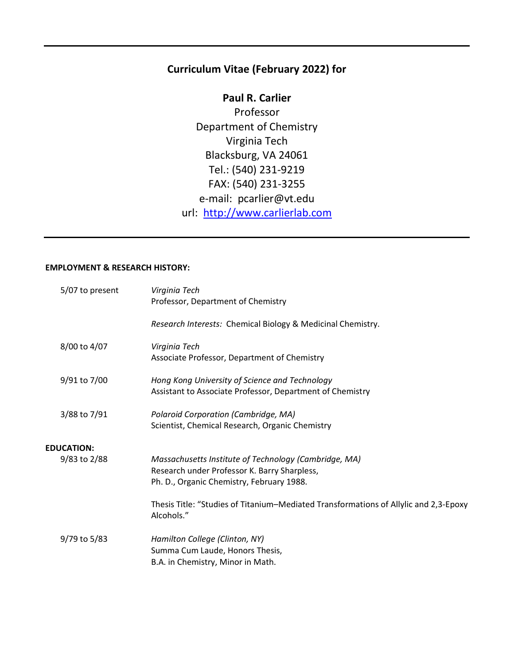# **Curriculum Vitae (February 2022) for**

**Paul R. Carlier** Professor Department of Chemistry Virginia Tech Blacksburg, VA 24061 Tel.: (540) 231-9219 FAX: (540) 231-3255 e-mail: pcarlier@vt.edu url: [http://www.carlierlab.com](http://www.carlierlab.com/)

# **EMPLOYMENT & RESEARCH HISTORY:**

| 5/07 to present   | Virginia Tech<br>Professor, Department of Chemistry                                                                                                |
|-------------------|----------------------------------------------------------------------------------------------------------------------------------------------------|
|                   | Research Interests: Chemical Biology & Medicinal Chemistry.                                                                                        |
| 8/00 to 4/07      | Virginia Tech<br>Associate Professor, Department of Chemistry                                                                                      |
| 9/91 to 7/00      | Hong Kong University of Science and Technology<br>Assistant to Associate Professor, Department of Chemistry                                        |
| 3/88 to 7/91      | Polaroid Corporation (Cambridge, MA)<br>Scientist, Chemical Research, Organic Chemistry                                                            |
| <b>EDUCATION:</b> |                                                                                                                                                    |
| 9/83 to 2/88      | Massachusetts Institute of Technology (Cambridge, MA)<br>Research under Professor K. Barry Sharpless,<br>Ph. D., Organic Chemistry, February 1988. |
|                   | Thesis Title: "Studies of Titanium-Mediated Transformations of Allylic and 2,3-Epoxy<br>Alcohols."                                                 |
| 9/79 to 5/83      | Hamilton College (Clinton, NY)<br>Summa Cum Laude, Honors Thesis,<br>B.A. in Chemistry, Minor in Math.                                             |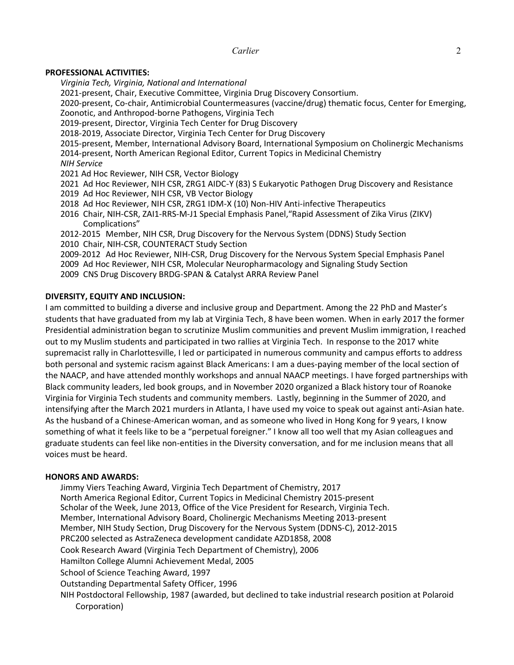# **PROFESSIONAL ACTIVITIES:**

*Virginia Tech, Virginia, National and International*

2021-present, Chair, Executive Committee, Virginia Drug Discovery Consortium.

2020-present, Co-chair, Antimicrobial Countermeasures (vaccine/drug) thematic focus, Center for Emerging, Zoonotic, and Anthropod-borne Pathogens, Virginia Tech

2019-present, Director, Virginia Tech Center for Drug Discovery

2018-2019, Associate Director, Virginia Tech Center for Drug Discovery

2015-present, Member, International Advisory Board, International Symposium on Cholinergic Mechanisms 2014-present, North American Regional Editor, Current Topics in Medicinal Chemistry

- *NIH Service*
- 2021 Ad Hoc Reviewer, NIH CSR, Vector Biology
- 2021 Ad Hoc Reviewer, NIH CSR, ZRG1 AIDC-Y (83) S Eukaryotic Pathogen Drug Discovery and Resistance 2019 Ad Hoc Reviewer, NIH CSR, VB Vector Biology
- 2018 Ad Hoc Reviewer, NIH CSR, ZRG1 IDM-X (10) Non-HIV Anti-infective Therapeutics
- 2016 Chair, NIH-CSR, ZAI1-RRS-M-J1 Special Emphasis Panel,"Rapid Assessment of Zika Virus (ZIKV) Complications"
- 2012-2015 Member, NIH CSR, Drug Discovery for the Nervous System (DDNS) Study Section 2010 Chair, NIH-CSR, COUNTERACT Study Section
- 2009-2012 Ad Hoc Reviewer, NIH-CSR, Drug Discovery for the Nervous System Special Emphasis Panel 2009 Ad Hoc Reviewer, NIH CSR, Molecular Neuropharmacology and Signaling Study Section
- 
- 2009 CNS Drug Discovery BRDG-SPAN & Catalyst ARRA Review Panel

# **DIVERSITY, EQUITY AND INCLUSION:**

I am committed to building a diverse and inclusive group and Department. Among the 22 PhD and Master's students that have graduated from my lab at Virginia Tech, 8 have been women. When in early 2017 the former Presidential administration began to scrutinize Muslim communities and prevent Muslim immigration, I reached out to my Muslim students and participated in two rallies at Virginia Tech. In response to the 2017 white supremacist rally in Charlottesville, I led or participated in numerous community and campus efforts to address both personal and systemic racism against Black Americans: I am a dues-paying member of the local section of the NAACP, and have attended monthly workshops and annual NAACP meetings. I have forged partnerships with Black community leaders, led book groups, and in November 2020 organized a Black history tour of Roanoke Virginia for Virginia Tech students and community members. Lastly, beginning in the Summer of 2020, and intensifying after the March 2021 murders in Atlanta, I have used my voice to speak out against anti-Asian hate. As the husband of a Chinese-American woman, and as someone who lived in Hong Kong for 9 years, I know something of what it feels like to be a "perpetual foreigner." I know all too well that my Asian colleagues and graduate students can feel like non-entities in the Diversity conversation, and for me inclusion means that all voices must be heard.

# **HONORS AND AWARDS:**

Jimmy Viers Teaching Award, Virginia Tech Department of Chemistry, 2017 North America Regional Editor, Current Topics in Medicinal Chemistry 2015-present Scholar of the Week, June 2013, Office of the Vice President for Research, Virginia Tech. Member, International Advisory Board, Cholinergic Mechanisms Meeting 2013-present Member, NIH Study Section, Drug Discovery for the Nervous System (DDNS-C), 2012-2015 PRC200 selected as AstraZeneca development candidate AZD1858, 2008 Cook Research Award (Virginia Tech Department of Chemistry), 2006 Hamilton College Alumni Achievement Medal, 2005 School of Science Teaching Award, 1997 Outstanding Departmental Safety Officer, 1996 NIH Postdoctoral Fellowship, 1987 (awarded, but declined to take industrial research position at Polaroid Corporation)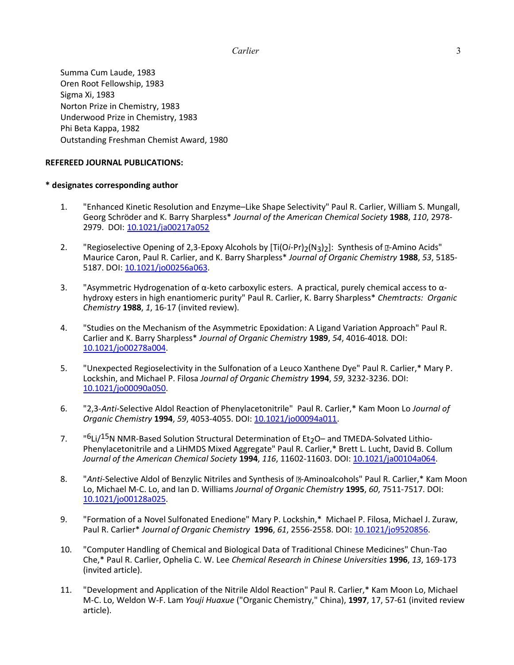Summa Cum Laude, 1983 Oren Root Fellowship, 1983 Sigma Xi, 1983 Norton Prize in Chemistry, 1983 Underwood Prize in Chemistry, 1983 Phi Beta Kappa, 1982 Outstanding Freshman Chemist Award, 1980

# **REFEREED JOURNAL PUBLICATIONS:**

### **\* designates corresponding author**

- 1. "Enhanced Kinetic Resolution and Enzyme–Like Shape Selectivity" Paul R. Carlier, William S. Mungall, Georg Schröder and K. Barry Sharpless\* *Journal of the American Chemical Society* **1988**, *110*, 2978- 2979. [DOI: 10.1021/ja00217a052](http://dx.doi.org/10.1021/ja00217a052)
- 2. "Regioselective Opening of 2,3-Epoxy Alcohols by [Ti(Oi-Pr)<sub>2</sub>(N<sub>3</sub>)<sub>2</sub>]: Synthesis of **E**-Amino Acids" Maurice Caron, Paul R. Carlier, and K. Barry Sharpless\* *Journal of Organic Chemistry* **1988**, *53*, 5185- 5187. DOI: [10.1021/jo00256a063.](http://dx.doi.org/10.1021/jo00256a063)
- 3. "Asymmetric Hydrogenation of α-keto carboxylic esters. A practical, purely chemical access to αhydroxy esters in high enantiomeric purity" Paul R. Carlier, K. Barry Sharpless\* *Chemtracts: Organic Chemistry* **1988**, *1*, 16-17 (invited review).
- 4. "Studies on the Mechanism of the Asymmetric Epoxidation: A Ligand Variation Approach" Paul R. Carlier and K. Barry Sharpless\* *Journal of Organic Chemistry* **1989**, *54*, 4016-4018*.* DOI: [10.1021/jo00278a004.](http://dx.doi.org/10.1021/jo00278a004)
- 5. "Unexpected Regioselectivity in the Sulfonation of a Leuco Xanthene Dye" Paul R. Carlier,\* Mary P. Lockshin, and Michael P. Filosa *Journal of Organic Chemistry* **1994**, *59*, 3232-3236. DOI: [10.1021/jo00090a050.](http://dx.doi.org/10.1021/jo00090a050)
- 6. "2,3-*Anti*-Selective Aldol Reaction of Phenylacetonitrile" Paul R. Carlier,\* Kam Moon Lo *Journal of Organic Chemistry* **1994**, *59*, 4053-4055. DOI: [10.1021/jo00094a011.](http://dx.doi.org/10.1021/jo00094a011)
- 7. "  $6$ Li $/15$ N NMR-Based Solution Structural Determination of Et<sub>2</sub>O– and TMEDA-Solvated Lithio-Phenylacetonitrile and a LiHMDS Mixed Aggregate" Paul R. Carlier,\* Brett L. Lucht, David B. Collum *Journal of the American Chemical Society* **1994**, *116*, 11602-11603. DOI: [10.1021/ja00104a064.](http://dx.doi.org/10.1021/ja00104a064)
- 8. "Anti-Selective Aldol of Benzylic Nitriles and Synthesis of **Z**-Aminoalcohols" Paul R. Carlier,\* Kam Moon Lo, Michael M-C. Lo, and Ian D. Williams *Journal of Organic Chemistry* **1995**, *60*, 7511-7517. DOI: [10.1021/jo00128a025.](http://dx.doi.org/10.1021/jo00128a025)
- 9. "Formation of a Novel Sulfonated Enedione" Mary P. Lockshin,\* Michael P. Filosa, Michael J. Zuraw, Paul R. Carlier\* *Journal of Organic Chemistry* **1996**, *61*, 2556-2558. DOI: [10.1021/jo9520856.](http://dx.doi.org/10.1021/jo9520856)
- 10. "Computer Handling of Chemical and Biological Data of Traditional Chinese Medicines" Chun-Tao Che,\* Paul R. Carlier, Ophelia C. W. Lee *Chemical Research in Chinese Universities* **1996**, *13*, 169-173 (invited article).
- 11. "Development and Application of the Nitrile Aldol Reaction" Paul R. Carlier,\* Kam Moon Lo, Michael M-C. Lo, Weldon W-F. Lam *Youji Huaxue* ("Organic Chemistry," China), **1997**, 17, 57-61 (invited review article).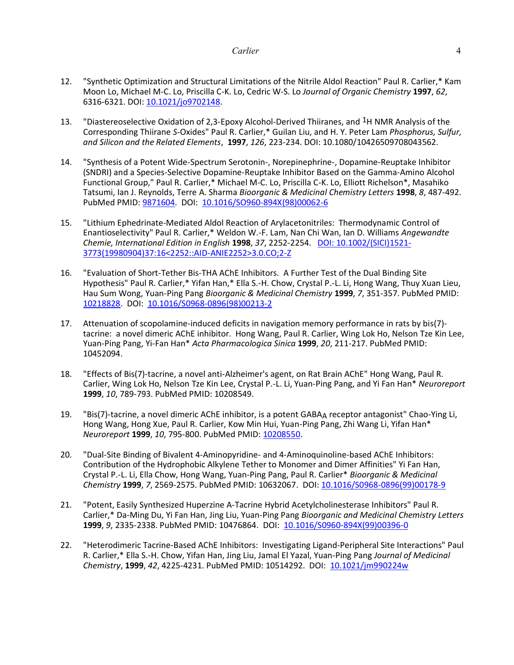- 12. "Synthetic Optimization and Structural Limitations of the Nitrile Aldol Reaction" Paul R. Carlier,\* Kam Moon Lo, Michael M-C. Lo, Priscilla C-K. Lo, Cedric W-S. Lo *Journal of Organic Chemistry* **1997**, *62*, 6316-6321. DOI: [10.1021/jo9702148.](http://dx.doi.org/10.1021/jo9702148)
- 13. "Diastereoselective Oxidation of 2,3-Epoxy Alcohol-Derived Thiiranes, and <sup>1</sup>H NMR Analysis of the Corresponding Thiirane *S*-Oxides" Paul R. Carlier,\* Guilan Liu, and H. Y. Peter Lam *Phosphorus, Sulfur, and Silicon and the Related Elements*, **1997**, *126*, 223-234. DOI: 10.1080/10426509708043562.
- 14. "Synthesis of a Potent Wide-Spectrum Serotonin-, Norepinephrine-, Dopamine-Reuptake Inhibitor (SNDRI) and a Species-Selective Dopamine-Reuptake Inhibitor Based on the Gamma-Amino Alcohol Functional Group," Paul R. Carlier,\* Michael M-C. Lo, Priscilla C-K. Lo, Elliott Richelson\*, Masahiko Tatsumi, Ian J. Reynolds, Terre A. Sharma *Bioorganic & Medicinal Chemistry Letters* **1998**, *8*, 487-492. PubMed PMID[: 9871604.](http://www.deepdyve.com/lp/elsevier/synthesis-of-a-potent-wide-spectrum-serotonin-norepinephrine-dopamine-5odspKhkUf) DOI: [10.1016/SO960-894X\(98\)00062-6](http://dx.doi.org/10.1016/S0960-894X(98)00062-6)
- 15. "Lithium Ephedrinate-Mediated Aldol Reaction of Arylacetonitriles: Thermodynamic Control of Enantioselectivity" Paul R. Carlier,\* Weldon W.-F. Lam, Nan Chi Wan, Ian D. Williams *Angewandte Chemie, International Edition in English* **1998**, *37*, 2252-2254. DOI: [10.1002/\(SICI\)1521-](http://dx.doi.org/10.1002/(SICI)1521-3773(19980904)37:16%3C2252::AID-ANIE2252%3E3.0.CO;2-Z) [3773\(19980904\)37:16<2252::AID-ANIE2252>3.0.CO;2-Z](http://dx.doi.org/10.1002/(SICI)1521-3773(19980904)37:16%3C2252::AID-ANIE2252%3E3.0.CO;2-Z)
- 16. "Evaluation of Short-Tether Bis-THA AChE Inhibitors. A Further Test of the Dual Binding Site Hypothesis" Paul R. Carlier,\* Yifan Han,\* Ella S.-H. Chow, Crystal P.-L. Li, Hong Wang, Thuy Xuan Lieu, Hau Sum Wong, Yuan-Ping Pang *Bioorganic & Medicinal Chemistry* **1999**, *7*, 351-357. PubMed PMID: [10218828.](http://www.deepdyve.com/lp/elsevier/evaluation-of-short-tether-bis-tha-ache-inhibitors-a-further-test-of-ijHFRf890N) DOI: [10.1016/S0968-0896\(98\)00213-2](http://dx.doi.org/10.1016/S0968-0896(98)00213-2)
- 17. Attenuation of scopolamine-induced deficits in navigation memory performance in rats by bis(7) tacrine: a novel dimeric AChE inhibitor. Hong Wang, Paul R. Carlier, Wing Lok Ho, Nelson Tze Kin Lee, Yuan-Ping Pang, Yi-Fan Han\* *Acta Pharmacologica Sinica* **1999**, *20*, 211-217. PubMed PMID: 10452094.
- 18. "Effects of Bis(7)-tacrine, a novel anti-Alzheimer's agent, on Rat Brain AChE" Hong Wang, Paul R. Carlier, Wing Lok Ho, Nelson Tze Kin Lee, Crystal P.-L. Li, Yuan-Ping Pang, and Yi Fan Han\* *Neuroreport* **1999**, *10*, 789-793. PubMed PMID: 10208549.
- 19. "Bis(7)-tacrine, a novel dimeric AChE inhibitor, is a potent GABAA receptor antagonist" Chao-Ying Li, Hong Wang, Hong Xue, Paul R. Carlier, Kow Min Hui, Yuan-Ping Pang, Zhi Wang Li, Yifan Han\* *Neuroreport* **1999**, *10*, 795-800. PubMed PMID: [10208550.](http://life-sci.ust.hk/faculty/Prof.H.Xue/index.html)
- 20. "Dual-Site Binding of Bivalent 4-Aminopyridine- and 4-Aminoquinoline-based AChE Inhibitors: Contribution of the Hydrophobic Alkylene Tether to Monomer and Dimer Affinities" Yi Fan Han, Crystal P.-L. Li, Ella Chow, Hong Wang, Yuan-Ping Pang, Paul R. Carlier\* *Bioorganic & Medicinal Chemistry* **1999**, *7*, 2569-2575. PubMed PMID: 10632067. DOI[: 10.1016/S0968-0896\(99\)00178-9](http://dx.doi.org/10.1016/S0968-0896(99)00178-9)
- 21. "Potent, Easily Synthesized Huperzine A-Tacrine Hybrid Acetylcholinesterase Inhibitors" Paul R. Carlier,\* Da-Ming Du, Yi Fan Han, Jing Liu, Yuan-Ping Pang *Bioorganic and Medicinal Chemistry Letters*  **1999**, *9*, 2335-2338. PubMed PMID: 10476864. DOI: [10.1016/S0960-894X\(99\)00396-0](http://dx.doi.org/10.1016/S0960-894X(99)00396-0)
- 22. "Heterodimeric Tacrine-Based AChE Inhibitors: Investigating Ligand-Peripheral Site Interactions" Paul R. Carlier,\* Ella S.-H. Chow, Yifan Han, Jing Liu, Jamal El Yazal, Yuan-Ping Pang *Journal of Medicinal Chemistry*, **1999**, *42*, 4225-4231. PubMed PMID: 10514292. DOI: [10.1021/jm990224w](http://dx.doi.org/10.1021/jm990224w)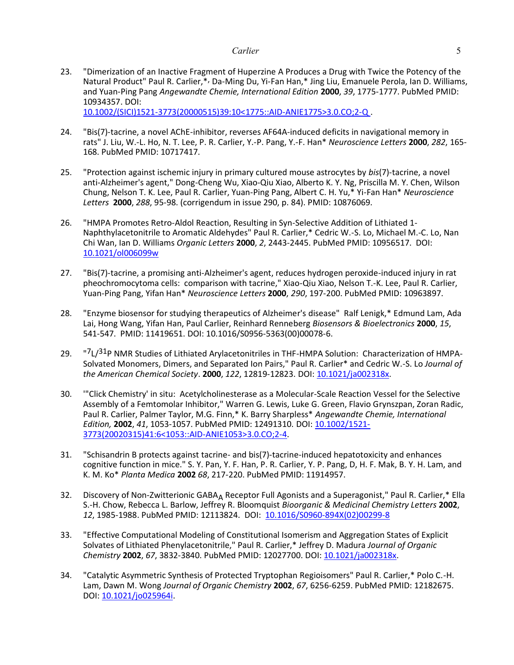23. "Dimerization of an Inactive Fragment of Huperzine A Produces a Drug with Twice the Potency of the Natural Product" Paul R. Carlier,\*, Da-Ming Du, Yi-Fan Han,\* Jing Liu, Emanuele Perola, Ian D. Williams, and Yuan-Ping Pang *Angewandte Chemie, International Edition* **2000**, *39*, 1775-1777. PubMed PMID: 10934357. DOI:

[10.1002/\(SICI\)1521-3773\(20000515\)39:10<1775::AID-ANIE1775>3.0.CO;2-Q](http://dx.doi.org/%2010.1002/(SICI)1521-3773(20000515)39:10%3c1775::AID-ANIE1775%3e3.0.CO;2-Q) .

- 24. "Bis(7)-tacrine, a novel AChE-inhibitor, reverses AF64A-induced deficits in navigational memory in rats" J. Liu, W.-L. Ho, N. T. Lee, P. R. Carlier, Y.-P. Pang, Y.-F. Han\* *Neuroscience Letters* **2000**, *282*, 165- 168. PubMed PMID: 10717417.
- 25. "Protection against ischemic injury in primary cultured mouse astrocytes by *bis*(7)-tacrine, a novel anti-Alzheimer's agent," Dong-Cheng Wu, Xiao-Qiu Xiao, Alberto K. Y. Ng, Priscilla M. Y. Chen, Wilson Chung, Nelson T. K. Lee, Paul R. Carlier, Yuan-Ping Pang, Albert C. H. Yu,\* Yi-Fan Han\* *Neuroscience Letters* **2000**, *288*, 95-98. (corrigendum in issue 290, p. 84). PMID: 10876069.
- 26. "HMPA Promotes Retro-Aldol Reaction, Resulting in Syn-Selective Addition of Lithiated 1- Naphthylacetonitrile to Aromatic Aldehydes" Paul R. Carlier,\* Cedric W.-S. Lo, Michael M.-C. Lo, Nan Chi Wan, Ian D. Williams *Organic Letters* **2000**, *2*, 2443-2445. PubMed PMID: 10956517. DOI: [10.1021/ol006099w](http://dx.doi.org/10.1021/ol006099w)
- 27. "Bis(7)-tacrine, a promising anti-Alzheimer's agent, reduces hydrogen peroxide-induced injury in rat pheochromocytoma cells: comparison with tacrine," Xiao-Qiu Xiao, Nelson T.-K. Lee, Paul R. Carlier, Yuan-Ping Pang, Yifan Han\* *Neuroscience Letters* **2000**, *290*, 197-200. PubMed PMID: 10963897.
- 28. "Enzyme biosensor for studying therapeutics of Alzheimer's disease" Ralf Lenigk,\* Edmund Lam, Ada Lai, Hong Wang, Yifan Han, Paul Carlier, Reinhard Renneberg *Biosensors & Bioelectronics* **2000**, *15*, 541-547. PMID: 11419651. DOI: 10.1016/S0956-5363(00)00078-6.
- 29. " <sup>"7</sup>L/<sup>31</sup>P NMR Studies of Lithiated Arylacetonitriles in THF-HMPA Solution: Characterization of HMPA-Solvated Monomers, Dimers, and Separated Ion Pairs," Paul R. Carlier\* and Cedric W.-S. Lo *Journal of the American Chemical Society*. **2000**, *122*, 12819-12823. DOI: [10.1021/ja002318x.](http://dx.doi.org/10.1021/ja002318x)
- 30. '"Click Chemistry' in situ: Acetylcholinesterase as a Molecular-Scale Reaction Vessel for the Selective Assembly of a Femtomolar Inhibitor," Warren G. Lewis, Luke G. Green, Flavio Grynszpan, Zoran Radic, Paul R. Carlier, Palmer Taylor, M.G. Finn,\* K. Barry Sharpless\* *Angewandte Chemie, International Edition,* **2002**, *41*, 1053-1057. PubMed PMID: 12491310. DOI: [10.1002/1521-](http://dx.doi.org/10.1002/1521-3773(20020315)41:6%3c1053::AID-ANIE1053%3e3.0.CO;2-4) [3773\(20020315\)41:6<1053::AID-ANIE1053>3.0.CO;2-4.](http://dx.doi.org/10.1002/1521-3773(20020315)41:6%3c1053::AID-ANIE1053%3e3.0.CO;2-4)
- 31. "Schisandrin B protects against tacrine- and bis(7)-tacrine-induced hepatotoxicity and enhances cognitive function in mice." S. Y. Pan, Y. F. Han, P. R. Carlier, Y. P. Pang, D, H. F. Mak, B. Y. H. Lam, and K. M. Ko\* *Planta Medica* **2002** *68*, 217-220. PubMed PMID: 11914957.
- 32. Discovery of Non-Zwitterionic GABA<sub>A</sub> Receptor Full Agonists and a Superagonist," Paul R. Carlier,\* Ella S.-H. Chow, Rebecca L. Barlow, Jeffrey R. Bloomquist *Bioorganic & Medicinal Chemistry Letters* **2002**, *12*, 1985-1988. PubMed PMID: 12113824. DOI: [10.1016/S0960-894X\(02\)00299-8](http://dx.doi.org/10.1016/S0960-894X(02)00299-8)
- 33. "Effective Computational Modeling of Constitutional Isomerism and Aggregation States of Explicit Solvates of Lithiated Phenylacetonitrile," Paul R. Carlier,\* Jeffrey D. Madura *Journal of Organic Chemistry* **2002**, *67*, 3832-3840. PubMed PMID: 12027700. DOI[: 10.1021/ja002318x.](http://dx.doi.org/10.1021/ja002318x)
- 34. "Catalytic Asymmetric Synthesis of Protected Tryptophan Regioisomers" Paul R. Carlier,\* Polo C.-H. Lam, Dawn M. Wong *Journal of Organic Chemistry* **2002**, *67*, 6256-6259. PubMed PMID: 12182675. DOI: [10.1021/jo025964i.](http://dx.doi.org/10.1021/jo025964i)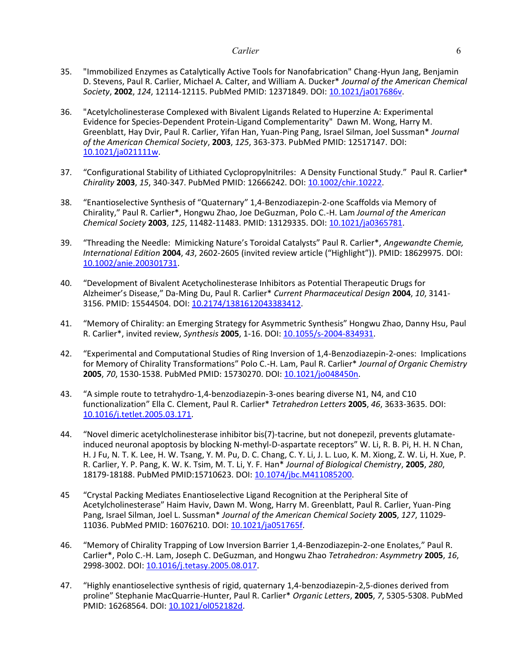- 35. "Immobilized Enzymes as Catalytically Active Tools for Nanofabrication" Chang-Hyun Jang, Benjamin D. Stevens, Paul R. Carlier, Michael A. Calter, and William A. Ducker\* *Journal of the American Chemical Society*, **2002**, *124*, 12114-12115. PubMed PMID: 12371849. DOI: [10.1021/ja017686v.](http://dx.doi.org/10.1021/ja017686v)
- 36. "Acetylcholinesterase Complexed with Bivalent Ligands Related to Huperzine A: Experimental Evidence for Species-Dependent Protein-Ligand Complementarity" Dawn M. Wong, Harry M. Greenblatt, Hay Dvir, Paul R. Carlier, Yifan Han, Yuan-Ping Pang, Israel Silman, Joel Sussman\* *Journal of the American Chemical Society*, **2003**, *125*, 363-373. PubMed PMID: 12517147. DOI: [10.1021/ja021111w.](http://dx.doi.org/10.1021/ja021111w)
- 37. "Configurational Stability of Lithiated Cyclopropylnitriles: A Density Functional Study." Paul R. Carlier\* *Chirality* **2003**, *15*, 340-347. PubMed PMID: 12666242. DOI: [10.1002/chir.10222.](http://dx.doi.org/10.1002/chir.10222)
- 38. "Enantioselective Synthesis of "Quaternary" 1,4-Benzodiazepin-2-one Scaffolds via Memory of Chirality," Paul R. Carlier\*, Hongwu Zhao, Joe DeGuzman, Polo C.-H. Lam *Journal of the American Chemical Society* **2003**, *125*, 11482-11483. PMID: 13129335. DOI: [10.1021/ja0365781.](http://dx.doi.org/10.1021/ja0365781)
- 39. "Threading the Needle: Mimicking Nature's Toroidal Catalysts" Paul R. Carlier\*, *Angewandte Chemie, International Edition* **2004**, *43*, 2602-2605 (invited review article ("Highlight")). PMID: 18629975. DOI: [10.1002/anie.200301731.](http://dx.doi.org/10.1002/anie.200301731)
- 40. "Development of Bivalent Acetycholinesterase Inhibitors as Potential Therapeutic Drugs for Alzheimer's Disease," Da-Ming Du, Paul R. Carlier\* *Current Pharmaceutical Design* **2004**, *10*, 3141- 3156. PMID: 15544504. DOI[: 10.2174/1381612043383412.](http://dx.doi.org/10.2174/1381612043383412)
- 41. "Memory of Chirality: an Emerging Strategy for Asymmetric Synthesis" Hongwu Zhao, Danny Hsu, Paul R. Carlier\*, invited review, *Synthesis* **2005**, 1-16. DOI: [10.1055/s-2004-834931.](http://dx.doi.org/10.1055/s-2004-834931)
- 42. "Experimental and Computational Studies of Ring Inversion of 1,4-Benzodiazepin-2-ones: Implications for Memory of Chirality Transformations" Polo C.-H. Lam, Paul R. Carlier\* *Journal of Organic Chemistry* **2005**, *70*, 1530-1538. PubMed PMID: 15730270. DOI[: 10.1021/jo048450n.](http://dx.doi.org/10.1021/jo048450n)
- 43. "A simple route to tetrahydro-1,4-benzodiazepin-3-ones bearing diverse N1, N4, and C10 functionalization" Ella C. Clement, Paul R. Carlier\* *Tetrahedron Letters* **2005**, *46*, 3633-3635. DOI: [10.1016/j.tetlet.2005.03.171.](http://dx.doi.org/10.1016/j.tetlet.2005.03.171)
- 44. "Novel dimeric acetylcholinesterase inhibitor bis(7)-tacrine, but not donepezil, prevents glutamateinduced neuronal apoptosis by blocking N-methyl-D-aspartate receptors" W. Li, R. B. Pi, H. H. N Chan, H. J Fu, N. T. K. Lee, H. W. Tsang, Y. M. Pu, D. C. Chang, C. Y. Li, J. L. Luo, K. M. Xiong, Z. W. Li, H. Xue, P. R. Carlier, Y. P. Pang, K. W. K. Tsim, M. T. Li, Y. F. Han\* *Journal of Biological Chemistry*, **2005**, *280*, 18179-18188. PubMed PMID:15710623. DOI: [10.1074/jbc.M411085200.](http://dx.doi.org/:10.1074/jbc.M411085200)
- 45 "Crystal Packing Mediates Enantioselective Ligand Recognition at the Peripheral Site of Acetylcholinesterase" Haim Haviv, Dawn M. Wong, Harry M. Greenblatt, Paul R. Carlier, Yuan-Ping Pang, Israel Silman, Joel L. Sussman\* *Journal of the American Chemical Society* **2005**, *127*, 11029- 11036. PubMed PMID: 16076210. DOI: [10.](http://dx.doi.org/10.1021/ja051765f)1021/ja051765f.
- 46. "Memory of Chirality Trapping of Low Inversion Barrier 1,4-Benzodiazepin-2-one Enolates," Paul R. Carlier\*, Polo C.-H. Lam, Joseph C. DeGuzman, and Hongwu Zhao *Tetrahedron: Asymmetry* **2005**, *16*, 2998-3002. DOI: [10.1016/j.tetasy.2005.08.017.](http://dx.doi.org/10.1016/j.tetasy.2005.08.017)
- 47. "Highly enantioselective synthesis of rigid, quaternary 1,4-benzodiazepin-2,5-diones derived from proline" Stephanie MacQuarrie-Hunter, Paul R. Carlier\* *Organic Letters*, **2005**, *7*, 5305-5308. PubMed PMID: 16268564. DOI: [10.1021/ol052182d.](http://dx.doi.org/10.1021/ol052182d)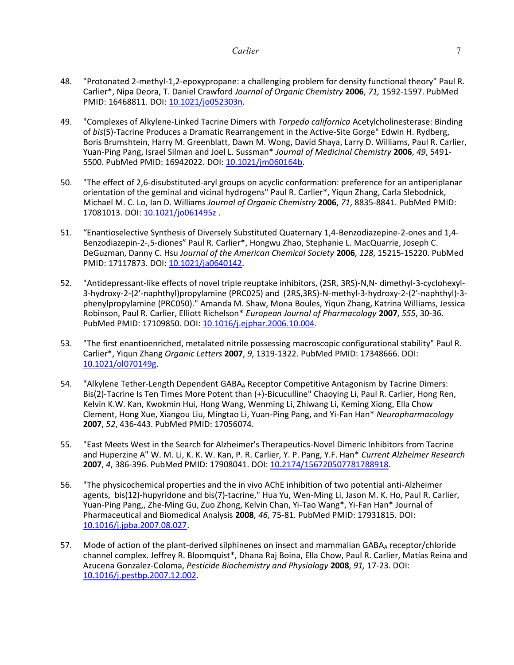- 48. "Protonated 2-methyl-1,2-epoxypropane: a challenging problem for density functional theory" Paul R. Carlier\*, Nipa Deora, T. Daniel Crawford *Journal of Organic Chemistry* **2006**, *71,* 1592-1597. PubMed PMID: 16468811. DOI: [10.1021/jo052303n](http://dx.doi.org/10.1021/jo052303n)*.*
- 49. "Complexes of Alkylene-Linked Tacrine Dimers with *Torpedo californica* Acetylcholinesterase: Binding of *bis*(5)-Tacrine Produces a Dramatic Rearrangement in the Active-Site Gorge" Edwin H. Rydberg, Boris Brumshtein, Harry M. Greenblatt, Dawn M. Wong, David Shaya, Larry D. Williams, Paul R. Carlier, Yuan-Ping Pang, Israel Silman and Joel L. Sussman\* *Journal of Medicinal Chemistry* **2006**, *49*, 5491- 5500. PubMed PMID: 16942022. DOI: [10.1021/jm060164b.](http://dx.doi.org/10.1021/jm060164b)
- 50. "The effect of 2,6-disubstituted-aryl groups on acyclic conformation: preference for an antiperiplanar orientation of the geminal and vicinal hydrogens" Paul R. Carlier\*, Yiqun Zhang, Carla Slebodnick, Michael M. C. Lo, Ian D. Williams *Journal of Organic Chemistry* **2006**, *71*, 8835-8841. PubMed PMID: 17081013. DOI: [10.1021/jo061495z](http://dx.doi.org/10.1021/jo061495z).
- 51. "Enantioselective Synthesis of Diversely Substituted Quaternary 1,4-Benzodiazepine-2-ones and 1,4- Benzodiazepin-2-,5-diones" Paul R. Carlier\*, Hongwu Zhao, Stephanie L. MacQuarrie, Joseph C. DeGuzman, Danny C. Hsu *Journal of the American Chemical Society* **2006**, *128*, 15215-15220. PubMed PMID: 17117873. DOI: [10.1021/ja0640142.](http://dx.doi.org/10.1021/ja0640142)
- 52. "Antidepressant-like effects of novel triple reuptake inhibitors, (2SR, 3RS)-N,N- dimethyl-3-cyclohexyl-3-hydroxy-2-(2'-naphthyl)propylamine (PRC025) and (2RS,3RS)-N-methyl-3-hydroxy-2-(2'-naphthyl)-3 phenylpropylamine (PRC050)." Amanda M. Shaw, Mona Boules, Yiqun Zhang, Katrina Williams, Jessica Robinson, Paul R. Carlier, Elliott Richelson\* *European Journal of Pharmacology* **2007**, *555*, 30-36. PubMed PMID: 17109850. DOI[: 10.1016/j.ejphar.2006.10.004.](http://dx.doi.org/10.1016/j.ejphar.2006.10.004)
- 53. "The first enantioenriched, metalated nitrile possessing macroscopic configurational stability" Paul R. Carlier\*, Yiqun Zhang *Organic Letters* **2007**, *9*, 1319-1322. PubMed PMID: 17348666. DOI: [10.1021/ol070149g.](http://dx.doi.org/10.1021/ol070149g)
- 54. "Alkylene Tether-Length Dependent GABAA Receptor Competitive Antagonism by Tacrine Dimers: Bis(2)-Tacrine Is Ten Times More Potent than (+)-Bicuculline" Chaoying Li, Paul R. Carlier, Hong Ren, Kelvin K.W. Kan, Kwokmin Hui, Hong Wang, Wenming Li, Zhiwang Li, Keming Xiong, Ella Chow Clement, Hong Xue, Xiangou Liu, Mingtao Li, Yuan-Ping Pang, and Yi-Fan Han\* *Neuropharmacology* **2007**, *52*, 436-443. PubMed PMID: 17056074.
- 55. "East Meets West in the Search for Alzheimer's Therapeutics-Novel Dimeric Inhibitors from Tacrine and Huperzine A" W. M. Li, K. K. W. Kan, P. R. Carlier, Y. P. Pang, Y.F. Han\* *Current Alzheimer Research* **2007**, *4*, 386-396. PubMed PMID: 17908041. DOI: [10.2174/156720507781788918.](http://dx.doi.org/10.2174/156720507781788918)
- 56. "The physicochemical properties and the in vivo AChE inhibition of two potential anti-Alzheimer agents, bis(12)-hupyridone and bis(7)-tacrine," Hua Yu, Wen-Ming Li, Jason M. K. Ho, Paul R. Carlier, Yuan-Ping Pang,, Zhe-Ming Gu, Zuo Zhong, Kelvin Chan, Yi-Tao Wang\*, Yi-Fan Han\* Journal of Pharmaceutical and Biomedical Analysis **2008**, *46*, 75-81. PubMed PMID: 17931815. DOI: [10.1016/j.jpba.2007.08.027.](http://dx.doi.org/10.1016/j.jpba.2007.08.027)
- 57. Mode of action of the plant-derived silphinenes on insect and mammalian GABAA receptor/chloride channel complex. Jeffrey R. Bloomquist\*, Dhana Raj Boina, Ella Chow, Paul R. Carlier, Matías Reina and Azucena Gonzalez-Coloma, *Pesticide Biochemistry and Physiology* **2008**, *91,* 17-23. DOI: [10.1016/j.pestbp.2007.12.002.](http://dx.doi.org/10.1016/j.pestbp.2007.12.002)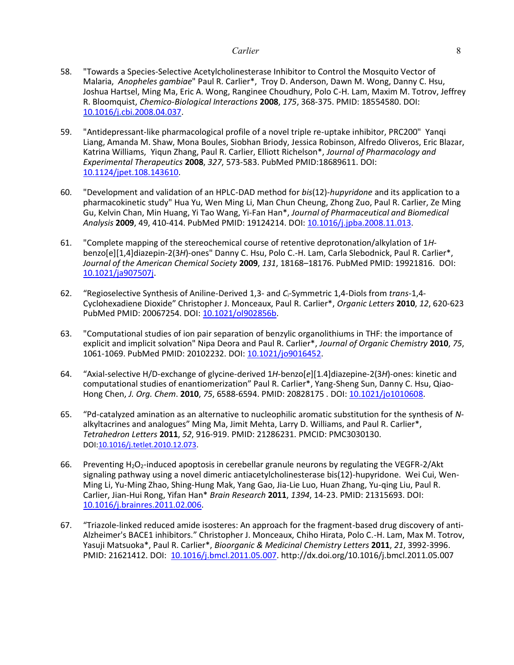- 58. "Towards a Species-Selective Acetylcholinesterase Inhibitor to Control the Mosquito Vector of Malaria, *Anopheles gambiae*" Paul R. Carlier\*, Troy D. Anderson, Dawn M. Wong, Danny C. Hsu, Joshua Hartsel, Ming Ma, Eric A. Wong, Ranginee Choudhury, Polo C-H. Lam, Maxim M. Totrov, Jeffrey R. Bloomquist, *Chemico-Biological Interactions* **2008**, *175*, 368-375. PMID: 18554580. DOI: [10.1016/j.cbi.2008.04.037.](http://dx.doi.org/10.1016/j.cbi.2008.04.037)
- 59. "Antidepressant-like pharmacological profile of a novel triple re-uptake inhibitor, PRC200" Yanqi Liang, Amanda M. Shaw, Mona Boules, Siobhan Briody, Jessica Robinson, Alfredo Oliveros, Eric Blazar, Katrina Williams, Yiqun Zhang, Paul R. Carlier, Elliott Richelson\*, *Journal of Pharmacology and Experimental Therapeutics* **2008**, *327*, 573-583. PubMed PMID:18689611. DOI: [10.1124/jpet.108.143610.](http://dx.doi.org/10.1124/jpet.108.143610)
- 60. "Development and validation of an HPLC-DAD method for *bis*(12)-*hupyridone* and its application to a pharmacokinetic study" Hua Yu, Wen Ming Li, Man Chun Cheung, Zhong Zuo, Paul R. Carlier, Ze Ming Gu, Kelvin Chan, Min Huang, Yi Tao Wang, Yi-Fan Han\*, *Journal of Pharmaceutical and Biomedical Analysis* **2009**, 49, 410-414. PubMed PMID: 19124214. DOI: [10.1016/j.jpba.2008.11.013.](http://dx.doi.org/10.1016/j.jpba.2008.11.013)
- 61. "Complete mapping of the stereochemical course of retentive deprotonation/alkylation of 1*H*benzo[e][1,4]diazepin-2(3*H*)-ones" Danny C. Hsu, Polo C.-H. Lam, Carla Slebodnick, Paul R. Carlier\*, *Journal of the American Chemical Society* **2009**, *131*, 18168–18176. PubMed PMID: 19921816. DOI: [10.1021/ja907507j.](http://pubs.acs.org/doi/abs/10.1021/ja907507j)
- 62. "Regioselective Synthesis of Aniline-Derived 1,3- and *C*i-Symmetric 1,4-Diols from *trans*-1,4- Cyclohexadiene Dioxide" Christopher J. Monceaux, Paul R. Carlier\*, *Organic Letters* **2010**, *12*, 620-623 PubMed PMID: 20067254. DOI: [10.1021/ol902856b.](http://pubs.acs.org/doi/abs/10.1021/ol902856b)
- 63. "Computational studies of ion pair separation of benzylic organolithiums in THF: the importance of explicit and implicit solvation" Nipa Deora and Paul R. Carlier\*, *Journal of Organic Chemistry* **2010**, *75*, 1061-1069. PubMed PMID: 20102232. DOI: [10.1021/jo9016452.](http://pubs.acs.org/doi/abs/10.1021/jo9016452)
- 64. "Axial-selective H/D-exchange of glycine-derived 1*H*-benzo[*e*][1.4]diazepine-2(3*H*)-ones: kinetic and computational studies of enantiomerization" Paul R. Carlier\*, Yang-Sheng Sun, Danny C. Hsu, Qiao-Hong Chen, *J. Org. Chem*. **2010**, *75*, 6588-6594. PMID: 20828175 . DOI: [10.1021/jo1010608.](http://pubs.acs.org/doi/abs/10.1021/jo1010608)
- 65. "Pd-catalyzed amination as an alternative to nucleophilic aromatic substitution for the synthesis of *N*alkyltacrines and analogues" Ming Ma, Jimit Mehta, Larry D. Williams, and Paul R. Carlier\*, *Tetrahedron Letters* **2011**, *52*, 916-919. PMID: 21286231. PMCID: PMC3030130. DOI:10.1016/j.tetlet.2010.12.073.
- 66. Preventing  $H_2O_2$ -induced apoptosis in cerebellar granule neurons by regulating the VEGFR-2/Akt signaling pathway using a novel dimeric antiacetylcholinesterase bis(12)-hupyridone. Wei Cui, Wen-Ming Li, Yu-Ming Zhao, Shing-Hung Mak, Yang Gao, Jia-Lie Luo, Huan Zhang, Yu-qing Liu, Paul R. Carlier, Jian-Hui Rong, Yifan Han\* *Brain Research* **2011**, *1394*, 14-23. PMID: 21315693. [DOI:](/doi/%2010.1016:j.brainres.2011.02.006)  [10.1016/j.brainres.2011.02.006.](/doi/%2010.1016:j.brainres.2011.02.006)
- 67. "Triazole-linked reduced amide isosteres: An approach for the fragment-based drug discovery of anti-Alzheimer's BACE1 inhibitors." Christopher J. Monceaux, Chiho Hirata, Polo C.-H. Lam, Max M. Totrov, Yasuji Matsuoka\*, Paul R. Carlier\*, *Bioorganic & Medicinal Chemistry Letters* **2011**, *21*, 3992-3996. PMID: 21621412. DOI: [10.1016/j.bmcl.2011.05.007.](http://dx.doi.org/10.1016/j.bmcl.2011.05.007) http://d[x.doi.org/10.1016/j.bmcl.2011.05.007](/doi/10.1016:j.bmcl.2011.05.007)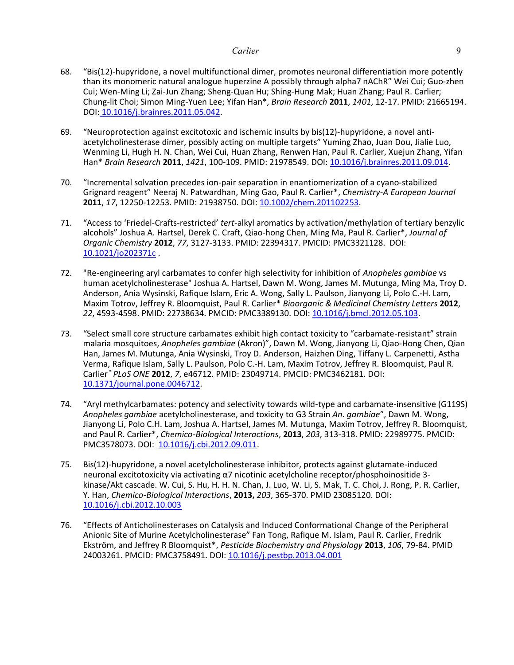- 68. "Bis(12)-hupyridone, a novel multifunctional dimer, promotes neuronal differentiation more potently than its monomeric natural analogue huperzine A possibly through alpha7 nAChR" Wei Cui; Guo-zhen Cui; Wen-Ming Li; Zai-Jun Zhang; Sheng-Quan Hu; Shing-Hung Mak; Huan Zhang; Paul R. Carlier; Chung-lit Choi; Simon Ming-Yuen Lee; Yifan Han\*, *Brain Research* **2011**, *1401*, 12-17. PMID: 21665194. DOI: [10.1016/j.brainres.2011.05.042.](/doi/%2010.1016:j.brainres.2011.05.042)
- 69. "Neuroprotection against excitotoxic and ischemic insults by bis(12)-hupyridone, a novel antiacetylcholinesterase dimer, possibly acting on multiple targets" Yuming Zhao, Juan Dou, Jialie Luo, Wenming Li, Hugh H. N. Chan, Wei Cui, Huan Zhang, Renwen Han, Paul R. Carlier, Xuejun Zhang, Yifan Han\* *Brain Research* **2011**, *1421*, 100-109. PMID: 21978549. [DOI: 10.1016/j.brainres.2011.09.014.](http://dx.doi.org/10.1016/j.brainres.2011.09.014)
- 70. "Incremental solvation precedes ion-pair separation in enantiomerization of a cyano-stabilized Grignard reagent" Neeraj N. Patwardhan, Ming Gao, Paul R. Carlier\*, *Chemistry-A European Journal*  **2011**, *17*, 12250-12253. PMID: 21938750. DOI: [10.1002/chem.201102253.](http://dx.doi.org/10.1002/chem.201102253)
- 71. "Access to 'Friedel-Crafts-restricted' *tert*-alkyl aromatics by activation/methylation of tertiary benzylic alcohols" Joshua A. Hartsel, Derek C. Craft, Qiao-hong Chen, Ming Ma, Paul R. Carlier\*, *Journal of Organic Chemistry* **2012**, *77*, 3127-3133. PMID: 22394317. PMCID: PMC3321128. DOI: [10.1021/jo202371c](http://dx.doi.org/10.1021/jo202371c) .
- 72. "Re-engineering aryl carbamates to confer high selectivity for inhibition of *Anopheles gambiae* vs human acetylcholinesterase" Joshua A. Hartsel, Dawn M. Wong, James M. Mutunga, Ming Ma, Troy D. Anderson, Ania Wysinski, Rafique Islam, Eric A. Wong, Sally L. Paulson, Jianyong Li, Polo C.-H. Lam, Maxim Totrov, Jeffrey R. Bloomquist, Paul R. Carlier\* *Bioorganic & Medicinal Chemistry Letters* **2012**, *22*, 4593-4598. PMID: 22738634. PMCID: PMC3389130. DOI: [10.1016/j.bmcl.2012.05.103.](http://dx.doi.org/10.1016/j.bmcl.2012.05.103)
- 73. "Select small core structure carbamates exhibit high contact toxicity to "carbamate-resistant" strain malaria mosquitoes, *Anopheles gambiae* (Akron)", Dawn M. Wong, Jianyong Li, Qiao-Hong Chen, Qian Han, James M. Mutunga, Ania Wysinski, Troy D. Anderson, Haizhen Ding, Tiffany L. Carpenetti, Astha Verma, Rafique Islam, Sally L. Paulson, Polo C.-H. Lam, Maxim Totrov, Jeffrey R. Bloomquist, Paul R. Carlier \* *PLoS ONE* **2012**, *7*, e46712. PMID: 23049714. PMCID: PMC3462181. DOI: [10.1371/journal.pone.0046712.](http://dx.doi.org/10.1371/journal.pone.0046712)
- 74. "Aryl methylcarbamates: potency and selectivity towards wild-type and carbamate-insensitive (G119S) *Anopheles gambiae* acetylcholinesterase, and toxicity to G3 Strain *An. gambiae*", Dawn M. Wong, Jianyong Li, Polo C.H. Lam, Joshua A. Hartsel, James M. Mutunga, Maxim Totrov, Jeffrey R. Bloomquist, and Paul R. Carlier\*, *Chemico-Biological Interactions*, **2013**, *203*, 313-318. PMID: 22989775. PMCID: PMC3578073. DOI: [10.1016/j.cbi.2012.09.011.](http://dx.doi.org/10.1016/j.cbi.2012.09.001)
- 75. Bis(12)-hupyridone, a novel acetylcholinesterase inhibitor, protects against glutamate-induced neuronal excitotoxicity via activating α7 nicotinic acetylcholine receptor/phosphoinositide 3 kinase/Akt cascade. W. Cui, S. Hu, H. H. N. Chan, J. Luo, W. Li, S. Mak, T. C. Choi, J. Rong, P. R. Carlier, Y. Han, *Chemico-Biological Interactions*, **2013,** *203*, 365-370. PMID 23085120. DOI: [10.1016/j.cbi.2012.10.003](http://dx.doi.org/10.1016/j.cbi.2012.10.003)
- 76. "Effects of Anticholinesterases on Catalysis and Induced Conformational Change of the Peripheral Anionic Site of Murine Acetylcholinesterase" Fan Tong, Rafique M. Islam, Paul R. Carlier, Fredrik Ekström, and Jeffrey R Bloomquist\*, *Pesticide Biochemistry and Physiology* **2013**, *106*, 79-84. PMID 24003261. PMCID: PMC3758491. DOI: [10.1016/j.pestbp.2013.04.001](http://dx.doi.org/10.1016/j.pestbp.2013.04.001)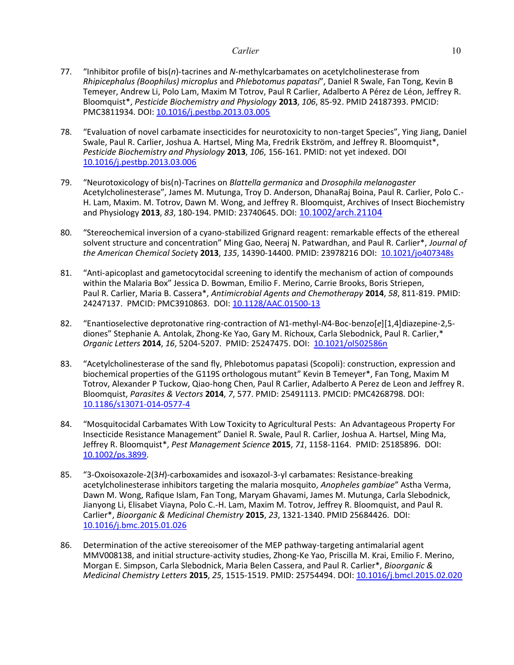- 77. "Inhibitor profile of bis(*n*)-tacrines and *N*-methylcarbamates on acetylcholinesterase from *Rhipicephalus (Boophilus) microplus* and *Phlebotomus papatasi*", Daniel R Swale, Fan Tong, Kevin B Temeyer, Andrew Li, Polo Lam, Maxim M Totrov, Paul R Carlier, Adalberto A Pérez de Léon, Jeffrey R. Bloomquist\*, *Pesticide Biochemistry and Physiology* **2013**, *106*, 85-92. PMID 24187393. PMCID: PMC3811934. DOI: [10.1016/j.pestbp.2013.03.005](http://dx.doi.org/10.1016/j.pestbp.2013.03.005)
- 78. "Evaluation of novel carbamate insecticides for neurotoxicity to non-target Species", Ying Jiang, Daniel Swale, Paul R. Carlier, Joshua A. Hartsel, Ming Ma, Fredrik Ekström, and Jeffrey R. Bloomquist\*, *Pesticide Biochemistry and Physiology* **2013**, *106*, 156-161. PMID: not yet indexed. DOI [10.1016/j.pestbp.2013.03.006](http://dx.doi.org/10.1016/j.pestbp.2013.03.006)
- 79. "Neurotoxicology of bis(n)-Tacrines on *Blattella germanica* and *Drosophila melanogaster* Acetylcholinesterase", James M. Mutunga, Troy D. Anderson, DhanaRaj Boina, Paul R. Carlier, Polo C.- H. Lam, Maxim. M. Totrov, Dawn M. Wong, and Jeffrey R. Bloomquist, Archives of Insect Biochemistry and Physiology **2013**, *83*, 180-194. PMID: 23740645. DOI: [10.1002/arch.21104](http://dx.doi.org/10.1002/arch.21104)
- 80. "Stereochemical inversion of a cyano-stabilized Grignard reagent: remarkable effects of the ethereal solvent structure and concentration" Ming Gao, Neeraj N. Patwardhan, and Paul R. Carlier\*, *Journal of the American Chemical Societ*y **2013**, *135*, 14390-14400. PMID: 23978216 DOI: [10.1021/jo407348s](http://dx.doi.org/10.1021/ja407348s)
- 81. "Anti-apicoplast and gametocytocidal screening to identify the mechanism of action of compounds within the Malaria Box" Jessica D. Bowman, Emilio F. Merino, Carrie Brooks, Boris Striepen, Paul R. Carlier, Maria B. Cassera\*, *Antimicrobial Agents and Chemotherapy* **2014**, *58*, 811-819. PMID: 24247137. PMCID: PMC3910863. DOI: [10.1128/AAC.01500-13](http://dx.doi.org/10.1128/AAC.01500-13)
- 82. "Enantioselective deprotonative ring-contraction of *N*1-methyl-*N*4-Boc-benzo[*e*][1,4]diazepine-2,5 diones" Stephanie A. Antolak, Zhong-Ke Yao, Gary M. Richoux, Carla Slebodnick, Paul R. Carlier,\* *Organic Letters* **2014**, *16*, 5204-5207. PMID: 25247475. DOI: [10.1021/ol502586n](http://dx.doi.org/10.1021/ol502586n)
- 83. "Acetylcholinesterase of the sand fly, Phlebotomus papatasi (Scopoli): construction, expression and biochemical properties of the G119S orthologous mutant" Kevin B Temeyer\*, Fan Tong, Maxim M Totrov, Alexander P Tuckow, Qiao-hong Chen, Paul R Carlier, Adalberto A Perez de Leon and Jeffrey R. Bloomquist, *Parasites & Vectors* **2014**, *7*, 577. PMID: 25491113. PMCID: PMC4268798. DOI: [10.1186/s13071-014-0577-4](http://dx.doi.org/10.1186/s13071-014-0577-4)
- 84. "Mosquitocidal Carbamates With Low Toxicity to Agricultural Pests: An Advantageous Property For Insecticide Resistance Management" Daniel R. Swale, Paul R. Carlier, Joshua A. Hartsel, Ming Ma, Jeffrey R. Bloomquist\*, *Pest Management Science* **2015**, *71*, 1158-1164. PMID: 25185896. DOI: [10.1002/ps.3899.](http://dx.doi.org/10.1002/ps.3899)
- 85. "3-Oxoisoxazole-2(3*H*)-carboxamides and isoxazol-3-yl carbamates: Resistance-breaking acetylcholinesterase inhibitors targeting the malaria mosquito, *Anopheles gambiae*" Astha Verma, Dawn M. Wong, Rafique Islam, Fan Tong, Maryam Ghavami, James M. Mutunga, Carla Slebodnick, Jianyong Li, Elisabet Viayna, Polo C.-H. Lam, Maxim M. Totrov, Jeffrey R. Bloomquist, and Paul R. Carlier\*, *Bioorganic & Medicinal Chemistry* **2015**, *23*, 1321-1340. PMID 25684426. DOI: [10.1016/j.bmc.2015.01.026](http://dx.doi.org/10.1016/j.bmc.2015.01.026)
- 86. Determination of the active stereoisomer of the MEP pathway-targeting antimalarial agent MMV008138, and initial structure-activity studies, Zhong-Ke Yao, Priscilla M. Krai, Emilio F. Merino, Morgan E. Simpson, Carla Slebodnick, Maria Belen Cassera, and Paul R. Carlier\*, *Bioorganic & Medicinal Chemistry Letters* **2015**, *25*, 1515-1519. PMID: 25754494. DOI[: 10.1016/j.bmcl.2015.02.020](http://dx.doi.org/10.1016/j.bmcl.2015.02.020)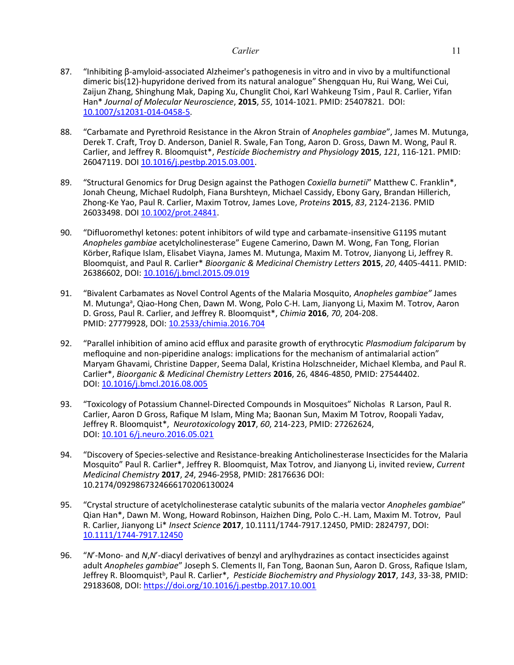- 87. "Inhibiting β-amyloid-associated Alzheimer's pathogenesis in vitro and in vivo by a multifunctional dimeric bis(12)-hupyridone derived from its natural analogue" Shengquan Hu, Rui Wang, Wei Cui, Zaijun Zhang, Shinghung Mak, Daping Xu, Chunglit Choi, Karl Wahkeung Tsim, Paul R. Carlier, Yifan Han\* *Journal of Molecular Neuroscience*, **2015**, *55*, 1014-1021. PMID: 25407821. DOI: [10.1007/s12031-014-0458-5.](http://dx.doi.org/10.1007/s12031-014-0458-5)
- 88. "Carbamate and Pyrethroid Resistance in the Akron Strain of *Anopheles gambiae*", James M. Mutunga, Derek T. Craft, Troy D. Anderson, Daniel R. Swale, Fan Tong, Aaron D. Gross, Dawn M. Wong, Paul R. Carlier, and Jeffrey R. Bloomquist\*, *Pesticide Biochemistry and Physiology* **2015**, *121*, 116-121. PMID: 26047119. DOI [10.1016/j.pestbp.2015.03.001.](http://dx.doi.org/10.1016/j.pestbp.2015.03.001)
- 89. "Structural Genomics for Drug Design against the Pathogen *Coxiella burnetii*" Matthew C. Franklin\*, Jonah Cheung, Michael Rudolph, Fiana Burshteyn, Michael Cassidy, Ebony Gary, Brandan Hillerich, Zhong-Ke Yao, Paul R. Carlier, Maxim Totrov, James Love, *Proteins* **2015**, *83*, 2124-2136. PMID 26033498. DOI [10.1002/prot.24841.](http://dx.doi.org/10.1002/prot.24841)
- 90. "Difluoromethyl ketones: potent inhibitors of wild type and carbamate-insensitive G119S mutant *Anopheles gambiae* acetylcholinesterase" Eugene Camerino, Dawn M. Wong, Fan Tong, Florian Körber, Rafique Islam, Elisabet Viayna, James M. Mutunga, Maxim M. Totrov, Jianyong Li, Jeffrey R. Bloomquist, and Paul R. Carlier\* *Bioorganic & Medicinal Chemistry Letters* **2015**, *20*, 4405-4411. PMID: 26386602, DOI: [10.1016/j.bmcl.2015.09.019](http://dx.doi.org/10.1016/j.bmcl.2015.09.019)
- 91. "Bivalent Carbamates as Novel Control Agents of the Malaria Mosquito, *Anopheles gambiae"* James M. Mutunga<sup>a</sup>, Qiao-Hong Chen, Dawn M. Wong, Polo C-H. Lam, Jianyong Li, Maxim M. Totrov, Aaron D. Gross, Paul R. Carlier, and Jeffrey R. Bloomquist\*, *Chimia* **2016**, *70*, 204-208. PMID: 27779928, DOI: [10.2533/chimia.2016.704](http://dx.doi.org/10.2533/chimia.2016.704)
- 92. "Parallel inhibition of amino acid efflux and parasite growth of erythrocytic *Plasmodium falciparum* by mefloquine and non-piperidine analogs: implications for the mechanism of antimalarial action" Maryam Ghavami, Christine Dapper, Seema Dalal, Kristina Holzschneider, Michael Klemba, and Paul R. Carlier\*, *Bioorganic & Medicinal Chemistry Letters* **2016**, 26, 4846-4850, PMID: 27544402. DOI: [10.1016/j.bmcl.2016.08.005](http://dx.doi.org/10.1016/j.bmcl.2016.08.005)
- 93. "Toxicology of Potassium Channel-Directed Compounds in Mosquitoes" Nicholas R Larson, Paul R. Carlier, Aaron D Gross, Rafique M Islam, Ming Ma; Baonan Sun, Maxim M Totrov, Roopali Yadav, Jeffrey R. Bloomquist\*, *Neurotoxicolog*y **2017**, *60*, 214-223, PMID: 27262624, DOI: [10.101 6/j.neuro.2016.05.021](http://dx.doi.org/10.1016/j.neuro.2016.05.021)
- 94. "Discovery of Species-selective and Resistance-breaking Anticholinesterase Insecticides for the Malaria Mosquito" Paul R. Carlier\*, Jeffrey R. Bloomquist, Max Totrov, and Jianyong Li, invited review, *Current Medicinal Chemistry* **2017**, *24*, 2946-2958, PMID: 28176636 DOI: 10.2174/0929867324666170206130024
- 95. "Crystal structure of acetylcholinesterase catalytic subunits of the malaria vector *Anopheles gambiae*" Qian Han\*, Dawn M. Wong, Howard Robinson, Haizhen Ding, Polo C.-H. Lam, Maxim M. Totrov, Paul R. Carlier, Jianyong Li\* *Insect Science* **2017**, 10.1111/1744-7917.12450, PMID: 2824797, DOI: [10.1111/1744-7917.12450](http://dx.doi.org/10.1111/1744-7917.12450)
- 96. "*N*'-Mono- and *N*,*N*'-diacyl derivatives of benzyl and arylhydrazines as contact insecticides against adult *Anopheles gambiae*" Joseph S. Clements II, Fan Tong, Baonan Sun, Aaron D. Gross, Rafique Islam, Jeffrey R. Bloomquist<sup>b</sup>, Paul R. Carlier\*, Pesticide Biochemistry and Physiology 2017, 143, 33-38, PMID: 29183608, DOI:<https://doi.org/10.1016/j.pestbp.2017.10.001>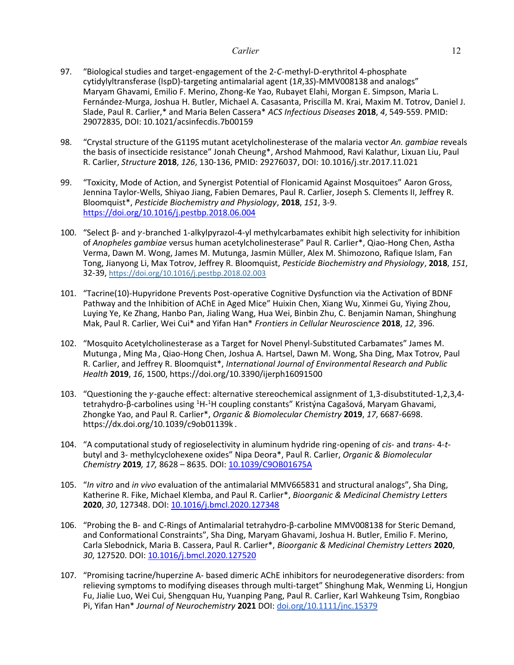- 97. "Biological studies and target-engagement of the 2-*C*-methyl-D-erythritol 4-phosphate cytidylyltransferase (IspD)-targeting antimalarial agent (1*R*,3*S*)-MMV008138 and analogs" Maryam Ghavami, Emilio F. Merino, Zhong-Ke Yao, Rubayet Elahi, Morgan E. Simpson, Maria L. Fernández-Murga, Joshua H. Butler, Michael A. Casasanta, Priscilla M. Krai, Maxim M. Totrov, Daniel J. Slade, Paul R. Carlier,\* and Maria Belen Cassera\* *ACS Infectious Diseases* **2018**, *4*, 549-559. PMID: 29072835, DOI: 10.1021/acsinfecdis.7b00159
- 98. "Crystal structure of the G119S mutant acetylcholinesterase of the malaria vector *An. gambiae* reveals the basis of insecticide resistance" Jonah Cheung\*, Arshod Mahmood, Ravi Kalathur, Lixuan Liu, Paul R. Carlier, *Structure* **2018**, *126*, 130-136, PMID: 29276037, DOI: 10.1016/j.str.2017.11.021
- 99. "Toxicity, Mode of Action, and Synergist Potential of Flonicamid Against Mosquitoes" Aaron Gross, Jennina Taylor-Wells, Shiyao Jiang, Fabien Demares, Paul R. Carlier, Joseph S. Clements II, Jeffrey R. Bloomquist\*, *Pesticide Biochemistry and Physiology*, **2018**, *151*, 3-9. <https://doi.org/10.1016/j.pestbp.2018.06.004>
- 100. "Select β- and γ-branched 1-alkylpyrazol-4-yl methylcarbamates exhibit high selectivity for inhibition of *Anopheles gambiae* versus human acetylcholinesterase" Paul R. Carlier\*, Qiao-Hong Chen, Astha Verma, Dawn M. Wong, James M. Mutunga, Jasmin Müller, Alex M. Shimozono, Rafique Islam, Fan Tong, Jianyong Li, Max Totrov, Jeffrey R. Bloomquist, *Pesticide Biochemistry and Physiology*, **2018**, *151*, 32-39, <https://doi.org/10.1016/j.pestbp.2018.02.003>
- 101. "Tacrine(10)-Hupyridone Prevents Post-operative Cognitive Dysfunction via the Activation of BDNF Pathway and the Inhibition of AChE in Aged Mice" Huixin Chen, Xiang Wu, Xinmei Gu, Yiying Zhou, Luying Ye, Ke Zhang, Hanbo Pan, Jialing Wang, Hua Wei, Binbin Zhu, C. Benjamin Naman, Shinghung Mak, Paul R. Carlier, Wei Cui\* and Yifan Han\* *Frontiers in Cellular Neuroscience* **2018**, *12*, 396.
- 102. "Mosquito Acetylcholinesterase as a Target for Novel Phenyl-Substituted Carbamates" James M. Mutunga , Ming Ma , Qiao-Hong Chen, Joshua A. Hartsel, Dawn M. Wong, Sha Ding, Max Totrov, Paul R. Carlier, and Jeffrey R. Bloomquist\*, *International Journal of Environmental Research and Public Health* **2019**, *16*, 1500, https://doi.org/10.3390/ijerph16091500
- 103. "Questioning the  $\gamma$ -gauche effect: alternative stereochemical assignment of 1,3-disubstituted-1,2,3,4tetrahydro-β-carbolines using <sup>1</sup>H-<sup>1</sup>H coupling constants" Kristýna Cagašová, Maryam Ghavami, Zhongke Yao, and Paul R. Carlier\*, *Organic & Biomolecular Chemistry* **2019**, *17*, 6687-6698. https://dx.doi.org/10.1039/c9ob01139k .
- 104. "A computational study of regioselectivity in aluminum hydride ring-opening of *cis* and *trans* 4-*t*butyl and 3- methylcyclohexene oxides" Nipa Deora\*, Paul R. Carlier, *Organic & Biomolecular Chemistry* **2019***, 17,* 8628 – 8635*.* DOI: [10.1039/C9OB01675A](https://doi.org/10.1039/C9OB01675A)
- 105. "*In vitro* and *in vivo* evaluation of the antimalarial MMV665831 and structural analogs", Sha Ding, Katherine R. Fike, Michael Klemba, and Paul R. Carlier\*, *Bioorganic & Medicinal Chemistry Letters* **2020**, *30*, 127348. DOI: [10.1016/j.bmcl.2020.127348](https://doi.org/10.1016/j.bmcl.2020.127348)
- 106. "Probing the B- and C-Rings of Antimalarial tetrahydro-β-carboline MMV008138 for Steric Demand, and Conformational Constraints", Sha Ding, Maryam Ghavami, Joshua H. Butler, Emilio F. Merino, Carla Slebodnick, Maria B. Cassera, Paul R. Carlier\*, *Bioorganic & Medicinal Chemistry Letters* **2020**, *30*, 127520. DOI: [10.1016/j.bmcl.2020.127520](https://dx.doi.org/10.1016/j.bmcl.2020.127520)
- 107. "Promising tacrine/huperzine A- based dimeric AChE inhibitors for neurodegenerative disorders: from relieving symptoms to modifying diseases through multi-target" Shinghung Mak, Wenming Li, Hongjun Fu, Jialie Luo, Wei Cui, Shengquan Hu, Yuanping Pang, Paul R. Carlier, Karl Wahkeung Tsim, Rongbiao Pi, Yifan Han\* *Journal of Neurochemistry* **2021** DOI: [doi.org/10.1111/jnc.15379](http://doi.org/10.1111/jnc.15379)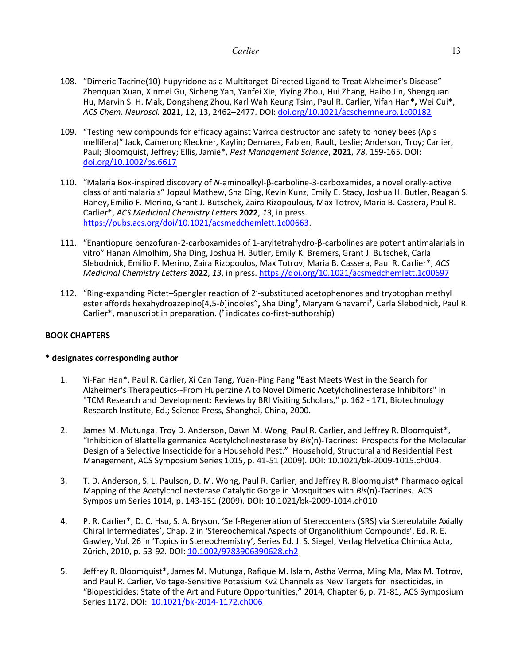- 108. "Dimeric Tacrine(10)-hupyridone as a Multitarget-Directed Ligand to Treat Alzheimer's Disease" Zhenquan Xuan, Xinmei Gu, Sicheng Yan, Yanfei Xie, Yiying Zhou, Hui Zhang, Haibo Jin, Shengquan Hu, Marvin S. H. Mak, Dongsheng Zhou, Karl Wah Keung Tsim, Paul R. Carlier, Yifan Han**\*,** Wei Cui\*, *ACS Chem. Neurosci.* **2021**, 12, 13, 2462–2477. DOI: [doi.org/10.1021/acschemneuro.1c00182](https://doi.org/10.1021/acschemneuro.1c00182)
- 109. "Testing new compounds for efficacy against Varroa destructor and safety to honey bees (Apis mellifera)" Jack, Cameron; Kleckner, Kaylin; Demares, Fabien; Rault, Leslie; Anderson, Troy; Carlier, Paul; Bloomquist, Jeffrey; Ellis, Jamie\*, *Pest Management Science*, **2021**, *78*, 159-165. DOI: [doi.org/10.1002/ps.6617](https://doi.org/10.1002/ps.6617)
- 110. "Malaria Box-inspired discovery of *N*-aminoalkyl-β-carboline-3-carboxamides, a novel orally-active class of antimalarials" Jopaul Mathew, Sha Ding, Kevin Kunz, Emily E. Stacy, Joshua H. Butler, Reagan S. Haney, Emilio F. Merino, Grant J. Butschek, Zaira Rizopoulous, Max Totrov, Maria B. Cassera, Paul R. Carlier\*, *ACS Medicinal Chemistry Letters* **2022**, *13*, in press. [https://pubs.acs.org/doi/10.1021/acsmedchemlett.1c00663.](https://pubs.acs.org/doi/10.1021/acsmedchemlett.1c00663)
- 111. "Enantiopure benzofuran-2-carboxamides of 1-aryltetrahydro-β-carbolines are potent antimalarials in vitro" Hanan Almolhim, Sha Ding, Joshua H. Butler, Emily K. Bremers,Grant J. Butschek, Carla Slebodnick, Emilio F. Merino, Zaira Rizopoulos, Max Totrov, Maria B. Cassera, Paul R. Carlier\*, *ACS Medicinal Chemistry Letters* **2022**, *13*, in press.<https://doi.org/10.1021/acsmedchemlett.1c00697>
- 112. "Ring-expanding Pictet–Spengler reaction of 2ʹ-substituted acetophenones and tryptophan methyl ester affords hexahydroazepino[4,5-*b*]indoles"**,** Sha Ding† , Maryam Ghavami† , Carla Slebodnick, Paul R. Carlier\*, manuscript in preparation. ( † indicates co-first-authorship)

# **BOOK CHAPTERS**

# **\* designates corresponding author**

- 1. Yi-Fan Han\*, Paul R. Carlier, Xi Can Tang, Yuan-Ping Pang "East Meets West in the Search for Alzheimer's Therapeutics--From Huperzine A to Novel Dimeric Acetylcholinesterase Inhibitors" in "TCM Research and Development: Reviews by BRI Visiting Scholars," p. 162 - 171, Biotechnology Research Institute, Ed.; Science Press, Shanghai, China, 2000.
- 2. James M. Mutunga, Troy D. Anderson, Dawn M. Wong, Paul R. Carlier, and Jeffrey R. Bloomquist\*, "Inhibition of Blattella germanica Acetylcholinesterase by *Bis*(n)-Tacrines: Prospects for the Molecular Design of a Selective Insecticide for a Household Pest." Household, Structural and Residential Pest Management, ACS Symposium Series 1015, p. 41-51 (2009). DOI: 10.1021/bk-2009-1015.ch004.
- 3. T. D. Anderson, S. L. Paulson, D. M. Wong, Paul R. Carlier, and Jeffrey R. Bloomquist\* Pharmacological Mapping of the Acetylcholinesterase Catalytic Gorge in Mosquitoes with *Bis*(n)-Tacrines. ACS Symposium Series 1014, p. 143-151 (2009). DOI: 10.1021/bk-2009-1014.ch010
- 4. P. R. Carlier\*, D. C. Hsu, S. A. Bryson, 'Self-Regeneration of Stereocenters (SRS) via Stereolabile Axially Chiral Intermediates', Chap. 2 in 'Stereochemical Aspects of Organolithium Compounds', Ed. R. E. Gawley, Vol. 26 in 'Topics in Stereochemistry', Series Ed. J. S. Siegel, Verlag Helvetica Chimica Acta, Zürich, 2010, p. 53-92. DOI[: 10.1002/9783906390628.ch2](http://dx.doi.org/10.1002/9783906390628.ch2)
- 5. Jeffrey R. Bloomquist\*, James M. Mutunga, Rafique M. Islam, Astha Verma, Ming Ma, Max M. Totrov, and Paul R. Carlier, Voltage-Sensitive Potassium Kv2 Channels as New Targets for Insecticides, in "Biopesticides: State of the Art and Future Opportunities," 2014, Chapter 6, p. 71-81, ACS Symposium Series 1172. DOI: [10.1021/bk-2014-1172.ch006](http://dx.doi.org/10.1021/bk-2014-1172.ch006)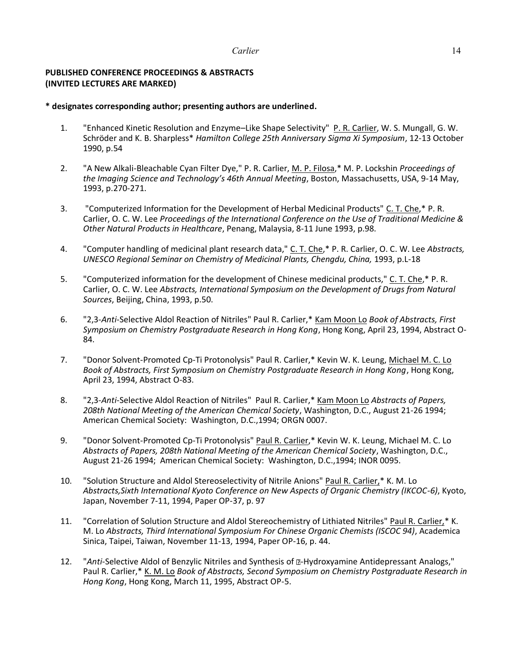# **PUBLISHED CONFERENCE PROCEEDINGS & ABSTRACTS (INVITED LECTURES ARE MARKED)**

# **\* designates corresponding author; presenting authors are underlined.**

- 1. "Enhanced Kinetic Resolution and Enzyme–Like Shape Selectivity" P. R. Carlier, W. S. Mungall, G. W. Schröder and K. B. Sharpless\* *Hamilton College 25th Anniversary Sigma Xi Symposium*, 12-13 October 1990, p.54
- 2. "A New Alkali-Bleachable Cyan Filter Dye," P. R. Carlier, M. P. Filosa,\* M. P. Lockshin *Proceedings of the Imaging Science and Technology's 46th Annual Meeting*, Boston, Massachusetts, USA, 9-14 May, 1993, p.270-271.
- 3. "Computerized Information for the Development of Herbal Medicinal Products" C. T. Che,\* P. R. Carlier, O. C. W. Lee *Proceedings of the International Conference on the Use of Traditional Medicine & Other Natural Products in Healthcare*, Penang, Malaysia, 8-11 June 1993, p.98.
- 4. "Computer handling of medicinal plant research data," C. T. Che,\* P. R. Carlier, O. C. W. Lee *Abstracts, UNESCO Regional Seminar on Chemistry of Medicinal Plants, Chengdu, China,* 1993, p.L-18
- 5. "Computerized information for the development of Chinese medicinal products," C. T. Che,\* P. R. Carlier, O. C. W. Lee *Abstracts, International Symposium on the Development of Drugs from Natural Sources*, Beijing, China, 1993, p.50.
- 6. "2,3-*Anti*-Selective Aldol Reaction of Nitriles" Paul R. Carlier,\* Kam Moon Lo *Book of Abstracts, First Symposium on Chemistry Postgraduate Research in Hong Kong*, Hong Kong, April 23, 1994, Abstract O-84.
- 7. "Donor Solvent-Promoted Cp-Ti Protonolysis" Paul R. Carlier,\* Kevin W. K. Leung, Michael M. C. Lo *Book of Abstracts, First Symposium on Chemistry Postgraduate Research in Hong Kong*, Hong Kong, April 23, 1994, Abstract O-83.
- 8. "2,3-*Anti*-Selective Aldol Reaction of Nitriles" Paul R. Carlier,\* Kam Moon Lo *Abstracts of Papers, 208th National Meeting of the American Chemical Society*, Washington, D.C., August 21-26 1994; American Chemical Society: Washington, D.C.,1994; ORGN 0007.
- 9. "Donor Solvent-Promoted Cp-Ti Protonolysis" Paul R. Carlier,\* Kevin W. K. Leung, Michael M. C. Lo *Abstracts of Papers, 208th National Meeting of the American Chemical Society*, Washington, D.C., August 21-26 1994; American Chemical Society: Washington, D.C.,1994; INOR 0095.
- 10. "Solution Structure and Aldol Stereoselectivity of Nitrile Anions" Paul R. Carlier,\* K. M. Lo *Abstracts,Sixth International Kyoto Conference on New Aspects of Organic Chemistry (IKCOC-6)*, Kyoto, Japan, November 7-11, 1994, Paper OP-37, p. 97
- 11. "Correlation of Solution Structure and Aldol Stereochemistry of Lithiated Nitriles" Paul R. Carlier,\* K. M. Lo *Abstracts, Third International Symposium For Chinese Organic Chemists (ISCOC 94)*, Academica Sinica, Taipei, Taiwan, November 11-13, 1994, Paper OP-16, p. 44.
- 12. "Anti-Selective Aldol of Benzylic Nitriles and Synthesis of D-Hydroxyamine Antidepressant Analogs," Paul R. Carlier,\* K. M. Lo *Book of Abstracts, Second Symposium on Chemistry Postgraduate Research in Hong Kong*, Hong Kong, March 11, 1995, Abstract OP-5.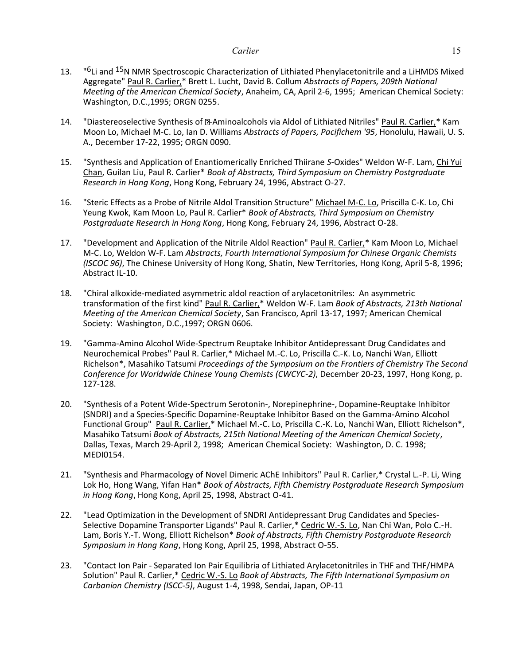- 13. " <sup>"6</sup>Li and <sup>15</sup>N NMR Spectroscopic Characterization of Lithiated Phenylacetonitrile and a LiHMDS Mixed Aggregate" Paul R. Carlier,\* Brett L. Lucht, David B. Collum *Abstracts of Papers, 209th National Meeting of the American Chemical Society*, Anaheim, CA, April 2-6, 1995; American Chemical Society: Washington, D.C.,1995; ORGN 0255.
- 14. "Diastereoselective Synthesis of 2-Aminoalcohols via Aldol of Lithiated Nitriles" Paul R. Carlier,\* Kam Moon Lo, Michael M-C. Lo, Ian D. Williams *Abstracts of Papers, Pacifichem '95*, Honolulu, Hawaii, U. S. A., December 17-22, 1995; ORGN 0090.
- 15. "Synthesis and Application of Enantiomerically Enriched Thiirane *S*-Oxides" Weldon W-F. Lam, Chi Yui Chan, Guilan Liu, Paul R. Carlier\* *Book of Abstracts, Third Symposium on Chemistry Postgraduate Research in Hong Kong*, Hong Kong, February 24, 1996, Abstract O-27.
- 16. "Steric Effects as a Probe of Nitrile Aldol Transition Structure" Michael M-C. Lo, Priscilla C-K. Lo, Chi Yeung Kwok, Kam Moon Lo, Paul R. Carlier\* *Book of Abstracts, Third Symposium on Chemistry Postgraduate Research in Hong Kong*, Hong Kong, February 24, 1996, Abstract O-28.
- 17. "Development and Application of the Nitrile Aldol Reaction" Paul R. Carlier,\* Kam Moon Lo, Michael M-C. Lo, Weldon W-F. Lam *Abstracts, Fourth International Symposium for Chinese Organic Chemists (ISCOC 96)*, The Chinese University of Hong Kong, Shatin, New Territories, Hong Kong, April 5-8, 1996; Abstract IL-10.
- 18. "Chiral alkoxide-mediated asymmetric aldol reaction of arylacetonitriles: An asymmetric transformation of the first kind" Paul R. Carlier,\* Weldon W-F. Lam *Book of Abstracts, 213th National Meeting of the American Chemical Society*, San Francisco, April 13-17, 1997; American Chemical Society: Washington, D.C.,1997; ORGN 0606.
- 19. "Gamma-Amino Alcohol Wide-Spectrum Reuptake Inhibitor Antidepressant Drug Candidates and Neurochemical Probes" Paul R. Carlier,\* Michael M.-C. Lo, Priscilla C.-K. Lo, Nanchi Wan, Elliott Richelson\*, Masahiko Tatsumi *Proceedings of the Symposium on the Frontiers of Chemistry The Second Conference for Worldwide Chinese Young Chemists (CWCYC-2)*, December 20-23, 1997, Hong Kong, p. 127-128.
- 20. "Synthesis of a Potent Wide-Spectrum Serotonin-, Norepinephrine-, Dopamine-Reuptake Inhibitor (SNDRI) and a Species-Specific Dopamine-Reuptake Inhibitor Based on the Gamma-Amino Alcohol Functional Group" Paul R. Carlier,\* Michael M.-C. Lo, Priscilla C.-K. Lo, Nanchi Wan, Elliott Richelson\*, Masahiko Tatsumi *Book of Abstracts, 215th National Meeting of the American Chemical Society*, Dallas, Texas, March 29-April 2, 1998; American Chemical Society: Washington, D. C. 1998; MEDI0154.
- 21. "Synthesis and Pharmacology of Novel Dimeric AChE Inhibitors" Paul R. Carlier,\* Crystal L.-P. Li, Wing Lok Ho, Hong Wang, Yifan Han\* *Book of Abstracts, Fifth Chemistry Postgraduate Research Symposium in Hong Kong*, Hong Kong, April 25, 1998, Abstract O-41.
- 22. "Lead Optimization in the Development of SNDRI Antidepressant Drug Candidates and Species-Selective Dopamine Transporter Ligands" Paul R. Carlier,\* Cedric W.-S. Lo, Nan Chi Wan, Polo C.-H. Lam, Boris Y.-T. Wong, Elliott Richelson\* *Book of Abstracts, Fifth Chemistry Postgraduate Research Symposium in Hong Kong*, Hong Kong, April 25, 1998, Abstract O-55.
- 23. "Contact Ion Pair Separated Ion Pair Equilibria of Lithiated Arylacetonitriles in THF and THF/HMPA Solution" Paul R. Carlier,\* Cedric W.-S. Lo *Book of Abstracts, The Fifth International Symposium on Carbanion Chemistry (ISCC-5)*, August 1-4, 1998, Sendai, Japan, OP-11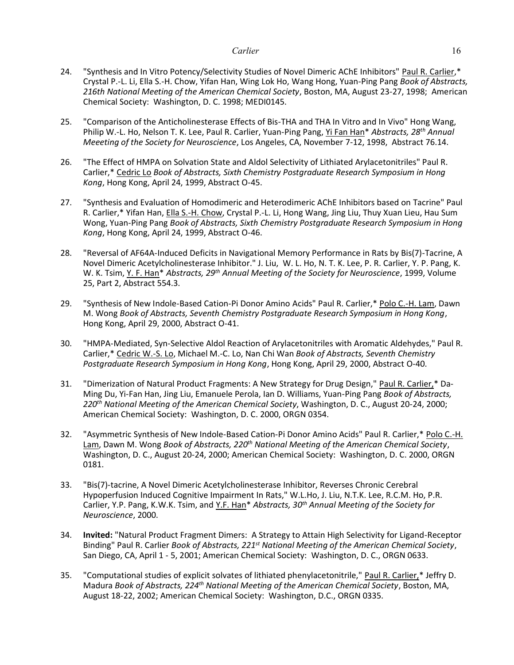- 24. "Synthesis and In Vitro Potency/Selectivity Studies of Novel Dimeric AChE Inhibitors" Paul R. Carlier,\* Crystal P.-L. Li, Ella S.-H. Chow, Yifan Han, Wing Lok Ho, Wang Hong, Yuan-Ping Pang *Book of Abstracts, 216th National Meeting of the American Chemical Society*, Boston, MA, August 23-27, 1998; American Chemical Society: Washington, D. C. 1998; MEDI0145.
- 25. "Comparison of the Anticholinesterase Effects of Bis-THA and THA In Vitro and In Vivo" Hong Wang, Philip W.-L. Ho, Nelson T. K. Lee, Paul R. Carlier, Yuan-Ping Pang, Yi Fan Han\* *Abstracts, 28th Annual Meeeting of the Society for Neuroscience*, Los Angeles, CA, November 7-12, 1998, Abstract 76.14.
- 26. "The Effect of HMPA on Solvation State and Aldol Selectivity of Lithiated Arylacetonitriles" Paul R. Carlier,\* Cedric Lo *Book of Abstracts, Sixth Chemistry Postgraduate Research Symposium in Hong Kong*, Hong Kong, April 24, 1999, Abstract O-45.
- 27. "Synthesis and Evaluation of Homodimeric and Heterodimeric AChE Inhibitors based on Tacrine" Paul R. Carlier,\* Yifan Han, Ella S.-H. Chow, Crystal P.-L. Li, Hong Wang, Jing Liu, Thuy Xuan Lieu, Hau Sum Wong, Yuan-Ping Pang *Book of Abstracts, Sixth Chemistry Postgraduate Research Symposium in Hong Kong*, Hong Kong, April 24, 1999, Abstract O-46.
- 28. "Reversal of AF64A-Induced Deficits in Navigational Memory Performance in Rats by Bis(7)-Tacrine, A Novel Dimeric Acetylcholinesterase Inhibitor." J. Liu, W. L. Ho, N. T. K. Lee, P. R. Carlier, Y. P. Pang, K. W. K. Tsim, Y. F. Han\* *Abstracts, 29th Annual Meeting of the Society for Neuroscience*, 1999, Volume 25, Part 2, Abstract 554.3.
- 29. "Synthesis of New Indole-Based Cation-Pi Donor Amino Acids" Paul R. Carlier,\* Polo C.-H. Lam, Dawn M. Wong *Book of Abstracts, Seventh Chemistry Postgraduate Research Symposium in Hong Kong*, Hong Kong, April 29, 2000, Abstract O-41.
- 30. "HMPA-Mediated, Syn-Selective Aldol Reaction of Arylacetonitriles with Aromatic Aldehydes," Paul R. Carlier,\* Cedric W.-S. Lo, Michael M.-C. Lo, Nan Chi Wan *Book of Abstracts, Seventh Chemistry Postgraduate Research Symposium in Hong Kong*, Hong Kong, April 29, 2000, Abstract O-40.
- 31. "Dimerization of Natural Product Fragments: A New Strategy for Drug Design," Paul R. Carlier,\* Da-Ming Du, Yi-Fan Han, Jing Liu, Emanuele Perola, Ian D. Williams, Yuan-Ping Pang *Book of Abstracts, 220th National Meeting of the American Chemical Society*, Washington, D. C., August 20-24, 2000; American Chemical Society: Washington, D. C. 2000, ORGN 0354.
- 32. "Asymmetric Synthesis of New Indole-Based Cation-Pi Donor Amino Acids" Paul R. Carlier,\* Polo C.-H. Lam, Dawn M. Wong *Book of Abstracts, 220th National Meeting of the American Chemical Society*, Washington, D. C., August 20-24, 2000; American Chemical Society: Washington, D. C. 2000, ORGN 0181.
- 33. "Bis(7)-tacrine, A Novel Dimeric Acetylcholinesterase Inhibitor, Reverses Chronic Cerebral Hypoperfusion Induced Cognitive Impairment In Rats," W.L.Ho, J. Liu, N.T.K. Lee, R.C.M. Ho, P.R. Carlier, Y.P. Pang, K.W.K. Tsim, and Y.F. Han\* *Abstracts, 30th Annual Meeting of the Society for Neuroscience*, 2000.
- 34. **Invited:** "Natural Product Fragment Dimers: A Strategy to Attain High Selectivity for Ligand-Receptor Binding" Paul R. Carlier *Book of Abstracts, 221st National Meeting of the American Chemical Society*, San Diego, CA, April 1 - 5, 2001; American Chemical Society: Washington, D. C., ORGN 0633.
- 35. "Computational studies of explicit solvates of lithiated phenylacetonitrile," Paul R. Carlier,\* Jeffry D. Madura *Book of Abstracts, 224th National Meeting of the American Chemical Society*, Boston, MA, August 18-22, 2002; American Chemical Society: Washington, D.C., ORGN 0335.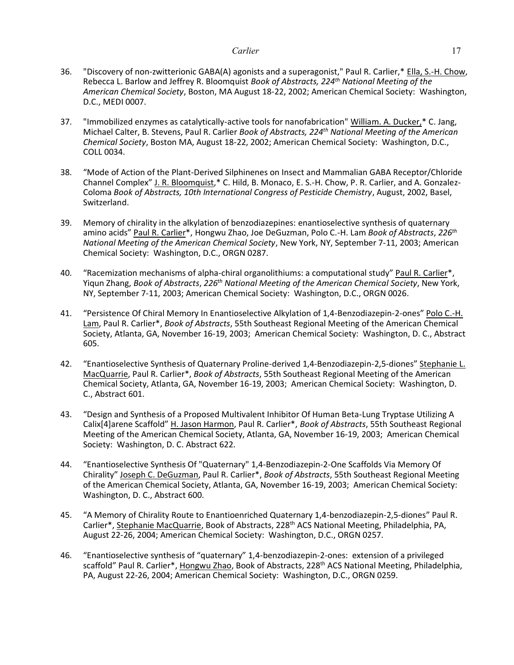- 36. "Discovery of non-zwitterionic GABA(A) agonists and a superagonist," Paul R. Carlier,\* Ella, S.-H. Chow, Rebecca L. Barlow and Jeffrey R. Bloomquist *Book of Abstracts, 224th National Meeting of the American Chemical Society*, Boston, MA August 18-22, 2002; American Chemical Society: Washington, D.C., MEDI 0007.
- 37. "Immobilized enzymes as catalytically-active tools for nanofabrication" William. A. Ducker,\* C. Jang, Michael Calter, B. Stevens, Paul R. Carlier *Book of Abstracts, 224th National Meeting of the American Chemical Society*, Boston MA, August 18-22, 2002; American Chemical Society: Washington, D.C., COLL 0034.
- 38. "Mode of Action of the Plant-Derived Silphinenes on Insect and Mammalian GABA Receptor/Chloride Channel Complex" J. R. Bloomquist,\* C. Hild, B. Monaco, E. S.-H. Chow, P. R. Carlier, and A. Gonzalez-Coloma *Book of Abstracts, 10th International Congress of Pesticide Chemistry*, August, 2002, Basel, Switzerland.
- 39. Memory of chirality in the alkylation of benzodiazepines: enantioselective synthesis of quaternary amino acids" Paul R. Carlier\*, Hongwu Zhao, Joe DeGuzman, Polo C.-H. Lam *Book of Abstracts*, *226th National Meeting of the American Chemical Society*, New York, NY, September 7-11, 2003; American Chemical Society: Washington, D.C., ORGN 0287.
- 40. "Racemization mechanisms of alpha-chiral organolithiums: a computational study" Paul R. Carlier\*, Yiqun Zhang, *Book of Abstracts*, *226th National Meeting of the American Chemical Society*, New York, NY, September 7-11, 2003; American Chemical Society: Washington, D.C., ORGN 0026.
- 41. "Persistence Of Chiral Memory In Enantioselective Alkylation of 1,4-Benzodiazepin-2-ones" Polo C.-H. Lam, Paul R. Carlier\*, *Book of Abstracts*, 55th Southeast Regional Meeting of the American Chemical Society, Atlanta, GA, November 16-19, 2003; American Chemical Society: Washington, D. C., Abstract 605.
- 42. "Enantioselective Synthesis of Quaternary Proline-derived 1,4-Benzodiazepin-2,5-diones" Stephanie L. MacQuarrie, Paul R. Carlier\*, *Book of Abstracts*, 55th Southeast Regional Meeting of the American Chemical Society, Atlanta, GA, November 16-19, 2003; American Chemical Society: Washington, D. C., Abstract 601.
- 43. "Design and Synthesis of a Proposed Multivalent Inhibitor Of Human Beta-Lung Tryptase Utilizing A Calix[4]arene Scaffold" H. Jason Harmon, Paul R. Carlier\*, *Book of Abstracts*, 55th Southeast Regional Meeting of the American Chemical Society, Atlanta, GA, November 16-19, 2003; American Chemical Society: Washington, D. C. Abstract 622.
- 44. "Enantioselective Synthesis Of "Quaternary" 1,4-Benzodiazepin-2-One Scaffolds Via Memory Of Chirality" Joseph C. DeGuzman, Paul R. Carlier\*, *Book of Abstracts*, 55th Southeast Regional Meeting of the American Chemical Society, Atlanta, GA, November 16-19, 2003; American Chemical Society: Washington, D. C., Abstract 600.
- 45. "A Memory of Chirality Route to Enantioenriched Quaternary 1,4-benzodiazepin-2,5-diones" Paul R. Carlier\*, Stephanie MacQuarrie, Book of Abstracts, 228<sup>th</sup> ACS National Meeting, Philadelphia, PA, August 22-26, 2004; American Chemical Society: Washington, D.C., ORGN 0257.
- 46. "Enantioselective synthesis of "quaternary" 1,4-benzodiazepin-2-ones: extension of a privileged scaffold" Paul R. Carlier\*, Hongwu Zhao, Book of Abstracts, 228<sup>th</sup> ACS National Meeting, Philadelphia, PA, August 22-26, 2004; American Chemical Society: Washington, D.C., ORGN 0259.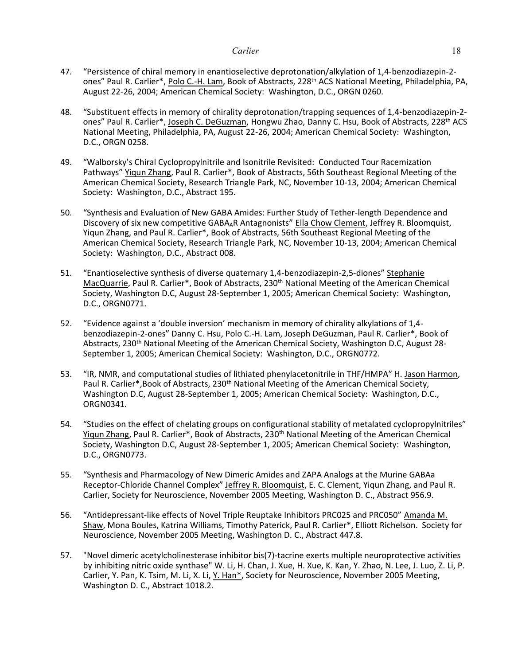- 47. "Persistence of chiral memory in enantioselective deprotonation/alkylation of 1,4-benzodiazepin-2 ones" Paul R. Carlier\*, Polo C.-H. Lam, Book of Abstracts, 228<sup>th</sup> ACS National Meeting, Philadelphia, PA, August 22-26, 2004; American Chemical Society: Washington, D.C., ORGN 0260.
- 48. "Substituent effects in memory of chirality deprotonation/trapping sequences of 1,4-benzodiazepin-2 ones" Paul R. Carlier\*, Joseph C. DeGuzman, Hongwu Zhao, Danny C. Hsu, Book of Abstracts, 228<sup>th</sup> ACS National Meeting, Philadelphia, PA, August 22-26, 2004; American Chemical Society: Washington, D.C., ORGN 0258.
- 49. "Walborsky's Chiral Cyclopropylnitrile and Isonitrile Revisited: Conducted Tour Racemization Pathways" Yiqun Zhang, Paul R. Carlier\*, Book of Abstracts, 56th Southeast Regional Meeting of the American Chemical Society, Research Triangle Park, NC, November 10-13, 2004; American Chemical Society: Washington, D.C., Abstract 195.
- 50. "Synthesis and Evaluation of New GABA Amides: Further Study of Tether-length Dependence and Discovery of six new competitive GABAAR Antagnonists" Ella Chow Clement, Jeffrey R. Bloomquist, Yiqun Zhang, and Paul R. Carlier\*, Book of Abstracts, 56th Southeast Regional Meeting of the American Chemical Society, Research Triangle Park, NC, November 10-13, 2004; American Chemical Society: Washington, D.C., Abstract 008.
- 51. "Enantioselective synthesis of diverse quaternary 1,4-benzodiazepin-2,5-diones" Stephanie MacQuarrie, Paul R. Carlier\*, Book of Abstracts, 230th National Meeting of the American Chemical Society, Washington D.C, August 28-September 1, 2005; American Chemical Society: Washington, D.C., ORGN0771.
- 52. "Evidence against a 'double inversion' mechanism in memory of chirality alkylations of 1,4 benzodiazepin-2-ones" Danny C. Hsu, Polo C.-H. Lam, Joseph DeGuzman, Paul R. Carlier\*, Book of Abstracts, 230<sup>th</sup> National Meeting of the American Chemical Society, Washington D.C, August 28-September 1, 2005; American Chemical Society: Washington, D.C., ORGN0772.
- 53. "IR, NMR, and computational studies of lithiated phenylacetonitrile in THF/HMPA" H. Jason Harmon, Paul R. Carlier\*, Book of Abstracts, 230<sup>th</sup> National Meeting of the American Chemical Society, Washington D.C, August 28-September 1, 2005; American Chemical Society: Washington, D.C., ORGN0341.
- 54. "Studies on the effect of chelating groups on configurational stability of metalated cyclopropylnitriles" Yiqun Zhang, Paul R. Carlier\*, Book of Abstracts, 230<sup>th</sup> National Meeting of the American Chemical Society, Washington D.C, August 28-September 1, 2005; American Chemical Society: Washington, D.C., ORGN0773.
- 55. "Synthesis and Pharmacology of New Dimeric Amides and ZAPA Analogs at the Murine GABAa Receptor-Chloride Channel Complex" Jeffrey R. Bloomquist, E. C. Clement, Yiqun Zhang, and Paul R. Carlier, Society for Neuroscience, November 2005 Meeting, Washington D. C., Abstract 956.9.
- 56. "Antidepressant-like effects of Novel Triple Reuptake Inhibitors PRC025 and PRC050" Amanda M. Shaw, Mona Boules, Katrina Williams, Timothy Paterick, Paul R. Carlier\*, Elliott Richelson. Society for Neuroscience, November 2005 Meeting, Washington D. C., Abstract 447.8.
- 57. "Novel dimeric acetylcholinesterase inhibitor bis(7)-tacrine exerts multiple neuroprotective activities by inhibiting nitric oxide synthase" W. Li, H. Chan, J. Xue, H. Xue, K. Kan, Y. Zhao, N. Lee, J. Luo, Z. Li, P. Carlier, Y. Pan, K. Tsim, M. Li, X. Li, Y. Han\*, Society for Neuroscience, November 2005 Meeting, Washington D. C., Abstract 1018.2.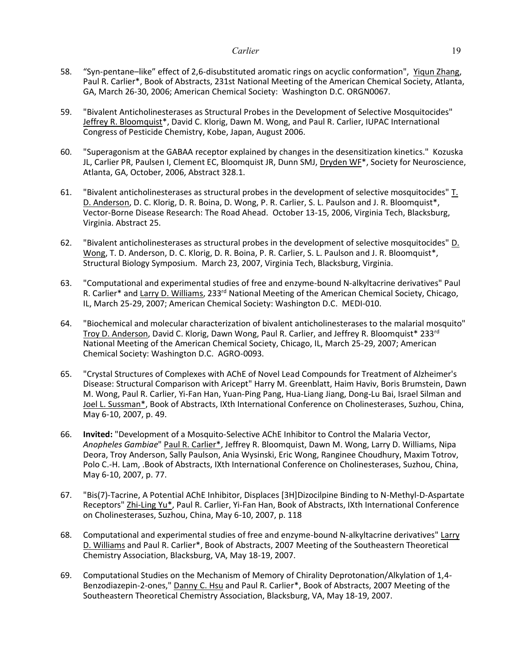- 58. "Syn-pentane–like" effect of 2,6-disubstituted aromatic rings on acyclic conformation", Yiqun Zhang, Paul R. Carlier\*, Book of Abstracts, 231st National Meeting of the American Chemical Society, Atlanta, GA, March 26-30, 2006; American Chemical Society: Washington D.C. ORGN0067.
- 59. "Bivalent Anticholinesterases as Structural Probes in the Development of Selective Mosquitocides" Jeffrey R. Bloomquist\*, David C. Klorig, Dawn M. Wong, and Paul R. Carlier, IUPAC International Congress of Pesticide Chemistry, Kobe, Japan, August 2006.
- 60. "Superagonism at the GABAA receptor explained by changes in the desensitization kinetics." Kozuska JL, Carlier PR, Paulsen I, Clement EC, Bloomquist JR, Dunn SMJ, Dryden WF\*, Society for Neuroscience, Atlanta, GA, October, 2006, Abstract 328.1.
- 61. "Bivalent anticholinesterases as structural probes in the development of selective mosquitocides" T. D. Anderson, D. C. Klorig, D. R. Boina, D. Wong, P. R. Carlier, S. L. Paulson and J. R. Bloomquist\*, Vector-Borne Disease Research: The Road Ahead. October 13-15, 2006, Virginia Tech, Blacksburg, Virginia. Abstract 25.
- 62. "Bivalent anticholinesterases as structural probes in the development of selective mosquitocides" D. Wong, T. D. Anderson, D. C. Klorig, D. R. Boina, P. R. Carlier, S. L. Paulson and J. R. Bloomquist\*, Structural Biology Symposium. March 23, 2007, Virginia Tech, Blacksburg, Virginia.
- 63. "Computational and experimental studies of free and enzyme-bound N-alkyltacrine derivatives" Paul R. Carlier\* and Larry D. Williams, 233<sup>rd</sup> National Meeting of the American Chemical Society, Chicago, IL, March 25-29, 2007; American Chemical Society: Washington D.C. MEDI-010.
- 64. "Biochemical and molecular characterization of bivalent anticholinesterases to the malarial mosquito" Troy D. Anderson, David C. Klorig, Dawn Wong, Paul R. Carlier, and Jeffrey R. Bloomquist\* 233rd National Meeting of the American Chemical Society, Chicago, IL, March 25-29, 2007; American Chemical Society: Washington D.C. AGRO-0093.
- 65. "Crystal Structures of Complexes with AChE of Novel Lead Compounds for Treatment of Alzheimer's Disease: Structural Comparison with Aricept" Harry M. Greenblatt, Haim Haviv, Boris Brumstein, Dawn M. Wong, Paul R. Carlier, Yi-Fan Han, Yuan-Ping Pang, Hua-Liang Jiang, Dong-Lu Bai, Israel Silman and Joel L. Sussman\*, Book of Abstracts, IXth International Conference on Cholinesterases, Suzhou, China, May 6-10, 2007, p. 49.
- 66. **Invited:** "Development of a Mosquito-Selective AChE Inhibitor to Control the Malaria Vector, *Anopheles Gambiae*" Paul R. Carlier\*, Jeffrey R. Bloomquist, Dawn M. Wong, Larry D. Williams, Nipa Deora, Troy Anderson, Sally Paulson, Ania Wysinski, Eric Wong, Ranginee Choudhury, Maxim Totrov, Polo C.-H. Lam, .Book of Abstracts, IXth International Conference on Cholinesterases, Suzhou, China, May 6-10, 2007, p. 77.
- 67. "Bis(7)-Tacrine, A Potential AChE Inhibitor, Displaces [3H]Dizocilpine Binding to N-Methyl-D-Aspartate Receptors" Zhi-Ling Yu\*, Paul R. Carlier, Yi-Fan Han, Book of Abstracts, IXth International Conference on Cholinesterases, Suzhou, China, May 6-10, 2007, p. 118
- 68. Computational and experimental studies of free and enzyme-bound N-alkyltacrine derivatives" Larry D. Williams and Paul R. Carlier\*, Book of Abstracts, 2007 Meeting of the Southeastern Theoretical Chemistry Association, Blacksburg, VA, May 18-19, 2007.
- 69. Computational Studies on the Mechanism of Memory of Chirality Deprotonation/Alkylation of 1,4- Benzodiazepin-2-ones," Danny C. Hsu and Paul R. Carlier\*, Book of Abstracts, 2007 Meeting of the Southeastern Theoretical Chemistry Association, Blacksburg, VA, May 18-19, 2007.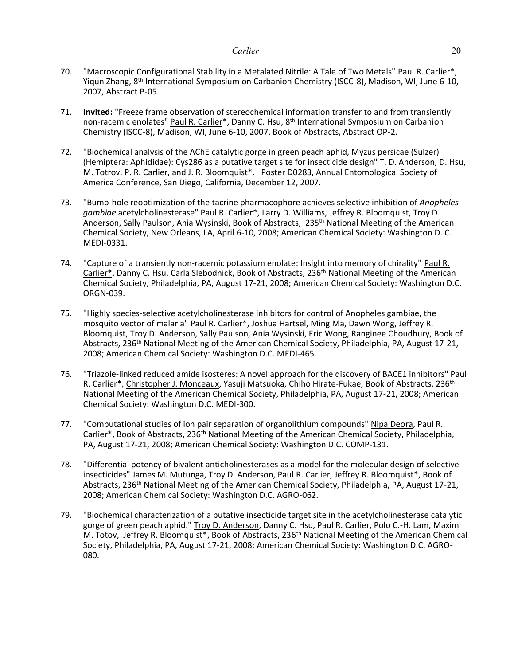- 70. "Macroscopic Configurational Stability in a Metalated Nitrile: A Tale of Two Metals" Paul R. Carlier\*, Yiqun Zhang, 8th International Symposium on Carbanion Chemistry (ISCC-8), Madison, WI, June 6-10, 2007, Abstract P-05.
- 71. **Invited:** "Freeze frame observation of stereochemical information transfer to and from transiently non-racemic enolates" Paul R. Carlier\*, Danny C. Hsu, 8<sup>th</sup> International Symposium on Carbanion Chemistry (ISCC-8), Madison, WI, June 6-10, 2007, Book of Abstracts, Abstract OP-2.
- 72. "Biochemical analysis of the AChE catalytic gorge in green peach aphid, Myzus persicae (Sulzer) (Hemiptera: Aphididae): Cys286 as a putative target site for insecticide design" T. D. Anderson, D. Hsu, M. Totrov, P. R. Carlier, and J. R. Bloomquist\*. Poster D0283, Annual Entomological Society of America Conference, San Diego, California, December 12, 2007.
- 73. "Bump-hole reoptimization of the tacrine pharmacophore achieves selective inhibition of *Anopheles gambiae* acetylcholinesterase" Paul R. Carlier\*, Larry D. Williams, Jeffrey R. Bloomquist, Troy D. Anderson, Sally Paulson, Ania Wysinski, Book of Abstracts, 235<sup>th</sup> National Meeting of the American Chemical Society, New Orleans, LA, April 6-10, 2008; American Chemical Society: Washington D. C. MEDI-0331.
- 74. "Capture of a transiently non-racemic potassium enolate: Insight into memory of chirality" Paul R. Carlier\*, Danny C. Hsu, Carla Slebodnick, Book of Abstracts, 236<sup>th</sup> National Meeting of the American Chemical Society, Philadelphia, PA, August 17-21, 2008; American Chemical Society: Washington D.C. ORGN-039.
- 75. "Highly species-selective acetylcholinesterase inhibitors for control of Anopheles gambiae, the mosquito vector of malaria" Paul R. Carlier\*, Joshua Hartsel, Ming Ma, Dawn Wong, Jeffrey R. Bloomquist, Troy D. Anderson, Sally Paulson, Ania Wysinski, Eric Wong, Ranginee Choudhury, Book of Abstracts, 236<sup>th</sup> National Meeting of the American Chemical Society, Philadelphia, PA, August 17-21, 2008; American Chemical Society: Washington D.C. MEDI-465.
- 76. "Triazole-linked reduced amide isosteres: A novel approach for the discovery of BACE1 inhibitors" Paul R. Carlier\*, Christopher J. Monceaux, Yasuji Matsuoka, Chiho Hirate-Fukae, Book of Abstracts, 236<sup>th</sup> National Meeting of the American Chemical Society, Philadelphia, PA, August 17-21, 2008; American Chemical Society: Washington D.C. MEDI-300.
- 77. "Computational studies of ion pair separation of organolithium compounds" Nipa Deora, Paul R. Carlier\*, Book of Abstracts, 236<sup>th</sup> National Meeting of the American Chemical Society, Philadelphia, PA, August 17-21, 2008; American Chemical Society: Washington D.C. COMP-131.
- 78. "Differential potency of bivalent anticholinesterases as a model for the molecular design of selective insecticides" James M. Mutunga, Troy D. Anderson, Paul R. Carlier, Jeffrey R. Bloomquist\*, Book of Abstracts, 236<sup>th</sup> National Meeting of the American Chemical Society, Philadelphia, PA, August 17-21, 2008; American Chemical Society: Washington D.C. AGRO-062.
- 79. "Biochemical characterization of a putative insecticide target site in the acetylcholinesterase catalytic gorge of green peach aphid." Troy D. Anderson, Danny C. Hsu, Paul R. Carlier, Polo C.-H. Lam, Maxim M. Totov, Jeffrey R. Bloomquist\*, Book of Abstracts, 236<sup>th</sup> National Meeting of the American Chemical Society, Philadelphia, PA, August 17-21, 2008; American Chemical Society: Washington D.C. AGRO-080.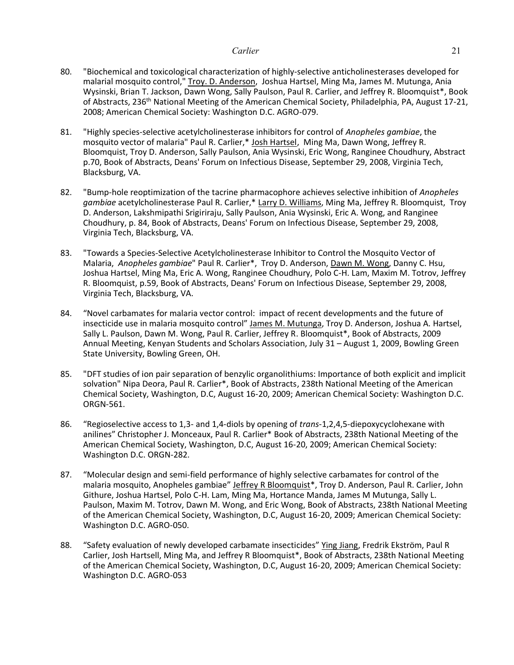- 80. "Biochemical and toxicological characterization of highly-selective anticholinesterases developed for malarial mosquito control," Troy. D. Anderson, Joshua Hartsel, Ming Ma, James M. Mutunga, Ania Wysinski, Brian T. Jackson, Dawn Wong, Sally Paulson, Paul R. Carlier, and Jeffrey R. Bloomquist\*, Book of Abstracts, 236<sup>th</sup> National Meeting of the American Chemical Society, Philadelphia, PA, August 17-21, 2008; American Chemical Society: Washington D.C. AGRO-079.
- 81. "Highly species-selective acetylcholinesterase inhibitors for control of *Anopheles gambiae*, the mosquito vector of malaria" Paul R. Carlier,\* Josh Hartsel, Ming Ma, Dawn Wong, Jeffrey R. Bloomquist, Troy D. Anderson, Sally Paulson, Ania Wysinski, Eric Wong, Ranginee Choudhury, Abstract p.70, Book of Abstracts, Deans' Forum on Infectious Disease, September 29, 2008, Virginia Tech, Blacksburg, VA.
- 82. "Bump-hole reoptimization of the tacrine pharmacophore achieves selective inhibition of *Anopheles gambiae* acetylcholinesterase Paul R. Carlier,\* Larry D. Williams, Ming Ma, Jeffrey R. Bloomquist, Troy D. Anderson, Lakshmipathi Srigiriraju, Sally Paulson, Ania Wysinski, Eric A. Wong, and Ranginee Choudhury, p. 84, Book of Abstracts, Deans' Forum on Infectious Disease, September 29, 2008, Virginia Tech, Blacksburg, VA.
- 83. "Towards a Species-Selective Acetylcholinesterase Inhibitor to Control the Mosquito Vector of Malaria, *Anopheles gambiae*" Paul R. Carlier\*, Troy D. Anderson, Dawn M. Wong, Danny C. Hsu, Joshua Hartsel, Ming Ma, Eric A. Wong, Ranginee Choudhury, Polo C-H. Lam, Maxim M. Totrov, Jeffrey R. Bloomquist, p.59, Book of Abstracts, Deans' Forum on Infectious Disease, September 29, 2008, Virginia Tech, Blacksburg, VA.
- 84. "Novel carbamates for malaria vector control: impact of recent developments and the future of insecticide use in malaria mosquito control" James M. Mutunga, Troy D. Anderson, Joshua A. Hartsel, Sally L. Paulson, Dawn M. Wong, Paul R. Carlier, Jeffrey R. Bloomquist\*, Book of Abstracts, 2009 Annual Meeting, Kenyan Students and Scholars Association, July 31 – August 1, 2009, Bowling Green State University, Bowling Green, OH.
- 85. "DFT studies of ion pair separation of benzylic organolithiums: Importance of both explicit and implicit solvation" Nipa Deora, Paul R. Carlier\*, Book of Abstracts, 238th National Meeting of the American Chemical Society, Washington, D.C, August 16-20, 2009; American Chemical Society: Washington D.C. ORGN-561.
- 86. "Regioselective access to 1,3- and 1,4-diols by opening of *trans*-1,2,4,5-diepoxycyclohexane with anilines" Christopher J. Monceaux, Paul R. Carlier\* Book of Abstracts, 238th National Meeting of the American Chemical Society, Washington, D.C, August 16-20, 2009; American Chemical Society: Washington D.C. ORGN-282.
- 87. "Molecular design and semi-field performance of highly selective carbamates for control of the malaria mosquito, Anopheles gambiae" Jeffrey R Bloomquist\*, Troy D. Anderson, Paul R. Carlier, John Githure, Joshua Hartsel, Polo C-H. Lam, Ming Ma, Hortance Manda, James M Mutunga, Sally L. Paulson, Maxim M. Totrov, Dawn M. Wong, and Eric Wong, Book of Abstracts, 238th National Meeting of the American Chemical Society, Washington, D.C, August 16-20, 2009; American Chemical Society: Washington D.C. AGRO-050.
- 88. "Safety evaluation of newly developed carbamate insecticides" Ying Jiang, Fredrik Ekström, Paul R Carlier, Josh Hartsell, Ming Ma, and Jeffrey R Bloomquist\*, Book of Abstracts, 238th National Meeting of the American Chemical Society, Washington, D.C, August 16-20, 2009; American Chemical Society: Washington D.C. AGRO-053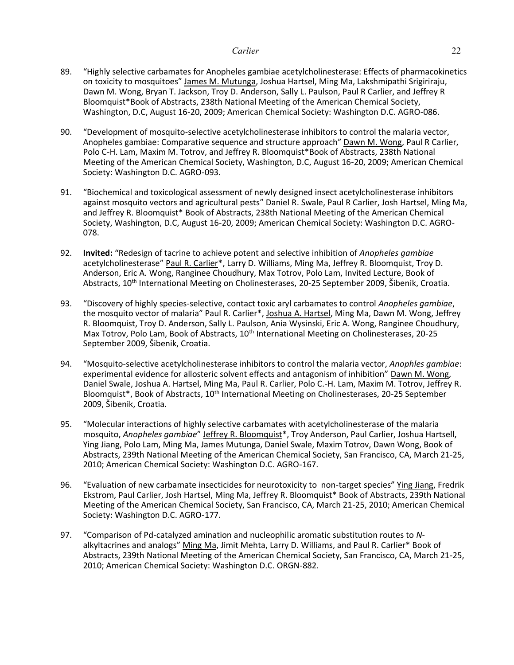- 89. "Highly selective carbamates for Anopheles gambiae acetylcholinesterase: Effects of pharmacokinetics on toxicity to mosquitoes" James M. Mutunga, Joshua Hartsel, Ming Ma, Lakshmipathi Srigiriraju, Dawn M. Wong, Bryan T. Jackson, Troy D. Anderson, Sally L. Paulson, Paul R Carlier, and Jeffrey R Bloomquist\*Book of Abstracts, 238th National Meeting of the American Chemical Society, Washington, D.C, August 16-20, 2009; American Chemical Society: Washington D.C. AGRO-086.
- 90. "Development of mosquito-selective acetylcholinesterase inhibitors to control the malaria vector, Anopheles gambiae: Comparative sequence and structure approach" Dawn M. Wong, Paul R Carlier, Polo C-H. Lam, Maxim M. Totrov, and Jeffrey R. Bloomquist\*Book of Abstracts, 238th National Meeting of the American Chemical Society, Washington, D.C, August 16-20, 2009; American Chemical Society: Washington D.C. AGRO-093.
- 91. "Biochemical and toxicological assessment of newly designed insect acetylcholinesterase inhibitors against mosquito vectors and agricultural pests" Daniel R. Swale, Paul R Carlier, Josh Hartsel, Ming Ma, and Jeffrey R. Bloomquist\* Book of Abstracts, 238th National Meeting of the American Chemical Society, Washington, D.C, August 16-20, 2009; American Chemical Society: Washington D.C. AGRO-078.
- 92. **Invited:** "Redesign of tacrine to achieve potent and selective inhibition of *Anopheles gambiae* acetylcholinesterase" Paul R. Carlier\*, Larry D. Williams, Ming Ma, Jeffrey R. Bloomquist, Troy D. Anderson, Eric A. Wong, Ranginee Choudhury, Max Totrov, Polo Lam, Invited Lecture, Book of Abstracts, 10<sup>th</sup> International Meeting on Cholinesterases, 20-25 September 2009, Šibenik, Croatia.
- 93. "Discovery of highly species-selective, contact toxic aryl carbamates to control *Anopheles gambiae*, the mosquito vector of malaria" Paul R. Carlier\*, Joshua A. Hartsel, Ming Ma, Dawn M. Wong, Jeffrey R. Bloomquist, Troy D. Anderson, Sally L. Paulson, Ania Wysinski, Eric A. Wong, Ranginee Choudhury, Max Totrov, Polo Lam, Book of Abstracts, 10<sup>th</sup> International Meeting on Cholinesterases, 20-25 September 2009, Šibenik, Croatia.
- 94. "Mosquito-selective acetylcholinesterase inhibitors to control the malaria vector, *Anophles gambiae*: experimental evidence for allosteric solvent effects and antagonism of inhibition" Dawn M. Wong, Daniel Swale, Joshua A. Hartsel, Ming Ma, Paul R. Carlier, Polo C.-H. Lam, Maxim M. Totrov, Jeffrey R. Bloomquist\*, Book of Abstracts, 10<sup>th</sup> International Meeting on Cholinesterases, 20-25 September 2009, Šibenik, Croatia.
- 95. "Molecular interactions of highly selective carbamates with acetylcholinesterase of the malaria mosquito, *Anopheles gambiae*" Jeffrey R. Bloomquist\*, Troy Anderson, Paul Carlier, Joshua Hartsell, Ying Jiang, Polo Lam, Ming Ma, James Mutunga, Daniel Swale, Maxim Totrov, Dawn Wong, Book of Abstracts, 239th National Meeting of the American Chemical Society, San Francisco, CA, March 21-25, 2010; American Chemical Society: Washington D.C. AGRO-167.
- 96. "Evaluation of new carbamate insecticides for neurotoxicity to non-target species" Ying Jiang, Fredrik Ekstrom, Paul Carlier, Josh Hartsel, Ming Ma, Jeffrey R. Bloomquist\* Book of Abstracts, 239th National Meeting of the American Chemical Society, San Francisco, CA, March 21-25, 2010; American Chemical Society: Washington D.C. AGRO-177.
- 97. "Comparison of Pd-catalyzed amination and nucleophilic aromatic substitution routes to *N*alkyltacrines and analogs" Ming Ma, Jimit Mehta, Larry D. Williams, and Paul R. Carlier\* Book of Abstracts, 239th National Meeting of the American Chemical Society, San Francisco, CA, March 21-25, 2010; American Chemical Society: Washington D.C. ORGN-882.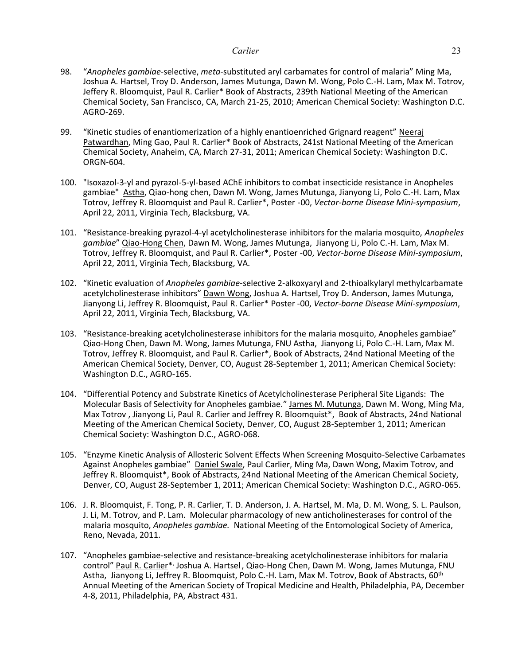- 98. "*Anopheles gambiae*-selective, *meta*-substituted aryl carbamates for control of malaria" Ming Ma, Joshua A. Hartsel, Troy D. Anderson, James Mutunga, Dawn M. Wong, Polo C.-H. Lam, Max M. Totrov, Jeffery R. Bloomquist, Paul R. Carlier\* Book of Abstracts, 239th National Meeting of the American Chemical Society, San Francisco, CA, March 21-25, 2010; American Chemical Society: Washington D.C. AGRO-269.
- 99. "Kinetic studies of enantiomerization of a highly enantioenriched Grignard reagent" Neeraj Patwardhan, Ming Gao, Paul R. Carlier\* Book of Abstracts, 241st National Meeting of the American Chemical Society, Anaheim, CA, March 27-31, 2011; American Chemical Society: Washington D.C. ORGN-604.
- 100. "Isoxazol-3-yl and pyrazol-5-yl-based AChE inhibitors to combat insecticide resistance in Anopheles gambiae" Astha, Qiao-hong chen, Dawn M. Wong, James Mutunga, Jianyong Li, Polo C.-H. Lam, Max Totrov, Jeffrey R. Bloomquist and Paul R. Carlier\*, Poster -00, *Vector-borne Disease Mini-symposium*, April 22, 2011, Virginia Tech, Blacksburg, VA.
- 101. "Resistance-breaking pyrazol-4-yl acetylcholinesterase inhibitors for the malaria mosquito, *Anopheles gambiae*" Qiao-Hong Chen, Dawn M. Wong, James Mutunga, Jianyong Li, Polo C.-H. Lam, Max M. Totrov, Jeffrey R. Bloomquist, and Paul R. Carlier\*, Poster -00, *Vector-borne Disease Mini-symposium*, April 22, 2011, Virginia Tech, Blacksburg, VA.
- 102. "Kinetic evaluation of *Anopheles gambiae*-selective 2-alkoxyaryl and 2-thioalkylaryl methylcarbamate acetylcholinesterase inhibitors" Dawn Wong, Joshua A. Hartsel, Troy D. Anderson, James Mutunga, Jianyong Li, Jeffrey R. Bloomquist, Paul R. Carlier\* Poster -00, *Vector-borne Disease Mini-symposium*, April 22, 2011, Virginia Tech, Blacksburg, VA.
- 103. "Resistance-breaking acetylcholinesterase inhibitors for the malaria mosquito, Anopheles gambiae" Qiao-Hong Chen, Dawn M. Wong, James Mutunga, FNU Astha, Jianyong Li, Polo C.-H. Lam, Max M. Totrov, Jeffrey R. Bloomquist, and Paul R. Carlier\*, Book of Abstracts, 24nd National Meeting of the American Chemical Society, Denver, CO, August 28-September 1, 2011; American Chemical Society: Washington D.C., AGRO-165.
- 104. "Differential Potency and Substrate Kinetics of Acetylcholinesterase Peripheral Site Ligands: The Molecular Basis of Selectivity for Anopheles gambiae." James M. Mutunga, Dawn M. Wong, Ming Ma, Max Totrov , Jianyong Li, Paul R. Carlier and Jeffrey R. Bloomquist\*, Book of Abstracts, 24nd National Meeting of the American Chemical Society, Denver, CO, August 28-September 1, 2011; American Chemical Society: Washington D.C., AGRO-068.
- 105. "Enzyme Kinetic Analysis of Allosteric Solvent Effects When Screening Mosquito-Selective Carbamates Against Anopheles gambiae" Daniel Swale, Paul Carlier, Ming Ma, Dawn Wong, Maxim Totrov, and Jeffrey R. Bloomquist\*, Book of Abstracts, 24nd National Meeting of the American Chemical Society, Denver, CO, August 28-September 1, 2011; American Chemical Society: Washington D.C., AGRO-065.
- 106. J. R. Bloomquist, F. Tong, P. R. Carlier, T. D. Anderson, J. A. Hartsel, M. Ma, D. M. Wong, S. L. Paulson, J. Li, M. Totrov, and P. Lam. Molecular pharmacology of new anticholinesterases for control of the malaria mosquito, *Anopheles gambiae.* National Meeting of the Entomological Society of America, Reno, Nevada, 2011.
- 107. "Anopheles gambiae-selective and resistance-breaking acetylcholinesterase inhibitors for malaria control" Paul R. Carlier\*, Joshua A. Hartsel, Qiao-Hong Chen, Dawn M. Wong, James Mutunga, FNU Astha, Jianyong Li, Jeffrey R. Bloomquist, Polo C.-H. Lam, Max M. Totrov, Book of Abstracts, 60th Annual Meeting of the American Society of Tropical Medicine and Health, Philadelphia, PA, December 4-8, 2011, Philadelphia, PA, Abstract 431.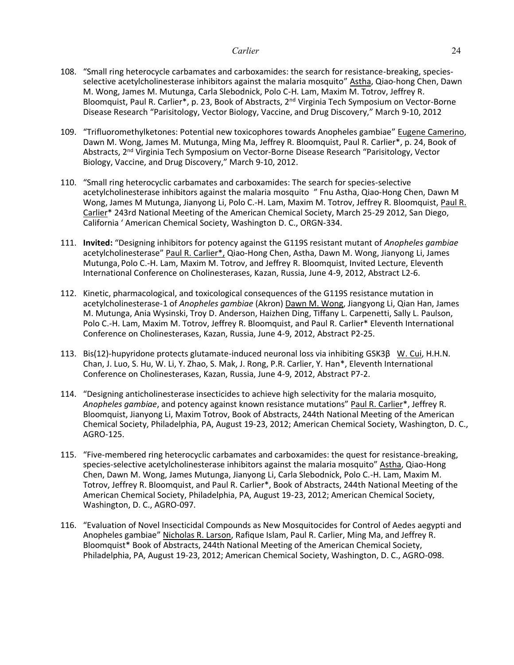- 108. "Small ring heterocycle carbamates and carboxamides: the search for resistance-breaking, speciesselective acetylcholinesterase inhibitors against the malaria mosquito" Astha, Qiao-hong Chen, Dawn M. Wong, James M. Mutunga, Carla Slebodnick, Polo C-H. Lam, Maxim M. Totrov, Jeffrey R. Bloomquist, Paul R. Carlier\*, p. 23, Book of Abstracts, 2<sup>nd</sup> Virginia Tech Symposium on Vector-Borne Disease Research "Parisitology, Vector Biology, Vaccine, and Drug Discovery," March 9-10, 2012
- 109. "Trifluoromethylketones: Potential new toxicophores towards Anopheles gambiae" Eugene Camerino, Dawn M. Wong, James M. Mutunga, Ming Ma, Jeffrey R. Bloomquist, Paul R. Carlier\*, p. 24, Book of Abstracts, 2nd Virginia Tech Symposium on Vector-Borne Disease Research "Parisitology, Vector Biology, Vaccine, and Drug Discovery," March 9-10, 2012.
- 110. "Small ring heterocyclic carbamates and carboxamides: The search for species-selective acetylcholinesterase inhibitors against the malaria mosquito " Fnu Astha, Qiao-Hong Chen, Dawn M Wong, James M Mutunga, Jianyong Li, Polo C.-H. Lam, Maxim M. Totrov, Jeffrey R. Bloomquist, Paul R. Carlier\* 243rd National Meeting of the American Chemical Society, March 25-29 2012, San Diego, California ' American Chemical Society, Washington D. C., ORGN-334.
- 111. **Invited:** "Designing inhibitors for potency against the G119S resistant mutant of *Anopheles gambiae* acetylcholinesterase" Paul R. Carlier\*, Qiao-Hong Chen, Astha, Dawn M. Wong, Jianyong Li, James Mutunga, Polo C.-H. Lam, Maxim M. Totrov, and Jeffrey R. Bloomquist, Invited Lecture, Eleventh International Conference on Cholinesterases, Kazan, Russia, June 4-9, 2012, Abstract L2-6.
- 112. Kinetic, pharmacological, and toxicological consequences of the G119S resistance mutation in acetylcholinesterase-1 of *Anopheles gambiae* (Akron) Dawn M. Wong, Jiangyong Li, Qian Han, James M. Mutunga, Ania Wysinski, Troy D. Anderson, Haizhen Ding, Tiffany L. Carpenetti, Sally L. Paulson, Polo C.-H. Lam, Maxim M. Totrov, Jeffrey R. Bloomquist, and Paul R. Carlier\* Eleventh International Conference on Cholinesterases, Kazan, Russia, June 4-9, 2012, Abstract P2-25.
- 113. Bis(12)-hupyridone protects glutamate-induced neuronal loss via inhibiting GSK3β W. Cui, H.H.N. Chan, J. Luo, S. Hu, W. Li, Y. Zhao, S. Mak, J. Rong, P.R. Carlier, Y. Han\*, Eleventh International Conference on Cholinesterases, Kazan, Russia, June 4-9, 2012, Abstract P7-2.
- 114. "Designing anticholinesterase insecticides to achieve high selectivity for the malaria mosquito, Anopheles gambiae, and potency against known resistance mutations" Paul R. Carlier\*, Jeffrey R. Bloomquist, Jianyong Li, Maxim Totrov, Book of Abstracts, 244th National Meeting of the American Chemical Society, Philadelphia, PA, August 19-23, 2012; American Chemical Society, Washington, D. C., AGRO-125.
- 115. "Five-membered ring heterocyclic carbamates and carboxamides: the quest for resistance-breaking, species-selective acetylcholinesterase inhibitors against the malaria mosquito" Astha, Qiao-Hong Chen, Dawn M. Wong, James Mutunga, Jianyong Li, Carla Slebodnick, Polo C.-H. Lam, Maxim M. Totrov, Jeffrey R. Bloomquist, and Paul R. Carlier\*, Book of Abstracts, 244th National Meeting of the American Chemical Society, Philadelphia, PA, August 19-23, 2012; American Chemical Society, Washington, D. C., AGRO-097.
- 116. "Evaluation of Novel Insecticidal Compounds as New Mosquitocides for Control of Aedes aegypti and Anopheles gambiae" Nicholas R. Larson, Rafique Islam, Paul R. Carlier, Ming Ma, and Jeffrey R. Bloomquist\* Book of Abstracts, 244th National Meeting of the American Chemical Society, Philadelphia, PA, August 19-23, 2012; American Chemical Society, Washington, D. C., AGRO-098.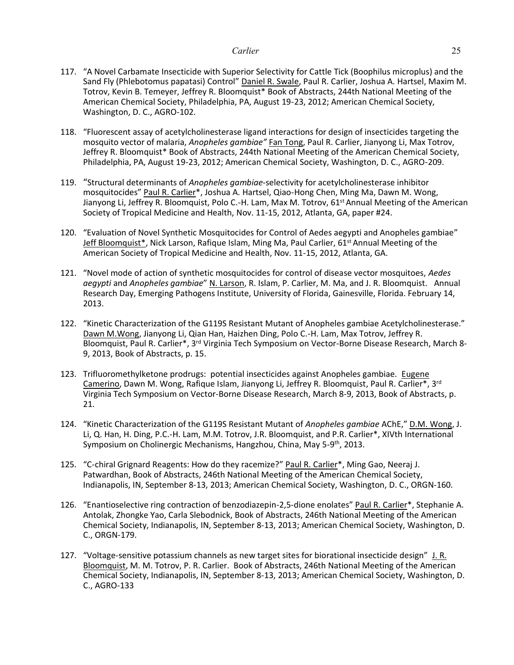- 117. "A Novel Carbamate Insecticide with Superior Selectivity for Cattle Tick (Boophilus microplus) and the Sand Fly (Phlebotomus papatasi) Control" Daniel R. Swale, Paul R. Carlier, Joshua A. Hartsel, Maxim M. Totrov, Kevin B. Temeyer, Jeffrey R. Bloomquist\* Book of Abstracts, 244th National Meeting of the American Chemical Society, Philadelphia, PA, August 19-23, 2012; American Chemical Society, Washington, D. C., AGRO-102.
- 118. "Fluorescent assay of acetylcholinesterase ligand interactions for design of insecticides targeting the mosquito vector of malaria, *Anopheles gambiae"* Fan Tong, Paul R. Carlier, Jianyong Li, Max Totrov, Jeffrey R. Bloomquist\* Book of Abstracts, 244th National Meeting of the American Chemical Society, Philadelphia, PA, August 19-23, 2012; American Chemical Society, Washington, D. C., AGRO-209.
- 119. "Structural determinants of *Anopheles gambiae*-selectivity for acetylcholinesterase inhibitor mosquitocides" Paul R. Carlier\*, Joshua A. Hartsel, Qiao-Hong Chen, Ming Ma, Dawn M. Wong, Jianyong Li, Jeffrey R. Bloomquist, Polo C.-H. Lam, Max M. Totrov, 61<sup>st</sup> Annual Meeting of the American Society of Tropical Medicine and Health, Nov. 11-15, 2012, Atlanta, GA, paper #24.
- 120. "Evaluation of Novel Synthetic Mosquitocides for Control of Aedes aegypti and Anopheles gambiae" Jeff Bloomquist\*, Nick Larson, Rafique Islam, Ming Ma, Paul Carlier, 61<sup>st</sup> Annual Meeting of the American Society of Tropical Medicine and Health, Nov. 11-15, 2012, Atlanta, GA.
- 121. "Novel mode of action of synthetic mosquitocides for control of disease vector mosquitoes, *Aedes aegypti* and *Anopheles gambiae*" N. Larson, R. Islam, P. Carlier, M. Ma, and J. R. Bloomquist. Annual Research Day, Emerging Pathogens Institute, University of Florida, Gainesville, Florida. February 14, 2013.
- 122. "Kinetic Characterization of the G119S Resistant Mutant of Anopheles gambiae Acetylcholinesterase." Dawn M.Wong, Jianyong Li, Qian Han, Haizhen Ding, Polo C.-H. Lam, Max Totrov, Jeffrey R. Bloomquist, Paul R. Carlier\*, 3rd Virginia Tech Symposium on Vector-Borne Disease Research, March 8- 9, 2013, Book of Abstracts, p. 15.
- 123. Trifluoromethylketone prodrugs: potential insecticides against Anopheles gambiae. Eugene Camerino, Dawn M. Wong, Rafique Islam, Jianyong Li, Jeffrey R. Bloomquist, Paul R. Carlier\*, 3<sup>rd</sup> Virginia Tech Symposium on Vector-Borne Disease Research, March 8-9, 2013, Book of Abstracts, p. 21.
- 124. "Kinetic Characterization of the G119S Resistant Mutant of *Anopheles gambiae* AChE," D.M. Wong, J. Li, Q. Han, H. Ding, P.C.-H. Lam, M.M. Totrov, J.R. Bloomquist, and P.R. Carlier\*, XIVth International Symposium on Cholinergic Mechanisms, Hangzhou, China, May 5-9<sup>th</sup>, 2013.
- 125. "C-chiral Grignard Reagents: How do they racemize?" Paul R. Carlier\*, Ming Gao, Neeraj J. Patwardhan, Book of Abstracts, 246th National Meeting of the American Chemical Society, Indianapolis, IN, September 8-13, 2013; American Chemical Society, Washington, D. C., ORGN-160.
- 126. "Enantioselective ring contraction of benzodiazepin-2,5-dione enolates" Paul R. Carlier\*, Stephanie A. Antolak, Zhongke Yao, Carla Slebodnick, Book of Abstracts, 246th National Meeting of the American Chemical Society, Indianapolis, IN, September 8-13, 2013; American Chemical Society, Washington, D. C., ORGN-179.
- 127. "Voltage-sensitive potassium channels as new target sites for biorational insecticide design" J. R. Bloomquist, M. M. Totrov, P. R. Carlier. Book of Abstracts, 246th National Meeting of the American Chemical Society, Indianapolis, IN, September 8-13, 2013; American Chemical Society, Washington, D. C., AGRO-133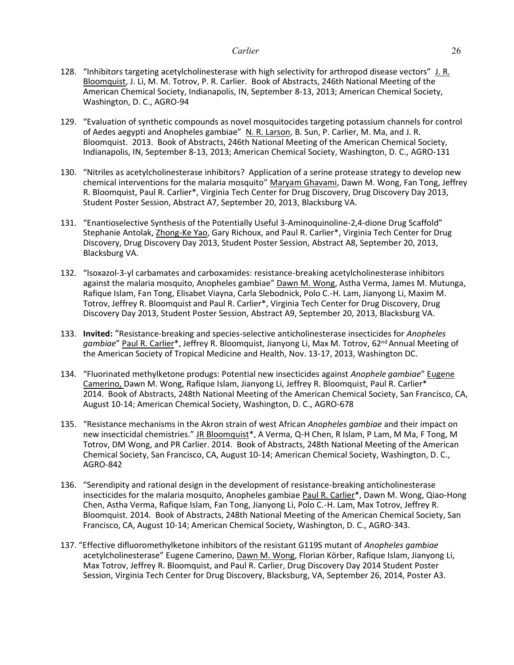- 128. "Inhibitors targeting acetylcholinesterase with high selectivity for arthropod disease vectors" J. R. Bloomquist, J. Li, M. M. Totrov, P. R. Carlier. Book of Abstracts, 246th National Meeting of the American Chemical Society, Indianapolis, IN, September 8-13, 2013; American Chemical Society, Washington, D. C., AGRO-94
- 129. "Evaluation of synthetic compounds as novel mosquitocides targeting potassium channels for control of Aedes aegypti and Anopheles gambiae" N. R. Larson, B. Sun, P. Carlier, M. Ma, and J. R. Bloomquist. 2013. Book of Abstracts, 246th National Meeting of the American Chemical Society, Indianapolis, IN, September 8-13, 2013; American Chemical Society, Washington, D. C., AGRO-131
- 130. "Nitriles as acetylcholinesterase inhibitors? Application of a serine protease strategy to develop new chemical interventions for the malaria mosquito" Maryam Ghavami, Dawn M. Wong, Fan Tong, Jeffrey R. Bloomquist, Paul R. Carlier\*, Virginia Tech Center for Drug Discovery, Drug Discovery Day 2013, Student Poster Session, Abstract A7, September 20, 2013, Blacksburg VA.
- 131. "Enantioselective Synthesis of the Potentially Useful 3-Aminoquinoline-2,4-dione Drug Scaffold" Stephanie Antolak, Zhong-Ke Yao, Gary Richoux, and Paul R. Carlier\*, Virginia Tech Center for Drug Discovery, Drug Discovery Day 2013, Student Poster Session, Abstract A8, September 20, 2013, Blacksburg VA.
- 132. "Isoxazol-3-yl carbamates and carboxamides: resistance-breaking acetylcholinesterase inhibitors against the malaria mosquito, Anopheles gambiae" Dawn M. Wong, Astha Verma, James M. Mutunga, Rafique Islam, Fan Tong, Elisabet Viayna, Carla Slebodnick, Polo C.-H. Lam, Jianyong Li, Maxim M. Totrov, Jeffrey R. Bloomquist and Paul R. Carlier\*, Virginia Tech Center for Drug Discovery, Drug Discovery Day 2013, Student Poster Session, Abstract A9, September 20, 2013, Blacksburg VA.
- 133. **Invited:** "Resistance-breaking and species-selective anticholinesterase insecticides for *Anopheles gambiae*" Paul R. Carlier\*, Jeffrey R. Bloomquist, Jianyong Li, Max M. Totrov, 62nd Annual Meeting of the American Society of Tropical Medicine and Health, Nov. 13-17, 2013, Washington DC.
- 134. "Fluorinated methylketone produgs: Potential new insecticides against *Anophele gambiae*" Eugene Camerino, Dawn M. Wong, Rafique Islam, Jianyong Li, Jeffrey R. Bloomquist, Paul R. Carlier\* 2014. Book of Abstracts, 248th National Meeting of the American Chemical Society, San Francisco, CA, August 10-14; American Chemical Society, Washington, D. C., AGRO-678
- 135. "Resistance mechanisms in the Akron strain of west African *Anopheles gambiae* and their impact on new insecticidal chemistries." JR Bloomquist\*, A Verma, Q-H Chen, R Islam, P Lam, M Ma, F Tong, M Totrov, DM Wong, and PR Carlier. 2014. Book of Abstracts, 248th National Meeting of the American Chemical Society, San Francisco, CA, August 10-14; American Chemical Society, Washington, D. C., AGRO-842
- 136. "Serendipity and rational design in the development of resistance-breaking anticholinesterase insecticides for the malaria mosquito, Anopheles gambiae Paul R. Carlier\*, Dawn M. Wong, Qiao-Hong Chen, Astha Verma, Rafique Islam, Fan Tong, Jianyong Li, Polo C.-H. Lam, Max Totrov, Jeffrey R. Bloomquist. 2014. Book of Abstracts, 248th National Meeting of the American Chemical Society, San Francisco, CA, August 10-14; American Chemical Society, Washington, D. C., AGRO-343.
- 137. "Effective difluoromethylketone inhibitors of the resistant G119S mutant of *Anopheles gambiae*  acetylcholinesterase" Eugene Camerino, Dawn M. Wong, Florian Körber, Rafique Islam, Jianyong Li, Max Totrov, Jeffrey R. Bloomquist, and Paul R. Carlier, Drug Discovery Day 2014 Student Poster Session, Virginia Tech Center for Drug Discovery, Blacksburg, VA, September 26, 2014, Poster A3.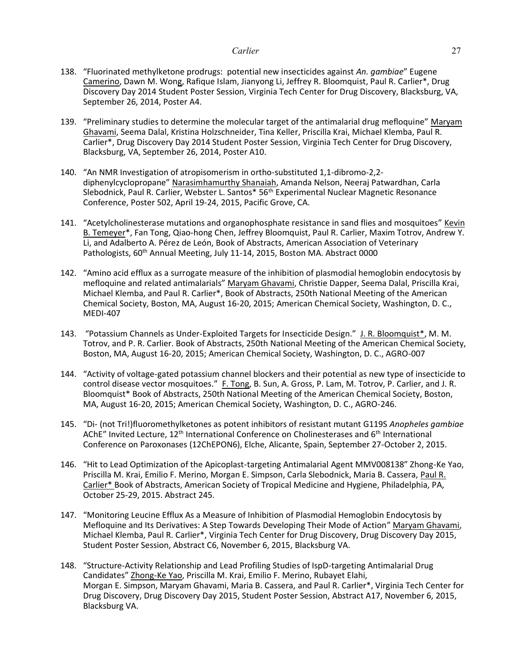- 138. "Fluorinated methylketone prodrugs: potential new insecticides against *An. gambiae*" Eugene Camerino, Dawn M. Wong, Rafique Islam, Jianyong Li, Jeffrey R. Bloomquist, Paul R. Carlier\*, Drug Discovery Day 2014 Student Poster Session, Virginia Tech Center for Drug Discovery, Blacksburg, VA, September 26, 2014, Poster A4.
- 139. "Preliminary studies to determine the molecular target of the antimalarial drug mefloquine" Maryam Ghavami, Seema Dalal, Kristina Holzschneider, Tina Keller, Priscilla Krai, Michael Klemba, Paul R. Carlier\*, Drug Discovery Day 2014 Student Poster Session, Virginia Tech Center for Drug Discovery, Blacksburg, VA, September 26, 2014, Poster A10.
- 140. "An NMR Investigation of atropisomerism in ortho-substituted 1,1-dibromo-2,2 diphenylcyclopropane" Narasimhamurthy Shanaiah, Amanda Nelson, Neeraj Patwardhan, Carla Slebodnick, Paul R. Carlier, Webster L. Santos\* 56<sup>th</sup> Experimental Nuclear Magnetic Resonance Conference, Poster 502, April 19-24, 2015, Pacific Grove, CA.
- 141. "Acetylcholinesterase mutations and organophosphate resistance in sand flies and mosquitoes" Kevin B. Temeyer\*, Fan Tong, Qiao-hong Chen, Jeffrey Bloomquist, Paul R. Carlier, Maxim Totrov, Andrew Y. Li, and Adalberto A. Pérez de León, Book of Abstracts, American Association of Veterinary Pathologists, 60<sup>th</sup> Annual Meeting, July 11-14, 2015, Boston MA. Abstract 0000
- 142. "Amino acid efflux as a surrogate measure of the inhibition of plasmodial hemoglobin endocytosis by mefloquine and related antimalarials" Maryam Ghavami, Christie Dapper, Seema Dalal, Priscilla Krai, Michael Klemba, and Paul R. Carlier\*, Book of Abstracts, 250th National Meeting of the American Chemical Society, Boston, MA, August 16-20, 2015; American Chemical Society, Washington, D. C., MEDI-407
- 143. "Potassium Channels as Under-Exploited Targets for Insecticide Design." J. R. Bloomquist\*, M. M. Totrov, and P. R. Carlier. Book of Abstracts, 250th National Meeting of the American Chemical Society, Boston, MA, August 16-20, 2015; American Chemical Society, Washington, D. C., AGRO-007
- 144. "Activity of voltage-gated potassium channel blockers and their potential as new type of insecticide to control disease vector mosquitoes." F. Tong, B. Sun, A. Gross, P. Lam, M. Totrov, P. Carlier, and J. R. Bloomquist\* Book of Abstracts, 250th National Meeting of the American Chemical Society, Boston, MA, August 16-20, 2015; American Chemical Society, Washington, D. C., AGRO-246.
- 145. "Di- (not Tri!)fluoromethylketones as potent inhibitors of resistant mutant G119S *Anopheles gambiae* AChE" Invited Lecture, 12<sup>th</sup> International Conference on Cholinesterases and 6<sup>th</sup> International Conference on Paroxonases (12ChEPON6), Elche, Alicante, Spain, September 27-October 2, 2015.
- 146. "Hit to Lead Optimization of the Apicoplast-targeting Antimalarial Agent MMV008138" Zhong-Ke Yao, Priscilla M. Krai, Emilio F. Merino, Morgan E. Simpson, Carla Slebodnick, Maria B. Cassera, Paul R. Carlier\* Book of Abstracts, American Society of Tropical Medicine and Hygiene, Philadelphia, PA, October 25-29, 2015. Abstract 245.
- 147. "Monitoring Leucine Efflux As a Measure of Inhibition of Plasmodial Hemoglobin Endocytosis by Mefloquine and Its Derivatives: A Step Towards Developing Their Mode of Action" Maryam Ghavami, Michael Klemba, Paul R. Carlier\*, Virginia Tech Center for Drug Discovery, Drug Discovery Day 2015, Student Poster Session, Abstract C6, November 6, 2015, Blacksburg VA.
- 148. "Structure-Activity Relationship and Lead Profiling Studies of IspD-targeting Antimalarial Drug Candidates" Zhong-Ke Yao, Priscilla M. Krai, Emilio F. Merino, Rubayet Elahi, Morgan E. Simpson, Maryam Ghavami, Maria B. Cassera, and Paul R. Carlier\*, Virginia Tech Center for Drug Discovery, Drug Discovery Day 2015, Student Poster Session, Abstract A17, November 6, 2015, Blacksburg VA.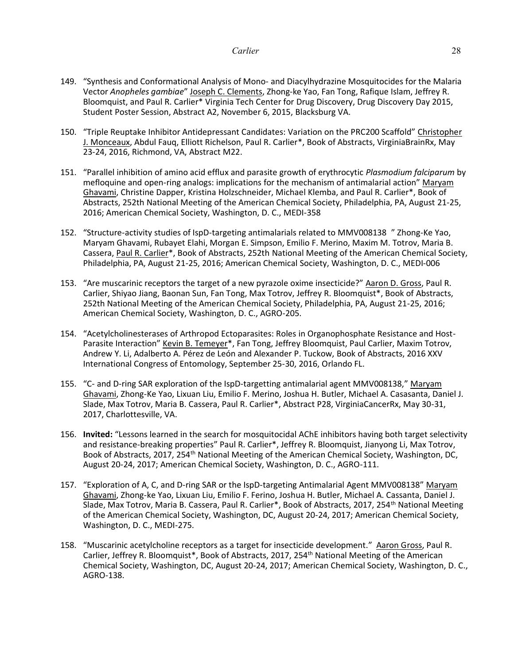- 149. "Synthesis and Conformational Analysis of Mono- and Diacylhydrazine Mosquitocides for the Malaria Vector *Anopheles gambiae*" Joseph C. Clements, Zhong-ke Yao, Fan Tong, Rafique Islam, Jeffrey R. Bloomquist, and Paul R. Carlier\* Virginia Tech Center for Drug Discovery, Drug Discovery Day 2015, Student Poster Session, Abstract A2, November 6, 2015, Blacksburg VA.
- 150. "Triple Reuptake Inhibitor Antidepressant Candidates: Variation on the PRC200 Scaffold" Christopher J. Monceaux, Abdul Fauq, Elliott Richelson, Paul R. Carlier\*, Book of Abstracts, VirginiaBrainRx, May 23-24, 2016, Richmond, VA, Abstract M22.
- 151. "Parallel inhibition of amino acid efflux and parasite growth of erythrocytic *Plasmodium falciparum* by mefloquine and open-ring analogs: implications for the mechanism of antimalarial action" Maryam Ghavami, Christine Dapper, Kristina Holzschneider, Michael Klemba, and Paul R. Carlier\*, Book of Abstracts, 252th National Meeting of the American Chemical Society, Philadelphia, PA, August 21-25, 2016; American Chemical Society, Washington, D. C., MEDI-358
- 152. "Structure-activity studies of IspD-targeting antimalarials related to MMV008138 " Zhong-Ke Yao, Maryam Ghavami, Rubayet Elahi, Morgan E. Simpson, Emilio F. Merino, Maxim M. Totrov, Maria B. Cassera, Paul R. Carlier\*, Book of Abstracts, 252th National Meeting of the American Chemical Society, Philadelphia, PA, August 21-25, 2016; American Chemical Society, Washington, D. C., MEDI-006
- 153. "Are muscarinic receptors the target of a new pyrazole oxime insecticide?" Aaron D. Gross, Paul R. Carlier, Shiyao Jiang, Baonan Sun, Fan Tong, Max Totrov, Jeffrey R. Bloomquist\*, Book of Abstracts, 252th National Meeting of the American Chemical Society, Philadelphia, PA, August 21-25, 2016; American Chemical Society, Washington, D. C., AGRO-205.
- 154. "Acetylcholinesterases of Arthropod Ectoparasites: Roles in Organophosphate Resistance and Host-Parasite Interaction" Kevin B. Temeyer\*, Fan Tong, Jeffrey Bloomquist, Paul Carlier, Maxim Totrov, Andrew Y. Li, Adalberto A. Pérez de León and Alexander P. Tuckow, Book of Abstracts, 2016 XXV International Congress of Entomology, September 25-30, 2016, Orlando FL.
- 155. "C- and D-ring SAR exploration of the IspD-targetting antimalarial agent MMV008138," Maryam Ghavami, Zhong-Ke Yao, Lixuan Liu, Emilio F. Merino, Joshua H. Butler, Michael A. Casasanta, Daniel J. Slade, Max Totrov, Maria B. Cassera, Paul R. Carlier\*, Abstract P28, VirginiaCancerRx, May 30-31, 2017, Charlottesville, VA.
- 156. **Invited:** "Lessons learned in the search for mosquitocidal AChE inhibitors having both target selectivity and resistance-breaking properties" Paul R. Carlier\*, Jeffrey R. Bloomquist, Jianyong Li, Max Totrov, Book of Abstracts, 2017, 254<sup>th</sup> National Meeting of the American Chemical Society, Washington, DC, August 20-24, 2017; American Chemical Society, Washington, D. C., AGRO-111.
- 157. "Exploration of A, C, and D-ring SAR or the IspD-targeting Antimalarial Agent MMV008138" Maryam Ghavami, Zhong-ke Yao, Lixuan Liu, Emilio F. Ferino, Joshua H. Butler, Michael A. Cassanta, Daniel J. Slade, Max Totrov, Maria B. Cassera, Paul R. Carlier\*, Book of Abstracts, 2017, 254<sup>th</sup> National Meeting of the American Chemical Society, Washington, DC, August 20-24, 2017; American Chemical Society, Washington, D. C., MEDI-275.
- 158. "Muscarinic acetylcholine receptors as a target for insecticide development." Aaron Gross, Paul R. Carlier, Jeffrey R. Bloomquist\*, Book of Abstracts, 2017, 254<sup>th</sup> National Meeting of the American Chemical Society, Washington, DC, August 20-24, 2017; American Chemical Society, Washington, D. C., AGRO-138.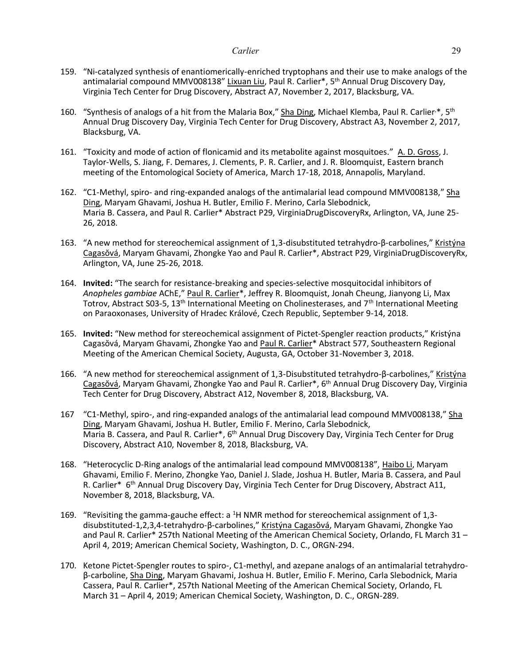- 159. "Ni-catalyzed synthesis of enantiomerically-enriched tryptophans and their use to make analogs of the antimalarial compound MMV008138" Lixuan Liu, Paul R. Carlier\*, 5<sup>th</sup> Annual Drug Discovery Day, Virginia Tech Center for Drug Discovery, Abstract A7, November 2, 2017, Blacksburg, VA.
- 160. "Synthesis of analogs of a hit from the Malaria Box," Sha Ding, Michael Klemba, Paul R. Carlier<sup>,\*</sup>, 5<sup>th</sup> Annual Drug Discovery Day, Virginia Tech Center for Drug Discovery, Abstract A3, November 2, 2017, Blacksburg, VA.
- 161. "Toxicity and mode of action of flonicamid and its metabolite against mosquitoes." A. D. Gross, J. Taylor-Wells, S. Jiang, F. Demares, J. Clements, P. R. Carlier, and J. R. Bloomquist, Eastern branch meeting of the Entomological Society of America, March 17-18, 2018, Annapolis, Maryland.
- 162. "C1-Methyl, spiro- and ring-expanded analogs of the antimalarial lead compound MMV008138," Sha Ding, Maryam Ghavami, Joshua H. Butler, Emilio F. Merino, Carla Slebodnick, Maria B. Cassera, and Paul R. Carlier\* Abstract P29, VirginiaDrugDiscoveryRx, Arlington, VA, June 25- 26, 2018.
- 163. "A new method for stereochemical assignment of 1,3-disubstituted tetrahydro-β-carbolines," Kristýna Cagasŏvá, Maryam Ghavami, Zhongke Yao and Paul R. Carlier\*, Abstract P29, VirginiaDrugDiscoveryRx, Arlington, VA, June 25-26, 2018.
- 164. **Invited:** "The search for resistance-breaking and species-selective mosquitocidal inhibitors of *Anopheles gambiae* AChE," Paul R. Carlier\*, Jeffrey R. Bloomquist, Jonah Cheung, Jianyong Li, Max Totrov, Abstract S03-5, 13<sup>th</sup> International Meeting on Cholinesterases, and  $7<sup>th</sup>$  International Meeting on Paraoxonases, University of Hradec Králové, Czech Republic, September 9-14, 2018.
- 165. **Invited:** "New method for stereochemical assignment of Pictet-Spengler reaction products," Kristýna Cagasŏvá, Maryam Ghavami, Zhongke Yao and Paul R. Carlier\* Abstract 577, Southeastern Regional Meeting of the American Chemical Society, Augusta, GA, October 31-November 3, 2018.
- 166. "A new method for stereochemical assignment of 1,3-Disubstituted tetrahydro-β-carbolines," Kristýna Cagasŏvá, Maryam Ghavami, Zhongke Yao and Paul R. Carlier\*, 6<sup>th</sup> Annual Drug Discovery Day, Virginia Tech Center for Drug Discovery, Abstract A12, November 8, 2018, Blacksburg, VA.
- 167 "C1-Methyl, spiro-, and ring-expanded analogs of the antimalarial lead compound MMV008138," Sha Ding, Maryam Ghavami, Joshua H. Butler, Emilio F. Merino, Carla Slebodnick, Maria B. Cassera, and Paul R. Carlier\*, 6<sup>th</sup> Annual Drug Discovery Day, Virginia Tech Center for Drug Discovery, Abstract A10, November 8, 2018, Blacksburg, VA.
- 168. "Heterocyclic D-Ring analogs of the antimalarial lead compound MMV008138", Haibo Li, Maryam Ghavami, Emilio F. Merino, Zhongke Yao, Daniel J. Slade, Joshua H. Butler, Maria B. Cassera, and Paul R. Carlier\* 6<sup>th</sup> Annual Drug Discovery Day, Virginia Tech Center for Drug Discovery, Abstract A11, November 8, 2018, Blacksburg, VA.
- 169. "Revisiting the gamma-gauche effect: a <sup>1</sup>H NMR method for stereochemical assignment of 1,3 disubstituted-1,2,3,4-tetrahydro-β-carbolines," Kristýna Cagasŏvá, Maryam Ghavami, Zhongke Yao and Paul R. Carlier\* 257th National Meeting of the American Chemical Society, Orlando, FL March 31 -April 4, 2019; American Chemical Society, Washington, D. C., ORGN-294.
- 170. Ketone Pictet-Spengler routes to spiro-, C1-methyl, and azepane analogs of an antimalarial tetrahydroβ-carboline, Sha Ding, Maryam Ghavami, Joshua H. Butler, Emilio F. Merino, Carla Slebodnick, Maria Cassera, Paul R. Carlier\*, 257th National Meeting of the American Chemical Society, Orlando, FL March 31 – April 4, 2019; American Chemical Society, Washington, D. C., ORGN-289.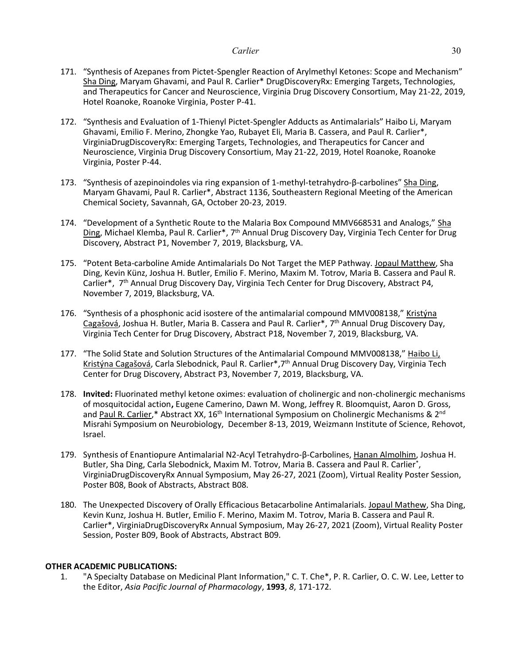- 171. "Synthesis of Azepanes from Pictet-Spengler Reaction of Arylmethyl Ketones: Scope and Mechanism" Sha Ding, Maryam Ghavami, and Paul R. Carlier\* DrugDiscoveryRx: Emerging Targets, Technologies, and Therapeutics for Cancer and Neuroscience, Virginia Drug Discovery Consortium, May 21-22, 2019, Hotel Roanoke, Roanoke Virginia, Poster P-41.
- 172. "Synthesis and Evaluation of 1-Thienyl Pictet-Spengler Adducts as Antimalarials" Haibo Li, Maryam Ghavami, Emilio F. Merino, Zhongke Yao, Rubayet Eli, Maria B. Cassera, and Paul R. Carlier\*, VirginiaDrugDiscoveryRx: Emerging Targets, Technologies, and Therapeutics for Cancer and Neuroscience, Virginia Drug Discovery Consortium, May 21-22, 2019, Hotel Roanoke, Roanoke Virginia, Poster P-44.
- 173. "Synthesis of azepinoindoles via ring expansion of 1-methyl-tetrahydro-β-carbolines" Sha Ding, Maryam Ghavami, Paul R. Carlier\*, Abstract 1136, Southeastern Regional Meeting of the American Chemical Society, Savannah, GA, October 20-23, 2019.
- 174. "Development of a Synthetic Route to the Malaria Box Compound MMV668531 and Analogs," Sha Ding, Michael Klemba, Paul R. Carlier\*, 7<sup>th</sup> Annual Drug Discovery Day, Virginia Tech Center for Drug Discovery, Abstract P1, November 7, 2019, Blacksburg, VA.
- 175. "Potent Beta-carboline Amide Antimalarials Do Not Target the MEP Pathway. Jopaul Matthew, Sha Ding, Kevin Künz, Joshua H. Butler, Emilio F. Merino, Maxim M. Totrov, Maria B. Cassera and Paul R. Carlier\*, 7<sup>th</sup> Annual Drug Discovery Day, Virginia Tech Center for Drug Discovery, Abstract P4, November 7, 2019, Blacksburg, VA.
- 176. "Synthesis of a phosphonic acid isostere of the antimalarial compound MMV008138," Kristýna Cagašová, Joshua H. Butler, Maria B. Cassera and Paul R. Carlier\*, 7<sup>th</sup> Annual Drug Discovery Day, Virginia Tech Center for Drug Discovery, Abstract P18, November 7, 2019, Blacksburg, VA.
- 177. "The Solid State and Solution Structures of the Antimalarial Compound MMV008138," Haibo Li, Kristýna Cagašová, Carla Slebodnick, Paul R. Carlier\*,7th Annual Drug Discovery Day, Virginia Tech Center for Drug Discovery, Abstract P3, November 7, 2019, Blacksburg, VA.
- 178. **Invited:** Fluorinated methyl ketone oximes: evaluation of cholinergic and non-cholinergic mechanisms of mosquitocidal action**,** Eugene Camerino, Dawn M. Wong, Jeffrey R. Bloomquist, Aaron D. Gross, and Paul R. Carlier,\* Abstract XX, 16<sup>th</sup> International Symposium on Cholinergic Mechanisms & 2<sup>nd</sup> Misrahi Symposium on Neurobiology, December 8-13, 2019, Weizmann Institute of Science, Rehovot, Israel.
- 179. Synthesis of Enantiopure Antimalarial N2-Acyl Tetrahydro-β-Carbolines, Hanan Almolhim, Joshua H. Butler, Sha Ding, Carla Slebodnick, Maxim M. Totrov, Maria B. Cassera and Paul R. Carlier\* , VirginiaDrugDiscoveryRx Annual Symposium, May 26-27, 2021 (Zoom), Virtual Reality Poster Session, Poster B08, Book of Abstracts, Abstract B08.
- 180. The Unexpected Discovery of Orally Efficacious Betacarboline Antimalarials. Jopaul Mathew, Sha Ding, Kevin Kunz, Joshua H. Butler, Emilio F. Merino, Maxim M. Totrov, Maria B. Cassera and Paul R. Carlier\*, VirginiaDrugDiscoveryRx Annual Symposium, May 26-27, 2021 (Zoom), Virtual Reality Poster Session, Poster B09, Book of Abstracts, Abstract B09.

# **OTHER ACADEMIC PUBLICATIONS:**

1. "A Specialty Database on Medicinal Plant Information," C. T. Che\*, P. R. Carlier, O. C. W. Lee, Letter to the Editor, *Asia Pacific Journal of Pharmacology*, **1993**, *8*, 171-172.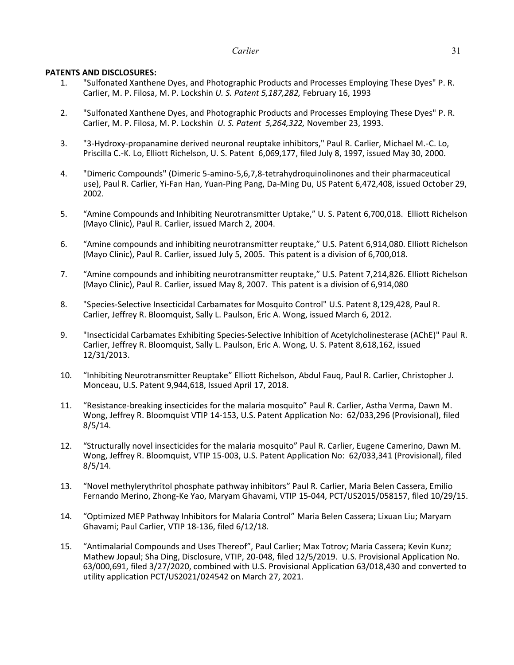# **PATENTS AND DISCLOSURES:**

- 1. "Sulfonated Xanthene Dyes, and Photographic Products and Processes Employing These Dyes" P. R. Carlier, M. P. Filosa, M. P. Lockshin *U. S. Patent 5,187,282,* February 16, 1993
- 2. "Sulfonated Xanthene Dyes, and Photographic Products and Processes Employing These Dyes" P. R. Carlier, M. P. Filosa, M. P. Lockshin *U. S. Patent 5,264,322,* November 23, 1993.
- 3. "3-Hydroxy-propanamine derived neuronal reuptake inhibitors," Paul R. Carlier, Michael M.-C. Lo, Priscilla C.-K. Lo, Elliott Richelson, U. S. Patent 6,069,177, filed July 8, 1997, issued May 30, 2000.
- 4. "Dimeric Compounds" (Dimeric 5-amino-5,6,7,8-tetrahydroquinolinones and their pharmaceutical use), Paul R. Carlier, Yi-Fan Han, Yuan-Ping Pang, Da-Ming Du, US Patent 6,472,408, issued October 29, 2002.
- 5. "Amine Compounds and Inhibiting Neurotransmitter Uptake," U. S. Patent 6,700,018. Elliott Richelson (Mayo Clinic), Paul R. Carlier, issued March 2, 2004.
- 6. "Amine compounds and inhibiting neurotransmitter reuptake," U.S. Patent 6,914,080. Elliott Richelson (Mayo Clinic), Paul R. Carlier, issued July 5, 2005. This patent is a division of 6,700,018.
- 7. "Amine compounds and inhibiting neurotransmitter reuptake," U.S. Patent 7,214,826. Elliott Richelson (Mayo Clinic), Paul R. Carlier, issued May 8, 2007. This patent is a division of 6,914,080
- 8. "Species-Selective Insecticidal Carbamates for Mosquito Control" U.S. Patent 8,129,428, Paul R. Carlier, Jeffrey R. Bloomquist, Sally L. Paulson, Eric A. Wong, issued March 6, 2012.
- 9. "Insecticidal Carbamates Exhibiting Species-Selective Inhibition of Acetylcholinesterase (AChE)" Paul R. Carlier, Jeffrey R. Bloomquist, Sally L. Paulson, Eric A. Wong, U. S. Patent 8,618,162, issued 12/31/2013.
- 10. "Inhibiting Neurotransmitter Reuptake" Elliott Richelson, Abdul Fauq, Paul R. Carlier, Christopher J. Monceau, U.S. Patent 9,944,618, Issued April 17, 2018.
- 11. "Resistance-breaking insecticides for the malaria mosquito" Paul R. Carlier, Astha Verma, Dawn M. Wong, Jeffrey R. Bloomquist VTIP 14-153, U.S. Patent Application No: 62/033,296 (Provisional), filed 8/5/14.
- 12. "Structurally novel insecticides for the malaria mosquito" Paul R. Carlier, Eugene Camerino, Dawn M. Wong, Jeffrey R. Bloomquist, VTIP 15-003, U.S. Patent Application No: 62/033,341 (Provisional), filed 8/5/14.
- 13. "Novel methylerythritol phosphate pathway inhibitors" Paul R. Carlier, Maria Belen Cassera, Emilio Fernando Merino, Zhong-Ke Yao, Maryam Ghavami, VTIP 15-044, PCT/US2015/058157, filed 10/29/15.
- 14. "Optimized MEP Pathway Inhibitors for Malaria Control" Maria Belen Cassera; Lixuan Liu; Maryam Ghavami; Paul Carlier, VTIP 18-136, filed 6/12/18.
- 15. "Antimalarial Compounds and Uses Thereof", Paul Carlier; Max Totrov; Maria Cassera; Kevin Kunz; Mathew Jopaul; Sha Ding, Disclosure, VTIP, 20-048, filed 12/5/2019. U.S. Provisional Application No. 63/000,691, filed 3/27/2020, combined with U.S. Provisional Application 63/018,430 and converted to utility application PCT/US2021/024542 on March 27, 2021.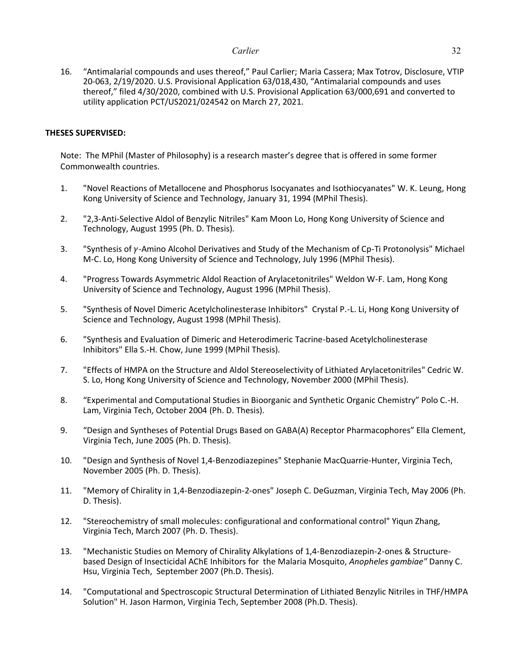16. "Antimalarial compounds and uses thereof," Paul Carlier; Maria Cassera; Max Totrov, Disclosure, VTIP 20-063, 2/19/2020. U.S. Provisional Application 63/018,430, "Antimalarial compounds and uses thereof," filed 4/30/2020, combined with U.S. Provisional Application 63/000,691 and converted to utility application PCT/US2021/024542 on March 27, 2021.

# **THESES SUPERVISED:**

Note: The MPhil (Master of Philosophy) is a research master's degree that is offered in some former Commonwealth countries.

- 1. "Novel Reactions of Metallocene and Phosphorus Isocyanates and Isothiocyanates" W. K. Leung, Hong Kong University of Science and Technology, January 31, 1994 (MPhil Thesis).
- 2. "2,3-Anti-Selective Aldol of Benzylic Nitriles" Kam Moon Lo, Hong Kong University of Science and Technology, August 1995 (Ph. D. Thesis).
- 3. "Synthesis of  $\gamma$ -Amino Alcohol Derivatives and Study of the Mechanism of Cp-Ti Protonolysis" Michael M-C. Lo, Hong Kong University of Science and Technology, July 1996 (MPhil Thesis).
- 4. "Progress Towards Asymmetric Aldol Reaction of Arylacetonitriles" Weldon W-F. Lam, Hong Kong University of Science and Technology, August 1996 (MPhil Thesis).
- 5. "Synthesis of Novel Dimeric Acetylcholinesterase Inhibitors" Crystal P.-L. Li, Hong Kong University of Science and Technology, August 1998 (MPhil Thesis).
- 6. "Synthesis and Evaluation of Dimeric and Heterodimeric Tacrine-based Acetylcholinesterase Inhibitors" Ella S.-H. Chow, June 1999 (MPhil Thesis).
- 7. "Effects of HMPA on the Structure and Aldol Stereoselectivity of Lithiated Arylacetonitriles" Cedric W. S. Lo, Hong Kong University of Science and Technology, November 2000 (MPhil Thesis).
- 8. "Experimental and Computational Studies in Bioorganic and Synthetic Organic Chemistry" Polo C.-H. Lam, Virginia Tech, October 2004 (Ph. D. Thesis).
- 9. "Design and Syntheses of Potential Drugs Based on GABA(A) Receptor Pharmacophores" Ella Clement, Virginia Tech, June 2005 (Ph. D. Thesis).
- 10. "Design and Synthesis of Novel 1,4-Benzodiazepines" Stephanie MacQuarrie-Hunter, Virginia Tech, November 2005 (Ph. D. Thesis).
- 11. "Memory of Chirality in 1,4-Benzodiazepin-2-ones" Joseph C. DeGuzman, Virginia Tech, May 2006 (Ph. D. Thesis).
- 12. "Stereochemistry of small molecules: configurational and conformational control" Yiqun Zhang, Virginia Tech, March 2007 (Ph. D. Thesis).
- 13. "Mechanistic Studies on Memory of Chirality Alkylations of 1,4-Benzodiazepin-2-ones & Structurebased Design of Insecticidal AChE Inhibitors for the Malaria Mosquito, *Anopheles gambiae"* Danny C. Hsu, Virginia Tech, September 2007 (Ph.D. Thesis).
- 14. "Computational and Spectroscopic Structural Determination of Lithiated Benzylic Nitriles in THF/HMPA Solution" H. Jason Harmon, Virginia Tech, September 2008 (Ph.D. Thesis).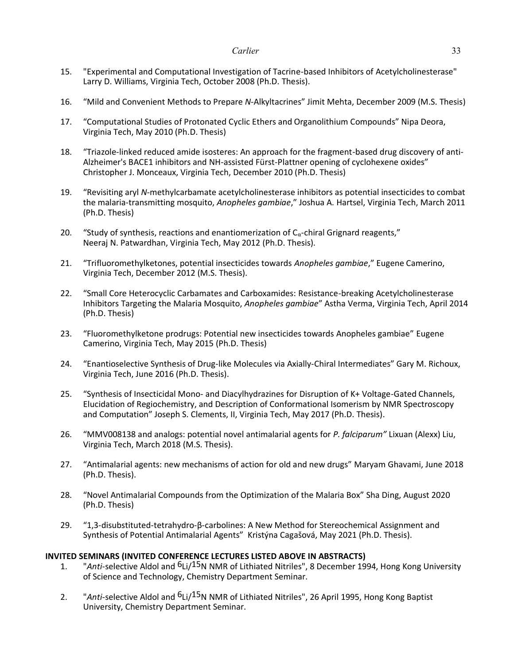- 15. "Experimental and Computational Investigation of Tacrine-based Inhibitors of Acetylcholinesterase" Larry D. Williams, Virginia Tech, October 2008 (Ph.D. Thesis).
- 16. "Mild and Convenient Methods to Prepare *N*-Alkyltacrines" Jimit Mehta, December 2009 (M.S. Thesis)
- 17. "Computational Studies of Protonated Cyclic Ethers and Organolithium Compounds" Nipa Deora, Virginia Tech, May 2010 (Ph.D. Thesis)
- 18. "Triazole-linked reduced amide isosteres: An approach for the fragment-based drug discovery of anti-Alzheimer's BACE1 inhibitors and NH-assisted Fürst-Plattner opening of cyclohexene oxides" Christopher J. Monceaux, Virginia Tech, December 2010 (Ph.D. Thesis)
- 19. "Revisiting aryl *N-*methylcarbamate acetylcholinesterase inhibitors as potential insecticides to combat the malaria-transmitting mosquito, *Anopheles gambiae*," Joshua A. Hartsel, Virginia Tech, March 2011 (Ph.D. Thesis)
- 20. "Study of synthesis, reactions and enantiomerization of  $C_{\alpha}$ -chiral Grignard reagents," Neeraj N. Patwardhan, Virginia Tech, May 2012 (Ph.D. Thesis).
- 21. "Trifluoromethylketones, potential insecticides towards *Anopheles gambiae*," Eugene Camerino, Virginia Tech, December 2012 (M.S. Thesis).
- 22. "Small Core Heterocyclic Carbamates and Carboxamides: Resistance-breaking Acetylcholinesterase Inhibitors Targeting the Malaria Mosquito, *Anopheles gambiae*" Astha Verma, Virginia Tech, April 2014 (Ph.D. Thesis)
- 23. "Fluoromethylketone prodrugs: Potential new insecticides towards Anopheles gambiae" Eugene Camerino, Virginia Tech, May 2015 (Ph.D. Thesis)
- 24. "Enantioselective Synthesis of Drug-like Molecules via Axially-Chiral Intermediates" Gary M. Richoux, Virginia Tech, June 2016 (Ph.D. Thesis).
- 25. "Synthesis of Insecticidal Mono- and Diacylhydrazines for Disruption of K+ Voltage-Gated Channels, Elucidation of Regiochemistry, and Description of Conformational Isomerism by NMR Spectroscopy and Computation" Joseph S. Clements, II, Virginia Tech, May 2017 (Ph.D. Thesis).
- 26. "MMV008138 and analogs: potential novel antimalarial agents for *P. falciparum"* Lixuan (Alexx) Liu, Virginia Tech, March 2018 (M.S. Thesis).
- 27. "Antimalarial agents: new mechanisms of action for old and new drugs" Maryam Ghavami, June 2018 (Ph.D. Thesis).
- 28. "Novel Antimalarial Compounds from the Optimization of the Malaria Box" Sha Ding, August 2020 (Ph.D. Thesis)
- 29. "1,3-disubstituted-tetrahydro-β-carbolines: A New Method for Stereochemical Assignment and Synthesis of Potential Antimalarial Agents" Kristýna Cagašová, May 2021 (Ph.D. Thesis).

# **INVITED SEMINARS (INVITED CONFERENCE LECTURES LISTED ABOVE IN ABSTRACTS)**

- 1. "*Anti*-selective Aldol and 6Li/15N NMR of Lithiated Nitriles", 8 December 1994, Hong Kong University of Science and Technology, Chemistry Department Seminar.
- 2. "*Anti*-selective Aldol and 6Li/15N NMR of Lithiated Nitriles", 26 April 1995, Hong Kong Baptist University, Chemistry Department Seminar.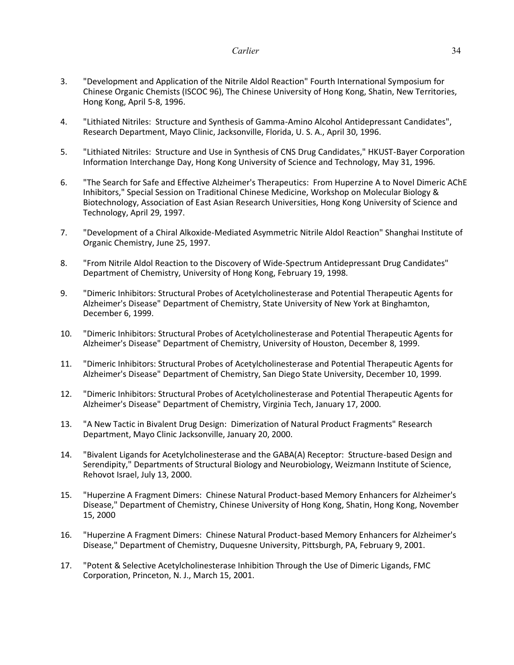- 3. "Development and Application of the Nitrile Aldol Reaction" Fourth International Symposium for Chinese Organic Chemists (ISCOC 96), The Chinese University of Hong Kong, Shatin, New Territories, Hong Kong, April 5-8, 1996.
- 4. "Lithiated Nitriles: Structure and Synthesis of Gamma-Amino Alcohol Antidepressant Candidates", Research Department, Mayo Clinic, Jacksonville, Florida, U. S. A., April 30, 1996.
- 5. "Lithiated Nitriles: Structure and Use in Synthesis of CNS Drug Candidates," HKUST-Bayer Corporation Information Interchange Day, Hong Kong University of Science and Technology, May 31, 1996.
- 6. "The Search for Safe and Effective Alzheimer's Therapeutics: From Huperzine A to Novel Dimeric AChE Inhibitors," Special Session on Traditional Chinese Medicine, Workshop on Molecular Biology & Biotechnology, Association of East Asian Research Universities, Hong Kong University of Science and Technology, April 29, 1997.
- 7. "Development of a Chiral Alkoxide-Mediated Asymmetric Nitrile Aldol Reaction" Shanghai Institute of Organic Chemistry, June 25, 1997.
- 8. "From Nitrile Aldol Reaction to the Discovery of Wide-Spectrum Antidepressant Drug Candidates" Department of Chemistry, University of Hong Kong, February 19, 1998.
- 9. "Dimeric Inhibitors: Structural Probes of Acetylcholinesterase and Potential Therapeutic Agents for Alzheimer's Disease" Department of Chemistry, State University of New York at Binghamton, December 6, 1999.
- 10. "Dimeric Inhibitors: Structural Probes of Acetylcholinesterase and Potential Therapeutic Agents for Alzheimer's Disease" Department of Chemistry, University of Houston, December 8, 1999.
- 11. "Dimeric Inhibitors: Structural Probes of Acetylcholinesterase and Potential Therapeutic Agents for Alzheimer's Disease" Department of Chemistry, San Diego State University, December 10, 1999.
- 12. "Dimeric Inhibitors: Structural Probes of Acetylcholinesterase and Potential Therapeutic Agents for Alzheimer's Disease" Department of Chemistry, Virginia Tech, January 17, 2000.
- 13. "A New Tactic in Bivalent Drug Design: Dimerization of Natural Product Fragments" Research Department, Mayo Clinic Jacksonville, January 20, 2000.
- 14. "Bivalent Ligands for Acetylcholinesterase and the GABA(A) Receptor: Structure-based Design and Serendipity," Departments of Structural Biology and Neurobiology, Weizmann Institute of Science, Rehovot Israel, July 13, 2000.
- 15. "Huperzine A Fragment Dimers: Chinese Natural Product-based Memory Enhancers for Alzheimer's Disease," Department of Chemistry, Chinese University of Hong Kong, Shatin, Hong Kong, November 15, 2000
- 16. "Huperzine A Fragment Dimers: Chinese Natural Product-based Memory Enhancers for Alzheimer's Disease," Department of Chemistry, Duquesne University, Pittsburgh, PA, February 9, 2001.
- 17. "Potent & Selective Acetylcholinesterase Inhibition Through the Use of Dimeric Ligands, FMC Corporation, Princeton, N. J., March 15, 2001.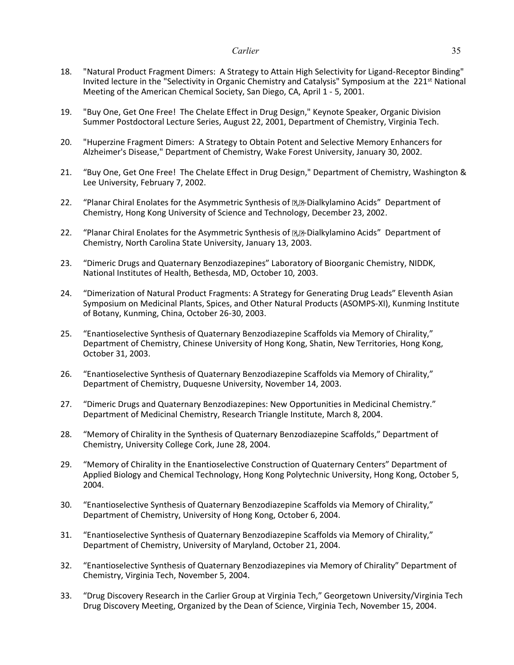- 18. "Natural Product Fragment Dimers: A Strategy to Attain High Selectivity for Ligand-Receptor Binding" Invited lecture in the "Selectivity in Organic Chemistry and Catalysis" Symposium at the 221<sup>st</sup> National Meeting of the American Chemical Society, San Diego, CA, April 1 - 5, 2001.
- 19. "Buy One, Get One Free! The Chelate Effect in Drug Design," Keynote Speaker, Organic Division Summer Postdoctoral Lecture Series, August 22, 2001, Department of Chemistry, Virginia Tech.
- 20. "Huperzine Fragment Dimers: A Strategy to Obtain Potent and Selective Memory Enhancers for Alzheimer's Disease," Department of Chemistry, Wake Forest University, January 30, 2002.
- 21. "Buy One, Get One Free! The Chelate Effect in Drug Design," Department of Chemistry, Washington & Lee University, February 7, 2002.
- 22. "Planar Chiral Enolates for the Asymmetric Synthesis of D.D-Dialkylamino Acids" Department of Chemistry, Hong Kong University of Science and Technology, December 23, 2002.
- 22. "Planar Chiral Enolates for the Asymmetric Synthesis of **D.** Dialkylamino Acids" Department of Chemistry, North Carolina State University, January 13, 2003.
- 23. "Dimeric Drugs and Quaternary Benzodiazepines" Laboratory of Bioorganic Chemistry, NIDDK, National Institutes of Health, Bethesda, MD, October 10, 2003.
- 24. "Dimerization of Natural Product Fragments: A Strategy for Generating Drug Leads" Eleventh Asian Symposium on Medicinal Plants, Spices, and Other Natural Products (ASOMPS-XI), Kunming Institute of Botany, Kunming, China, October 26-30, 2003.
- 25. "Enantioselective Synthesis of Quaternary Benzodiazepine Scaffolds via Memory of Chirality," Department of Chemistry, Chinese University of Hong Kong, Shatin, New Territories, Hong Kong, October 31, 2003.
- 26. "Enantioselective Synthesis of Quaternary Benzodiazepine Scaffolds via Memory of Chirality," Department of Chemistry, Duquesne University, November 14, 2003.
- 27. "Dimeric Drugs and Quaternary Benzodiazepines: New Opportunities in Medicinal Chemistry." Department of Medicinal Chemistry, Research Triangle Institute, March 8, 2004.
- 28. "Memory of Chirality in the Synthesis of Quaternary Benzodiazepine Scaffolds," Department of Chemistry, University College Cork, June 28, 2004.
- 29. "Memory of Chirality in the Enantioselective Construction of Quaternary Centers" Department of Applied Biology and Chemical Technology, Hong Kong Polytechnic University, Hong Kong, October 5, 2004.
- 30. "Enantioselective Synthesis of Quaternary Benzodiazepine Scaffolds via Memory of Chirality," Department of Chemistry, University of Hong Kong, October 6, 2004.
- 31. "Enantioselective Synthesis of Quaternary Benzodiazepine Scaffolds via Memory of Chirality," Department of Chemistry, University of Maryland, October 21, 2004.
- 32. "Enantioselective Synthesis of Quaternary Benzodiazepines via Memory of Chirality" Department of Chemistry, Virginia Tech, November 5, 2004.
- 33. "Drug Discovery Research in the Carlier Group at Virginia Tech," Georgetown University/Virginia Tech Drug Discovery Meeting, Organized by the Dean of Science, Virginia Tech, November 15, 2004.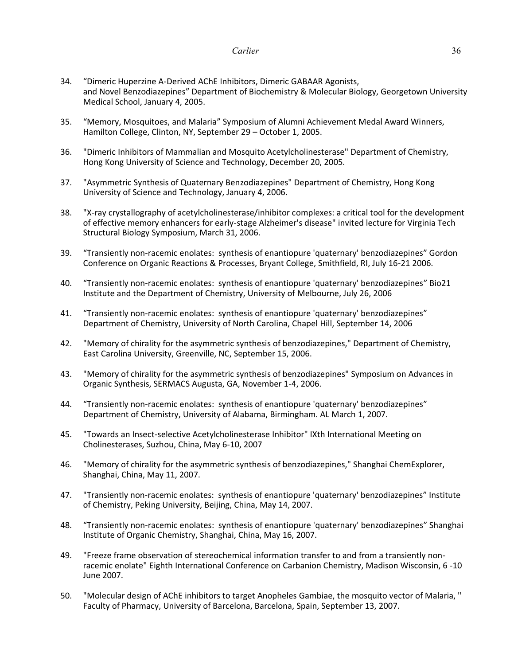- 34. "Dimeric Huperzine A-Derived AChE Inhibitors, Dimeric GABAAR Agonists, and Novel Benzodiazepines" Department of Biochemistry & Molecular Biology, Georgetown University Medical School, January 4, 2005.
- 35. "Memory, Mosquitoes, and Malaria" Symposium of Alumni Achievement Medal Award Winners, Hamilton College, Clinton, NY, September 29 – October 1, 2005.
- 36. "Dimeric Inhibitors of Mammalian and Mosquito Acetylcholinesterase" Department of Chemistry, Hong Kong University of Science and Technology, December 20, 2005.
- 37. "Asymmetric Synthesis of Quaternary Benzodiazepines" Department of Chemistry, Hong Kong University of Science and Technology, January 4, 2006.
- 38. "X-ray crystallography of acetylcholinesterase/inhibitor complexes: a critical tool for the development of effective memory enhancers for early-stage Alzheimer's disease" invited lecture for Virginia Tech Structural Biology Symposium, March 31, 2006.
- 39. "Transiently non-racemic enolates: synthesis of enantiopure 'quaternary' benzodiazepines" Gordon Conference on Organic Reactions & Processes, Bryant College, Smithfield, RI, July 16-21 2006.
- 40. "Transiently non-racemic enolates: synthesis of enantiopure 'quaternary' benzodiazepines" Bio21 Institute and the Department of Chemistry, University of Melbourne, July 26, 2006
- 41. "Transiently non-racemic enolates: synthesis of enantiopure 'quaternary' benzodiazepines" Department of Chemistry, University of North Carolina, Chapel Hill, September 14, 2006
- 42. "Memory of chirality for the asymmetric synthesis of benzodiazepines," Department of Chemistry, East Carolina University, Greenville, NC, September 15, 2006.
- 43. "Memory of chirality for the asymmetric synthesis of benzodiazepines" Symposium on Advances in Organic Synthesis, SERMACS Augusta, GA, November 1-4, 2006.
- 44. "Transiently non-racemic enolates: synthesis of enantiopure 'quaternary' benzodiazepines" Department of Chemistry, University of Alabama, Birmingham. AL March 1, 2007.
- 45. "Towards an Insect-selective Acetylcholinesterase Inhibitor" IXth International Meeting on Cholinesterases, Suzhou, China, May 6-10, 2007
- 46. "Memory of chirality for the asymmetric synthesis of benzodiazepines," Shanghai ChemExplorer, Shanghai, China, May 11, 2007.
- 47. "Transiently non-racemic enolates: synthesis of enantiopure 'quaternary' benzodiazepines" Institute of Chemistry, Peking University, Beijing, China, May 14, 2007.
- 48. "Transiently non-racemic enolates: synthesis of enantiopure 'quaternary' benzodiazepines" Shanghai Institute of Organic Chemistry, Shanghai, China, May 16, 2007.
- 49. "Freeze frame observation of stereochemical information transfer to and from a transiently nonracemic enolate" Eighth International Conference on Carbanion Chemistry, Madison Wisconsin, 6 -10 June 2007.
- 50. "Molecular design of AChE inhibitors to target Anopheles Gambiae, the mosquito vector of Malaria, " Faculty of Pharmacy, University of Barcelona, Barcelona, Spain, September 13, 2007.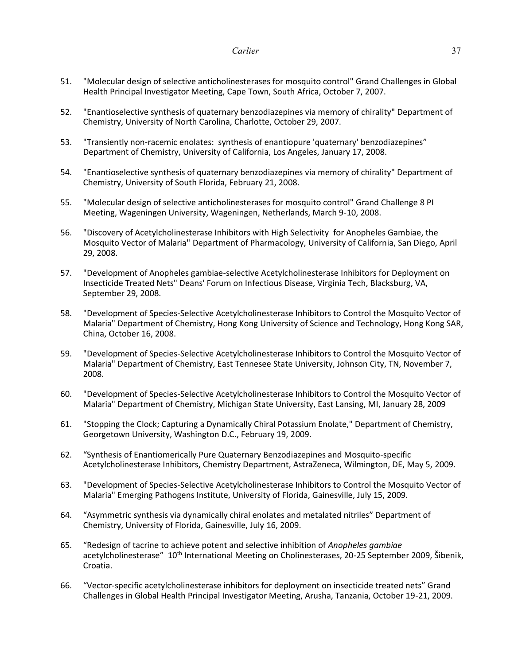- 51. "Molecular design of selective anticholinesterases for mosquito control" Grand Challenges in Global Health Principal Investigator Meeting, Cape Town, South Africa, October 7, 2007.
- 52. "Enantioselective synthesis of quaternary benzodiazepines via memory of chirality" Department of Chemistry, University of North Carolina, Charlotte, October 29, 2007.
- 53. "Transiently non-racemic enolates: synthesis of enantiopure 'quaternary' benzodiazepines" Department of Chemistry, University of California, Los Angeles, January 17, 2008.
- 54. "Enantioselective synthesis of quaternary benzodiazepines via memory of chirality" Department of Chemistry, University of South Florida, February 21, 2008.
- 55. "Molecular design of selective anticholinesterases for mosquito control" Grand Challenge 8 PI Meeting, Wageningen University, Wageningen, Netherlands, March 9-10, 2008.
- 56. "Discovery of Acetylcholinesterase Inhibitors with High Selectivity for Anopheles Gambiae, the Mosquito Vector of Malaria" Department of Pharmacology, University of California, San Diego, April 29, 2008.
- 57. "Development of Anopheles gambiae-selective Acetylcholinesterase Inhibitors for Deployment on Insecticide Treated Nets" Deans' Forum on Infectious Disease, Virginia Tech, Blacksburg, VA, September 29, 2008.
- 58. "Development of Species-Selective Acetylcholinesterase Inhibitors to Control the Mosquito Vector of Malaria" Department of Chemistry, Hong Kong University of Science and Technology, Hong Kong SAR, China, October 16, 2008.
- 59. "Development of Species-Selective Acetylcholinesterase Inhibitors to Control the Mosquito Vector of Malaria" Department of Chemistry, East Tennesee State University, Johnson City, TN, November 7, 2008.
- 60. "Development of Species-Selective Acetylcholinesterase Inhibitors to Control the Mosquito Vector of Malaria" Department of Chemistry, Michigan State University, East Lansing, MI, January 28, 2009
- 61. "Stopping the Clock; Capturing a Dynamically Chiral Potassium Enolate," Department of Chemistry, Georgetown University, Washington D.C., February 19, 2009.
- 62. "Synthesis of Enantiomerically Pure Quaternary Benzodiazepines and Mosquito-specific Acetylcholinesterase Inhibitors, Chemistry Department, AstraZeneca, Wilmington, DE, May 5, 2009.
- 63. "Development of Species-Selective Acetylcholinesterase Inhibitors to Control the Mosquito Vector of Malaria" Emerging Pathogens Institute, University of Florida, Gainesville, July 15, 2009.
- 64. "Asymmetric synthesis via dynamically chiral enolates and metalated nitriles" Department of Chemistry, University of Florida, Gainesville, July 16, 2009.
- 65. "Redesign of tacrine to achieve potent and selective inhibition of *Anopheles gambiae* acetylcholinesterase" 10<sup>th</sup> International Meeting on Cholinesterases, 20-25 September 2009, Šibenik, Croatia.
- 66. "Vector-specific acetylcholinesterase inhibitors for deployment on insecticide treated nets" Grand Challenges in Global Health Principal Investigator Meeting, Arusha, Tanzania, October 19-21, 2009.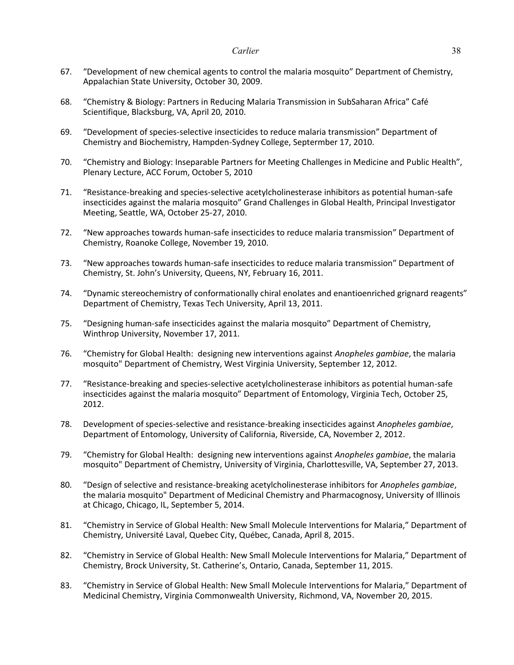- 67. "Development of new chemical agents to control the malaria mosquito" Department of Chemistry, Appalachian State University, October 30, 2009.
- 68. "Chemistry & Biology: Partners in Reducing Malaria Transmission in SubSaharan Africa" Café Scientifique, Blacksburg, VA, April 20, 2010.
- 69. "Development of species-selective insecticides to reduce malaria transmission" Department of Chemistry and Biochemistry, Hampden-Sydney College, Septermber 17, 2010.
- 70. "Chemistry and Biology: Inseparable Partners for Meeting Challenges in Medicine and Public Health", Plenary Lecture, ACC Forum, October 5, 2010
- 71. "Resistance-breaking and species-selective acetylcholinesterase inhibitors as potential human-safe insecticides against the malaria mosquito" Grand Challenges in Global Health, Principal Investigator Meeting, Seattle, WA, October 25-27, 2010.
- 72. "New approaches towards human-safe insecticides to reduce malaria transmission" Department of Chemistry, Roanoke College, November 19, 2010.
- 73. "New approaches towards human-safe insecticides to reduce malaria transmission" Department of Chemistry, St. John's University, Queens, NY, February 16, 2011.
- 74. "Dynamic stereochemistry of conformationally chiral enolates and enantioenriched grignard reagents" Department of Chemistry, Texas Tech University, April 13, 2011.
- 75. "Designing human-safe insecticides against the malaria mosquito" Department of Chemistry, Winthrop University, November 17, 2011.
- 76. "Chemistry for Global Health: designing new interventions against *Anopheles gambiae*, the malaria mosquito" Department of Chemistry, West Virginia University, September 12, 2012.
- 77. "Resistance-breaking and species-selective acetylcholinesterase inhibitors as potential human-safe insecticides against the malaria mosquito" Department of Entomology, Virginia Tech, October 25, 2012.
- 78. Development of species-selective and resistance-breaking insecticides against *Anopheles gambiae*, Department of Entomology, University of California, Riverside, CA, November 2, 2012.
- 79. "Chemistry for Global Health: designing new interventions against *Anopheles gambiae*, the malaria mosquito" Department of Chemistry, University of Virginia, Charlottesville, VA, September 27, 2013.
- 80. "Design of selective and resistance-breaking acetylcholinesterase inhibitors for *Anopheles gambiae*, the malaria mosquito" Department of Medicinal Chemistry and Pharmacognosy, University of Illinois at Chicago, Chicago, IL, September 5, 2014.
- 81. "Chemistry in Service of Global Health: New Small Molecule Interventions for Malaria," Department of Chemistry, Université Laval, Quebec City, Québec, Canada, April 8, 2015.
- 82. "Chemistry in Service of Global Health: New Small Molecule Interventions for Malaria," Department of Chemistry, Brock University, St. Catherine's, Ontario, Canada, September 11, 2015.
- 83. "Chemistry in Service of Global Health: New Small Molecule Interventions for Malaria," Department of Medicinal Chemistry, Virginia Commonwealth University, Richmond, VA, November 20, 2015.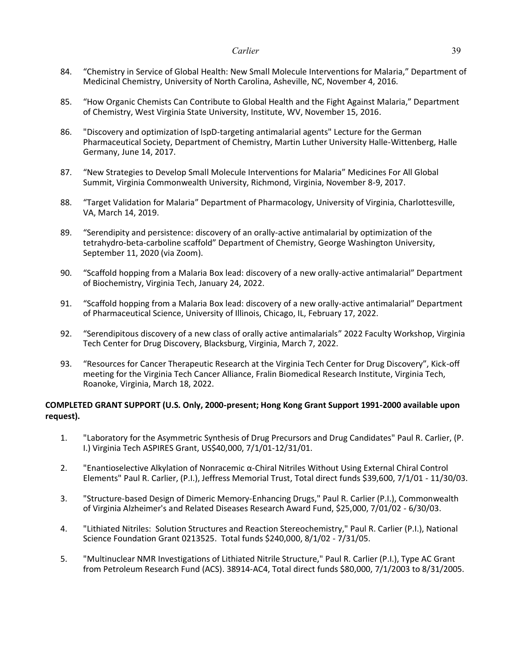- 84. "Chemistry in Service of Global Health: New Small Molecule Interventions for Malaria," Department of Medicinal Chemistry, University of North Carolina, Asheville, NC, November 4, 2016.
- 85. "How Organic Chemists Can Contribute to Global Health and the Fight Against Malaria," Department of Chemistry, West Virginia State University, Institute, WV, November 15, 2016.
- 86. "Discovery and optimization of IspD-targeting antimalarial agents" Lecture for the German Pharmaceutical Society, Department of Chemistry, Martin Luther University Halle-Wittenberg, Halle Germany, June 14, 2017.
- 87. "New Strategies to Develop Small Molecule Interventions for Malaria" Medicines For All Global Summit, Virginia Commonwealth University, Richmond, Virginia, November 8-9, 2017.
- 88. "Target Validation for Malaria" Department of Pharmacology, University of Virginia, Charlottesville, VA, March 14, 2019.
- 89. "Serendipity and persistence: discovery of an orally-active antimalarial by optimization of the tetrahydro-beta-carboline scaffold" Department of Chemistry, George Washington University, September 11, 2020 (via Zoom).
- 90. "Scaffold hopping from a Malaria Box lead: discovery of a new orally-active antimalarial" Department of Biochemistry, Virginia Tech, January 24, 2022.
- 91. "Scaffold hopping from a Malaria Box lead: discovery of a new orally-active antimalarial" Department of Pharmaceutical Science, University of Illinois, Chicago, IL, February 17, 2022.
- 92. "Serendipitous discovery of a new class of orally active antimalarials" 2022 Faculty Workshop, Virginia Tech Center for Drug Discovery, Blacksburg, Virginia, March 7, 2022.
- 93. "Resources for Cancer Therapeutic Research at the Virginia Tech Center for Drug Discovery", Kick-off meeting for the Virginia Tech Cancer Alliance, Fralin Biomedical Research Institute, Virginia Tech, Roanoke, Virginia, March 18, 2022.

# **COMPLETED GRANT SUPPORT (U.S. Only, 2000-present; Hong Kong Grant Support 1991-2000 available upon request).**

- 1. "Laboratory for the Asymmetric Synthesis of Drug Precursors and Drug Candidates" Paul R. Carlier, (P. I.) Virginia Tech ASPIRES Grant, US\$40,000, 7/1/01-12/31/01.
- 2. "Enantioselective Alkylation of Nonracemic α-Chiral Nitriles Without Using External Chiral Control Elements" Paul R. Carlier, (P.I.), Jeffress Memorial Trust, Total direct funds \$39,600, 7/1/01 - 11/30/03.
- 3. "Structure-based Design of Dimeric Memory-Enhancing Drugs," Paul R. Carlier (P.I.), Commonwealth of Virginia Alzheimer's and Related Diseases Research Award Fund, \$25,000, 7/01/02 - 6/30/03.
- 4. "Lithiated Nitriles: Solution Structures and Reaction Stereochemistry," Paul R. Carlier (P.I.), National Science Foundation Grant 0213525. Total funds \$240,000, 8/1/02 - 7/31/05.
- 5. "Multinuclear NMR Investigations of Lithiated Nitrile Structure," Paul R. Carlier (P.I.), Type AC Grant from Petroleum Research Fund (ACS). 38914-AC4, Total direct funds \$80,000, 7/1/2003 to 8/31/2005.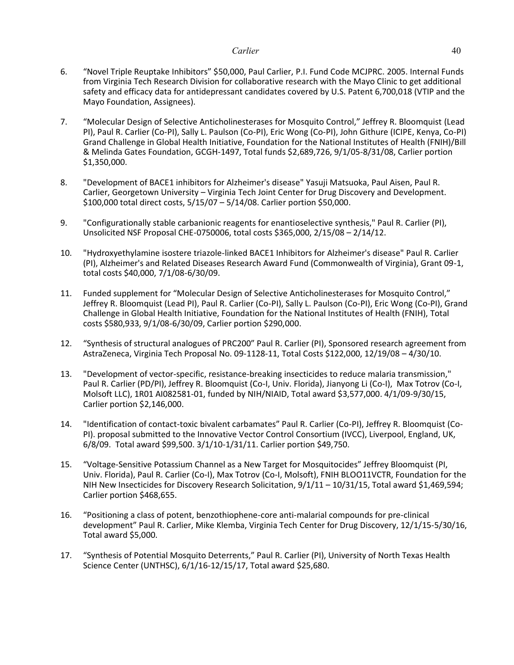- 6. "Novel Triple Reuptake Inhibitors" \$50,000, Paul Carlier, P.I. Fund Code MCJPRC. 2005. Internal Funds from Virginia Tech Research Division for collaborative research with the Mayo Clinic to get additional safety and efficacy data for antidepressant candidates covered by U.S. Patent 6,700,018 (VTIP and the Mayo Foundation, Assignees).
- 7. "Molecular Design of Selective Anticholinesterases for Mosquito Control," Jeffrey R. Bloomquist (Lead PI), Paul R. Carlier (Co-PI), Sally L. Paulson (Co-PI), Eric Wong (Co-PI), John Githure (ICIPE, Kenya, Co-PI) Grand Challenge in Global Health Initiative, Foundation for the National Institutes of Health (FNIH)/Bill & Melinda Gates Foundation, GCGH-1497, Total funds \$2,689,726, 9/1/05-8/31/08, Carlier portion \$1,350,000.
- 8. "Development of BACE1 inhibitors for Alzheimer's disease" Yasuji Matsuoka, Paul Aisen, Paul R. Carlier, Georgetown University – Virginia Tech Joint Center for Drug Discovery and Development. \$100,000 total direct costs, 5/15/07 – 5/14/08. Carlier portion \$50,000.
- 9. "Configurationally stable carbanionic reagents for enantioselective synthesis," Paul R. Carlier (PI), Unsolicited NSF Proposal CHE-0750006, total costs \$365,000, 2/15/08 – 2/14/12.
- 10. "Hydroxyethylamine isostere triazole-linked BACE1 Inhibitors for Alzheimer's disease" Paul R. Carlier (PI), Alzheimer's and Related Diseases Research Award Fund (Commonwealth of Virginia), Grant 09-1, total costs \$40,000, 7/1/08-6/30/09.
- 11. Funded supplement for "Molecular Design of Selective Anticholinesterases for Mosquito Control," Jeffrey R. Bloomquist (Lead PI), Paul R. Carlier (Co-PI), Sally L. Paulson (Co-PI), Eric Wong (Co-PI), Grand Challenge in Global Health Initiative, Foundation for the National Institutes of Health (FNIH), Total costs \$580,933, 9/1/08-6/30/09, Carlier portion \$290,000.
- 12. "Synthesis of structural analogues of PRC200" Paul R. Carlier (PI), Sponsored research agreement from AstraZeneca, Virginia Tech Proposal No. 09-1128-11, Total Costs \$122,000, 12/19/08 – 4/30/10.
- 13. "Development of vector-specific, resistance-breaking insecticides to reduce malaria transmission," Paul R. Carlier (PD/PI), Jeffrey R. Bloomquist (Co-I, Univ. Florida), Jianyong Li (Co-I), Max Totrov (Co-I, Molsoft LLC), 1R01 AI082581-01, funded by NIH/NIAID, Total award \$3,577,000. 4/1/09-9/30/15, Carlier portion \$2,146,000.
- 14. "Identification of contact-toxic bivalent carbamates" Paul R. Carlier (Co-PI), Jeffrey R. Bloomquist (Co-PI). proposal submitted to the Innovative Vector Control Consortium (IVCC), Liverpool, England, UK, 6/8/09. Total award \$99,500. 3/1/10-1/31/11. Carlier portion \$49,750.
- 15. "Voltage-Sensitive Potassium Channel as a New Target for Mosquitocides" Jeffrey Bloomquist (PI, Univ. Florida), Paul R. Carlier (Co-I), Max Totrov (Co-I, Molsoft), FNIH BLOO11VCTR, Foundation for the NIH New Insecticides for Discovery Research Solicitation, 9/1/11 – 10/31/15, Total award \$1,469,594; Carlier portion \$468,655.
- 16. "Positioning a class of potent, benzothiophene-core anti-malarial compounds for pre-clinical development" Paul R. Carlier, Mike Klemba, Virginia Tech Center for Drug Discovery, 12/1/15-5/30/16, Total award \$5,000.
- 17. "Synthesis of Potential Mosquito Deterrents," Paul R. Carlier (PI), University of North Texas Health Science Center (UNTHSC), 6/1/16-12/15/17, Total award \$25,680.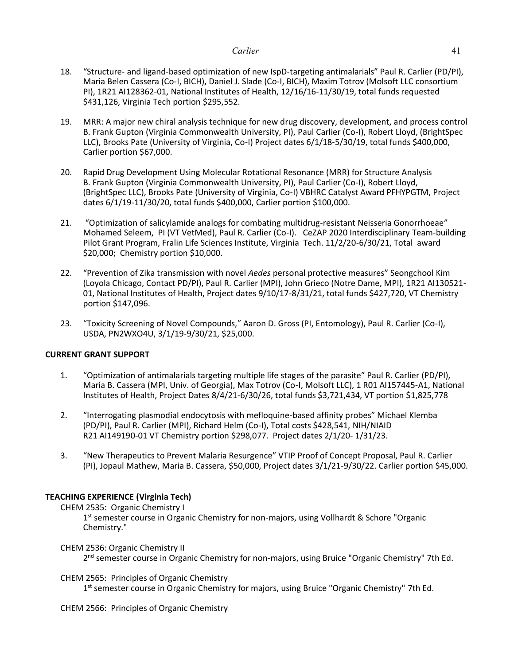- 18. "Structure- and ligand-based optimization of new IspD-targeting antimalarials" Paul R. Carlier (PD/PI), Maria Belen Cassera (Co-I, BICH), Daniel J. Slade (Co-I, BICH), Maxim Totrov (Molsoft LLC consortium PI), 1R21 AI128362-01, National Institutes of Health, 12/16/16-11/30/19, total funds requested \$431,126, Virginia Tech portion \$295,552.
- 19. MRR: A major new chiral analysis technique for new drug discovery, development, and process control B. Frank Gupton (Virginia Commonwealth University, PI), Paul Carlier (Co-I), Robert Lloyd, (BrightSpec LLC), Brooks Pate (University of Virginia, Co-I) Project dates 6/1/18-5/30/19, total funds \$400,000, Carlier portion \$67,000.
- 20. Rapid Drug Development Using Molecular Rotational Resonance (MRR) for Structure Analysis B. Frank Gupton (Virginia Commonwealth University, PI), Paul Carlier (Co-I), Robert Lloyd, (BrightSpec LLC), Brooks Pate (University of Virginia, Co-I) VBHRC Catalyst Award PFHYPGTM, Project dates 6/1/19-11/30/20, total funds \$400,000, Carlier portion \$100,000.
- 21. "Optimization of salicylamide analogs for combating multidrug-resistant Neisseria Gonorrhoeae" Mohamed Seleem, PI (VT VetMed), Paul R. Carlier (Co-I). CeZAP 2020 Interdisciplinary Team-building Pilot Grant Program, Fralin Life Sciences Institute, Virginia Tech. 11/2/20-6/30/21, Total award \$20,000; Chemistry portion \$10,000.
- 22. "Prevention of Zika transmission with novel *Aedes* personal protective measures" Seongchool Kim (Loyola Chicago, Contact PD/PI), Paul R. Carlier (MPI), John Grieco (Notre Dame, MPI), 1R21 AI130521- 01, National Institutes of Health, Project dates 9/10/17-8/31/21, total funds \$427,720, VT Chemistry portion \$147,096.
- 23. "Toxicity Screening of Novel Compounds," Aaron D. Gross (PI, Entomology), Paul R. Carlier (Co-I), USDA, PN2WXO4U, 3/1/19-9/30/21, \$25,000.

# **CURRENT GRANT SUPPORT**

- 1. "Optimization of antimalarials targeting multiple life stages of the parasite" Paul R. Carlier (PD/PI), Maria B. Cassera (MPI, Univ. of Georgia), Max Totrov (Co-I, Molsoft LLC), 1 R01 AI157445-A1, National Institutes of Health, Project Dates 8/4/21-6/30/26, total funds \$3,721,434, VT portion \$1,825,778
- 2. "Interrogating plasmodial endocytosis with mefloquine-based affinity probes" Michael Klemba (PD/PI), Paul R. Carlier (MPI), Richard Helm (Co-I), Total costs \$428,541, NIH/NIAID R21 AI149190-01 VT Chemistry portion \$298,077. Project dates 2/1/20- 1/31/23.
- 3. "New Therapeutics to Prevent Malaria Resurgence" VTIP Proof of Concept Proposal, Paul R. Carlier (PI), Jopaul Mathew, Maria B. Cassera, \$50,000, Project dates 3/1/21-9/30/22. Carlier portion \$45,000.

# **TEACHING EXPERIENCE (Virginia Tech)**

CHEM 2535: Organic Chemistry I

1<sup>st</sup> semester course in Organic Chemistry for non-majors, using Vollhardt & Schore "Organic Chemistry."

# CHEM 2536: Organic Chemistry II

2<sup>nd</sup> semester course in Organic Chemistry for non-majors, using Bruice "Organic Chemistry" 7th Ed.

# CHEM 2565: Principles of Organic Chemistry

1<sup>st</sup> semester course in Organic Chemistry for majors, using Bruice "Organic Chemistry" 7th Ed.

CHEM 2566: Principles of Organic Chemistry